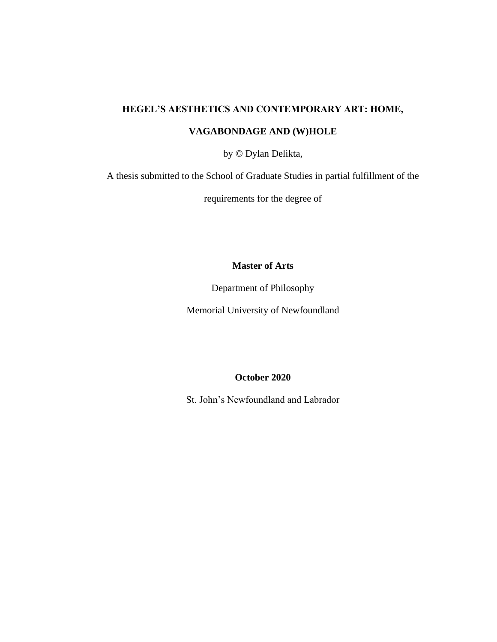# **HEGEL'S AESTHETICS AND CONTEMPORARY ART: HOME,**

## **VAGABONDAGE AND (W)HOLE**

by © Dylan Delikta,

A thesis submitted to the School of Graduate Studies in partial fulfillment of the

requirements for the degree of

# **Master of Arts**

Department of Philosophy

Memorial University of Newfoundland

### **October 2020**

St. John's Newfoundland and Labrador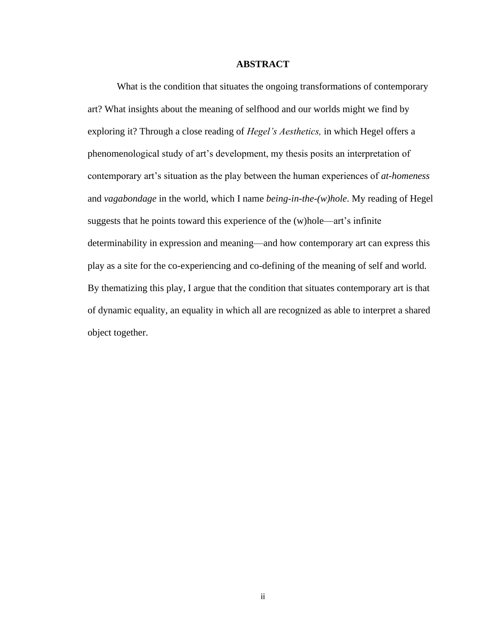### **ABSTRACT**

What is the condition that situates the ongoing transformations of contemporary art? What insights about the meaning of selfhood and our worlds might we find by exploring it? Through a close reading of *Hegel's Aesthetics,* in which Hegel offers a phenomenological study of art's development, my thesis posits an interpretation of contemporary art's situation as the play between the human experiences of *at-homeness* and *vagabondage* in the world, which I name *being-in-the-(w)hole*. My reading of Hegel suggests that he points toward this experience of the (w)hole—art's infinite determinability in expression and meaning—and how contemporary art can express this play as a site for the co-experiencing and co-defining of the meaning of self and world. By thematizing this play, I argue that the condition that situates contemporary art is that of dynamic equality, an equality in which all are recognized as able to interpret a shared object together.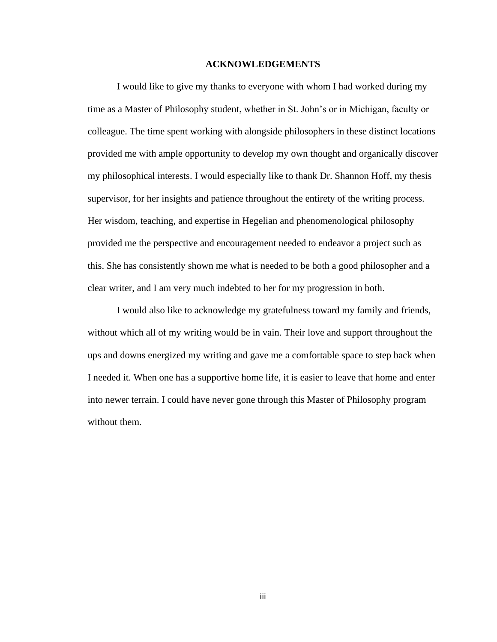### **ACKNOWLEDGEMENTS**

I would like to give my thanks to everyone with whom I had worked during my time as a Master of Philosophy student, whether in St. John's or in Michigan, faculty or colleague. The time spent working with alongside philosophers in these distinct locations provided me with ample opportunity to develop my own thought and organically discover my philosophical interests. I would especially like to thank Dr. Shannon Hoff, my thesis supervisor, for her insights and patience throughout the entirety of the writing process. Her wisdom, teaching, and expertise in Hegelian and phenomenological philosophy provided me the perspective and encouragement needed to endeavor a project such as this. She has consistently shown me what is needed to be both a good philosopher and a clear writer, and I am very much indebted to her for my progression in both.

I would also like to acknowledge my gratefulness toward my family and friends, without which all of my writing would be in vain. Their love and support throughout the ups and downs energized my writing and gave me a comfortable space to step back when I needed it. When one has a supportive home life, it is easier to leave that home and enter into newer terrain. I could have never gone through this Master of Philosophy program without them.

iii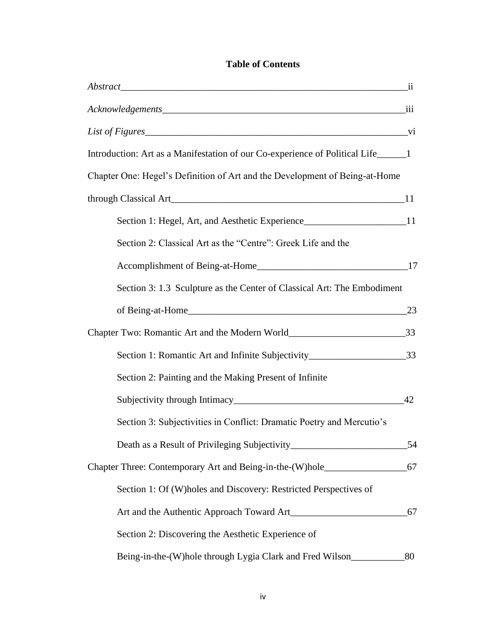# **Table of Contents**

| Introduction: Art as a Manifestation of our Co-experience of Political Life_____1   |    |
|-------------------------------------------------------------------------------------|----|
| Chapter One: Hegel's Definition of Art and the Development of Being-at-Home         |    |
|                                                                                     |    |
| Section 1: Hegel, Art, and Aesthetic Experience________________________________11   |    |
| Section 2: Classical Art as the "Centre": Greek Life and the                        |    |
|                                                                                     |    |
| Section 3: 1.3 Sculpture as the Center of Classical Art: The Embodiment             |    |
|                                                                                     | 23 |
| Chapter Two: Romantic Art and the Modern World___________________________________33 |    |
| Section 1: Romantic Art and Infinite Subjectivity________________________________33 |    |
| Section 2: Painting and the Making Present of Infinite                              |    |
|                                                                                     | 42 |
| Section 3: Subjectivities in Conflict: Dramatic Poetry and Mercutio's               |    |
|                                                                                     | 54 |
| Chapter Three: Contemporary Art and Being-in-the-(W)hole_________________________67 |    |
| Section 1: Of (W)holes and Discovery: Restricted Perspectives of                    |    |
|                                                                                     | 67 |
| Section 2: Discovering the Aesthetic Experience of                                  |    |
| Being-in-the-(W)hole through Lygia Clark and Fred Wilson                            | 80 |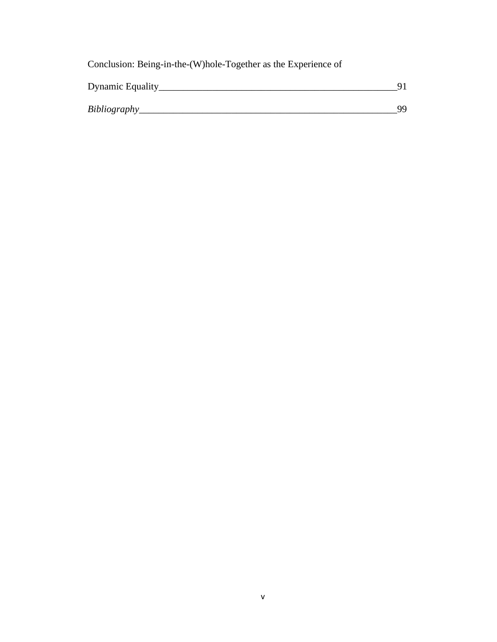Conclusion: Being-in-the-(W)hole-Together as the Experience of

| <b>Dynamic Equality</b> |    |
|-------------------------|----|
| Bibliography            | ΩQ |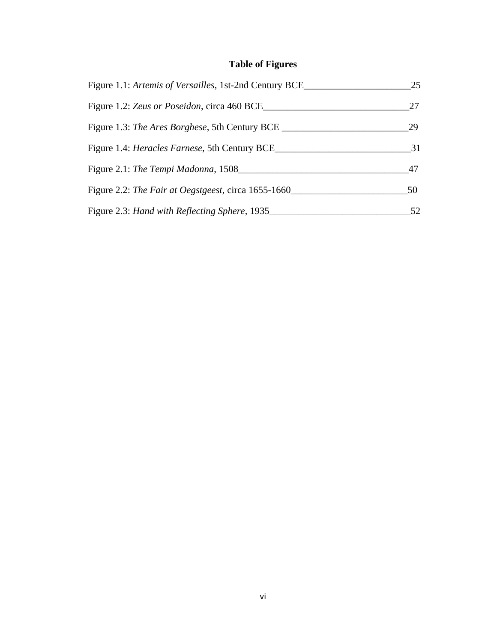# **Table of Figures**

| Figure 1.1: Artemis of Versailles, 1st-2nd Century BCE | 25 |
|--------------------------------------------------------|----|
| Figure 1.2: Zeus or Poseidon, circa 460 BCE            | 27 |
| Figure 1.3: <i>The Ares Borghese</i> , 5th Century BCE | 29 |
| Figure 1.4: <i>Heracles Farnese</i> , 5th Century BCE  | 31 |
| Figure 2.1: The Tempi Madonna, 1508                    | 47 |
| Figure 2.2: The Fair at Oegstgeest, circa 1655-1660    | 50 |
| Figure 2.3: Hand with Reflecting Sphere, 1935          | 52 |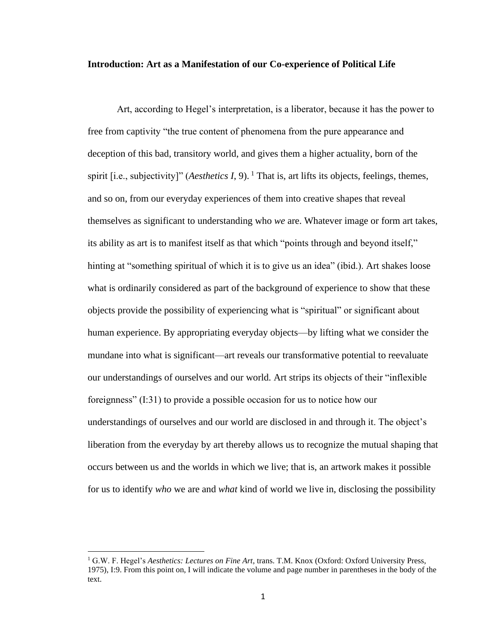### **Introduction: Art as a Manifestation of our Co-experience of Political Life**

Art, according to Hegel's interpretation, is a liberator, because it has the power to free from captivity "the true content of phenomena from the pure appearance and deception of this bad, transitory world, and gives them a higher actuality, born of the spirit [i.e., subjectivity]" (*Aesthetics I*, 9).<sup>1</sup> That is, art lifts its objects, feelings, themes, and so on, from our everyday experiences of them into creative shapes that reveal themselves as significant to understanding who *we* are. Whatever image or form art takes, its ability as art is to manifest itself as that which "points through and beyond itself," hinting at "something spiritual of which it is to give us an idea" (ibid.). Art shakes loose what is ordinarily considered as part of the background of experience to show that these objects provide the possibility of experiencing what is "spiritual" or significant about human experience. By appropriating everyday objects—by lifting what we consider the mundane into what is significant—art reveals our transformative potential to reevaluate our understandings of ourselves and our world. Art strips its objects of their "inflexible foreignness" (I:31) to provide a possible occasion for us to notice how our understandings of ourselves and our world are disclosed in and through it. The object's liberation from the everyday by art thereby allows us to recognize the mutual shaping that occurs between us and the worlds in which we live; that is, an artwork makes it possible for us to identify *who* we are and *what* kind of world we live in, disclosing the possibility

<sup>1</sup> G.W. F. Hegel's *Aesthetics: Lectures on Fine Art*, trans. T.M. Knox (Oxford: Oxford University Press, 1975), I:9. From this point on, I will indicate the volume and page number in parentheses in the body of the text.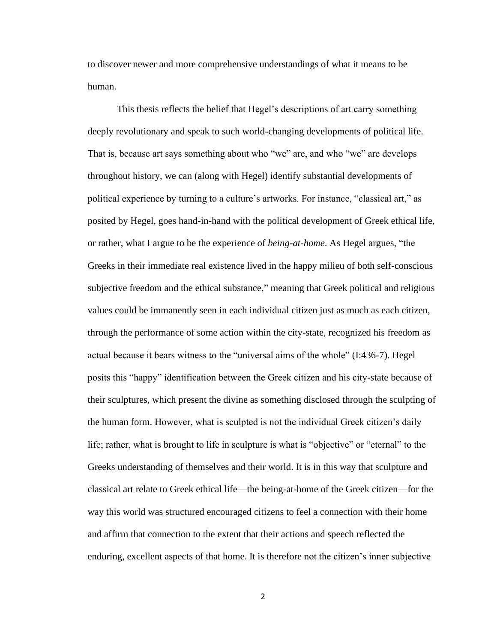to discover newer and more comprehensive understandings of what it means to be human.

This thesis reflects the belief that Hegel's descriptions of art carry something deeply revolutionary and speak to such world-changing developments of political life. That is, because art says something about who "we" are, and who "we" are develops throughout history, we can (along with Hegel) identify substantial developments of political experience by turning to a culture's artworks. For instance, "classical art," as posited by Hegel, goes hand-in-hand with the political development of Greek ethical life, or rather, what I argue to be the experience of *being-at-home*. As Hegel argues, "the Greeks in their immediate real existence lived in the happy milieu of both self-conscious subjective freedom and the ethical substance," meaning that Greek political and religious values could be immanently seen in each individual citizen just as much as each citizen, through the performance of some action within the city-state, recognized his freedom as actual because it bears witness to the "universal aims of the whole" (I:436-7). Hegel posits this "happy" identification between the Greek citizen and his city-state because of their sculptures, which present the divine as something disclosed through the sculpting of the human form. However, what is sculpted is not the individual Greek citizen's daily life; rather, what is brought to life in sculpture is what is "objective" or "eternal" to the Greeks understanding of themselves and their world. It is in this way that sculpture and classical art relate to Greek ethical life—the being-at-home of the Greek citizen—for the way this world was structured encouraged citizens to feel a connection with their home and affirm that connection to the extent that their actions and speech reflected the enduring, excellent aspects of that home. It is therefore not the citizen's inner subjective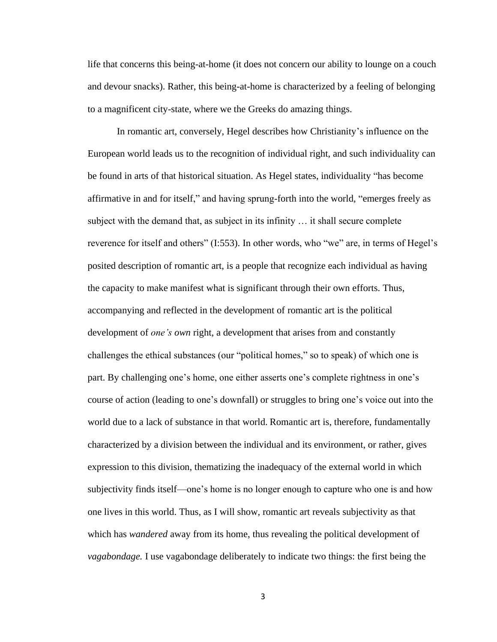life that concerns this being-at-home (it does not concern our ability to lounge on a couch and devour snacks). Rather, this being-at-home is characterized by a feeling of belonging to a magnificent city-state, where we the Greeks do amazing things.

In romantic art, conversely, Hegel describes how Christianity's influence on the European world leads us to the recognition of individual right, and such individuality can be found in arts of that historical situation. As Hegel states, individuality "has become affirmative in and for itself," and having sprung-forth into the world, "emerges freely as subject with the demand that, as subject in its infinity … it shall secure complete reverence for itself and others" (I:553). In other words, who "we" are, in terms of Hegel's posited description of romantic art, is a people that recognize each individual as having the capacity to make manifest what is significant through their own efforts. Thus, accompanying and reflected in the development of romantic art is the political development of *one's own* right, a development that arises from and constantly challenges the ethical substances (our "political homes," so to speak) of which one is part. By challenging one's home, one either asserts one's complete rightness in one's course of action (leading to one's downfall) or struggles to bring one's voice out into the world due to a lack of substance in that world. Romantic art is, therefore, fundamentally characterized by a division between the individual and its environment, or rather, gives expression to this division, thematizing the inadequacy of the external world in which subjectivity finds itself—one's home is no longer enough to capture who one is and how one lives in this world. Thus, as I will show, romantic art reveals subjectivity as that which has *wandered* away from its home, thus revealing the political development of *vagabondage.* I use vagabondage deliberately to indicate two things: the first being the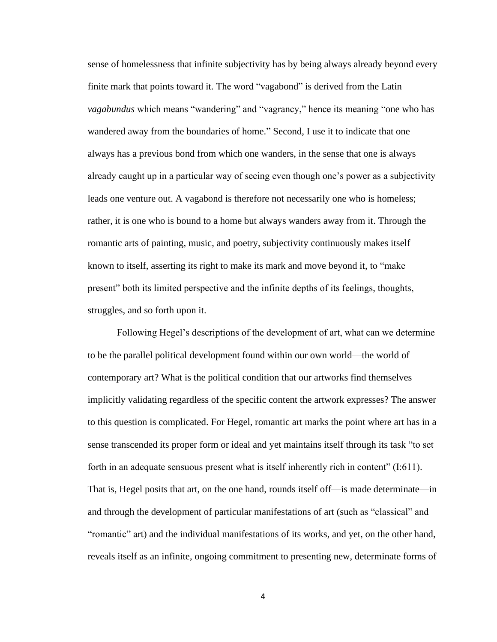sense of homelessness that infinite subjectivity has by being always already beyond every finite mark that points toward it. The word "vagabond" is derived from the Latin *vagabundus* which means "wandering" and "vagrancy," hence its meaning "one who has wandered away from the boundaries of home." Second, I use it to indicate that one always has a previous bond from which one wanders, in the sense that one is always already caught up in a particular way of seeing even though one's power as a subjectivity leads one venture out. A vagabond is therefore not necessarily one who is homeless; rather, it is one who is bound to a home but always wanders away from it. Through the romantic arts of painting, music, and poetry, subjectivity continuously makes itself known to itself, asserting its right to make its mark and move beyond it, to "make present" both its limited perspective and the infinite depths of its feelings, thoughts, struggles, and so forth upon it.

Following Hegel's descriptions of the development of art, what can we determine to be the parallel political development found within our own world—the world of contemporary art? What is the political condition that our artworks find themselves implicitly validating regardless of the specific content the artwork expresses? The answer to this question is complicated. For Hegel, romantic art marks the point where art has in a sense transcended its proper form or ideal and yet maintains itself through its task "to set forth in an adequate sensuous present what is itself inherently rich in content" (I:611). That is, Hegel posits that art, on the one hand, rounds itself off—is made determinate—in and through the development of particular manifestations of art (such as "classical" and "romantic" art) and the individual manifestations of its works, and yet, on the other hand, reveals itself as an infinite, ongoing commitment to presenting new, determinate forms of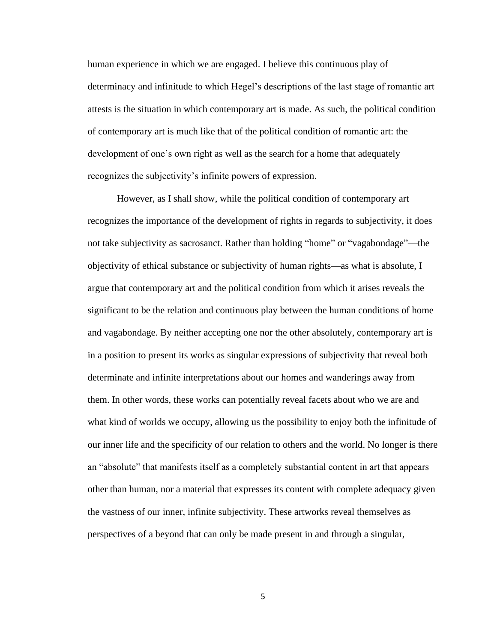human experience in which we are engaged. I believe this continuous play of determinacy and infinitude to which Hegel's descriptions of the last stage of romantic art attests is the situation in which contemporary art is made. As such, the political condition of contemporary art is much like that of the political condition of romantic art: the development of one's own right as well as the search for a home that adequately recognizes the subjectivity's infinite powers of expression.

However, as I shall show, while the political condition of contemporary art recognizes the importance of the development of rights in regards to subjectivity, it does not take subjectivity as sacrosanct. Rather than holding "home" or "vagabondage"—the objectivity of ethical substance or subjectivity of human rights—as what is absolute, I argue that contemporary art and the political condition from which it arises reveals the significant to be the relation and continuous play between the human conditions of home and vagabondage. By neither accepting one nor the other absolutely, contemporary art is in a position to present its works as singular expressions of subjectivity that reveal both determinate and infinite interpretations about our homes and wanderings away from them. In other words, these works can potentially reveal facets about who we are and what kind of worlds we occupy, allowing us the possibility to enjoy both the infinitude of our inner life and the specificity of our relation to others and the world. No longer is there an "absolute" that manifests itself as a completely substantial content in art that appears other than human, nor a material that expresses its content with complete adequacy given the vastness of our inner, infinite subjectivity. These artworks reveal themselves as perspectives of a beyond that can only be made present in and through a singular,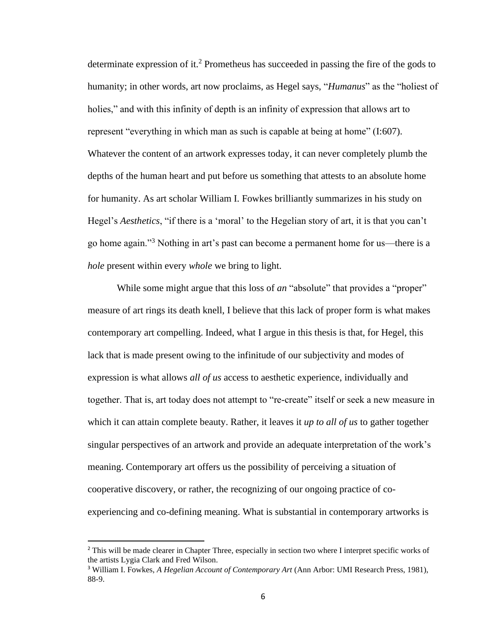determinate expression of it.<sup>2</sup> Prometheus has succeeded in passing the fire of the gods to humanity; in other words, art now proclaims, as Hegel says, "*Humanus*" as the "holiest of holies," and with this infinity of depth is an infinity of expression that allows art to represent "everything in which man as such is capable at being at home" (I:607). Whatever the content of an artwork expresses today, it can never completely plumb the depths of the human heart and put before us something that attests to an absolute home for humanity. As art scholar William I. Fowkes brilliantly summarizes in his study on Hegel's *Aesthetics*, "if there is a 'moral' to the Hegelian story of art, it is that you can't go home again."<sup>3</sup> Nothing in art's past can become a permanent home for us—there is a *hole* present within every *whole* we bring to light.

While some might argue that this loss of *an* "absolute" that provides a "proper" measure of art rings its death knell, I believe that this lack of proper form is what makes contemporary art compelling. Indeed, what I argue in this thesis is that, for Hegel, this lack that is made present owing to the infinitude of our subjectivity and modes of expression is what allows *all of us* access to aesthetic experience, individually and together. That is, art today does not attempt to "re-create" itself or seek a new measure in which it can attain complete beauty. Rather, it leaves it *up to all of us* to gather together singular perspectives of an artwork and provide an adequate interpretation of the work's meaning. Contemporary art offers us the possibility of perceiving a situation of cooperative discovery, or rather, the recognizing of our ongoing practice of coexperiencing and co-defining meaning. What is substantial in contemporary artworks is

<sup>&</sup>lt;sup>2</sup> This will be made clearer in Chapter Three, especially in section two where I interpret specific works of the artists Lygia Clark and Fred Wilson.

<sup>3</sup> William I. Fowkes, *A Hegelian Account of Contemporary Art* (Ann Arbor: UMI Research Press, 1981), 88-9.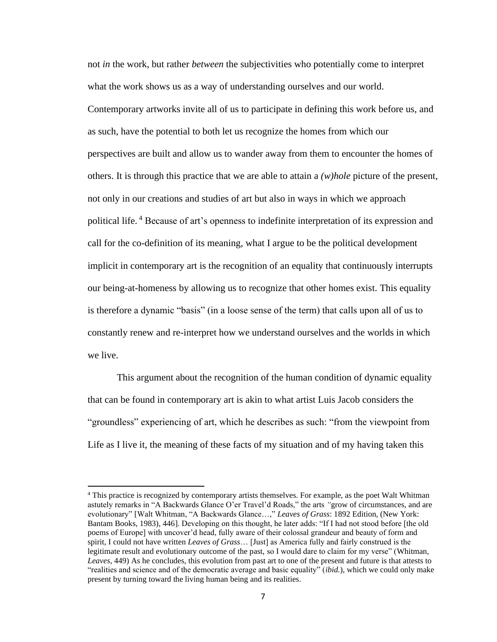not *in* the work, but rather *between* the subjectivities who potentially come to interpret what the work shows us as a way of understanding ourselves and our world. Contemporary artworks invite all of us to participate in defining this work before us, and as such, have the potential to both let us recognize the homes from which our perspectives are built and allow us to wander away from them to encounter the homes of others. It is through this practice that we are able to attain a *(w)hole* picture of the present, not only in our creations and studies of art but also in ways in which we approach political life. <sup>4</sup> Because of art's openness to indefinite interpretation of its expression and call for the co-definition of its meaning, what I argue to be the political development implicit in contemporary art is the recognition of an equality that continuously interrupts our being-at-homeness by allowing us to recognize that other homes exist. This equality is therefore a dynamic "basis" (in a loose sense of the term) that calls upon all of us to constantly renew and re-interpret how we understand ourselves and the worlds in which we live.

This argument about the recognition of the human condition of dynamic equality that can be found in contemporary art is akin to what artist Luis Jacob considers the "groundless" experiencing of art, which he describes as such: "from the viewpoint from Life as I live it, the meaning of these facts of my situation and of my having taken this

<sup>4</sup> This practice is recognized by contemporary artists themselves. For example, as the poet Walt Whitman astutely remarks in "A Backwards Glance O'er Travel'd Roads," the arts *"*grow of circumstances, and are evolutionary" [Walt Whitman, "A Backwards Glance…," *Leaves of Grass*: 1892 Edition, (New York: Bantam Books, 1983), 446]. Developing on this thought, he later adds: "If I had not stood before [the old poems of Europe] with uncover'd head, fully aware of their colossal grandeur and beauty of form and spirit, I could not have written *Leaves of Grass*… [Just] as America fully and fairly construed is the legitimate result and evolutionary outcome of the past, so I would dare to claim for my verse" (Whitman, *Leaves,* 449) As he concludes, this evolution from past art to one of the present and future is that attests to "realities and science and of the democratic average and basic equality" (*ibid.*), which we could only make present by turning toward the living human being and its realities.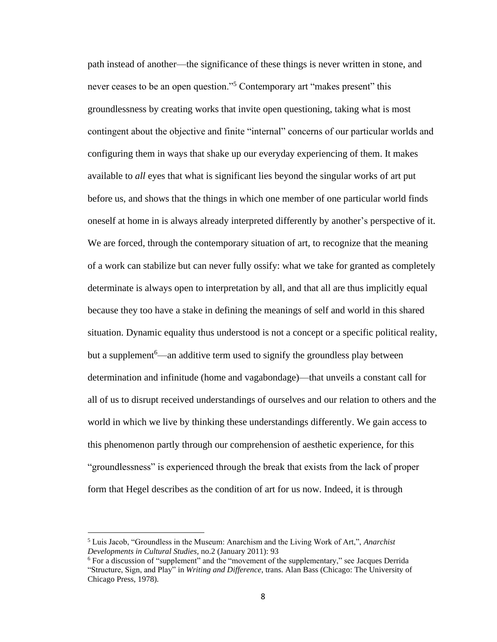path instead of another—the significance of these things is never written in stone, and never ceases to be an open question."<sup>5</sup> Contemporary art "makes present" this groundlessness by creating works that invite open questioning, taking what is most contingent about the objective and finite "internal" concerns of our particular worlds and configuring them in ways that shake up our everyday experiencing of them. It makes available to *all* eyes that what is significant lies beyond the singular works of art put before us, and shows that the things in which one member of one particular world finds oneself at home in is always already interpreted differently by another's perspective of it. We are forced, through the contemporary situation of art, to recognize that the meaning of a work can stabilize but can never fully ossify: what we take for granted as completely determinate is always open to interpretation by all, and that all are thus implicitly equal because they too have a stake in defining the meanings of self and world in this shared situation. Dynamic equality thus understood is not a concept or a specific political reality, but a supplement<sup>6</sup>—an additive term used to signify the groundless play between determination and infinitude (home and vagabondage)—that unveils a constant call for all of us to disrupt received understandings of ourselves and our relation to others and the world in which we live by thinking these understandings differently. We gain access to this phenomenon partly through our comprehension of aesthetic experience, for this "groundlessness" is experienced through the break that exists from the lack of proper form that Hegel describes as the condition of art for us now. Indeed, it is through

<sup>5</sup> Luis Jacob, "Groundless in the Museum: Anarchism and the Living Work of Art,", *Anarchist Developments in Cultural Studies,* no.2 (January 2011): 93

<sup>&</sup>lt;sup>6</sup> For a discussion of "supplement" and the "movement of the supplementary," see Jacques Derrida "Structure, Sign, and Play" in *Writing and Difference*, trans. Alan Bass (Chicago: The University of Chicago Press, 1978).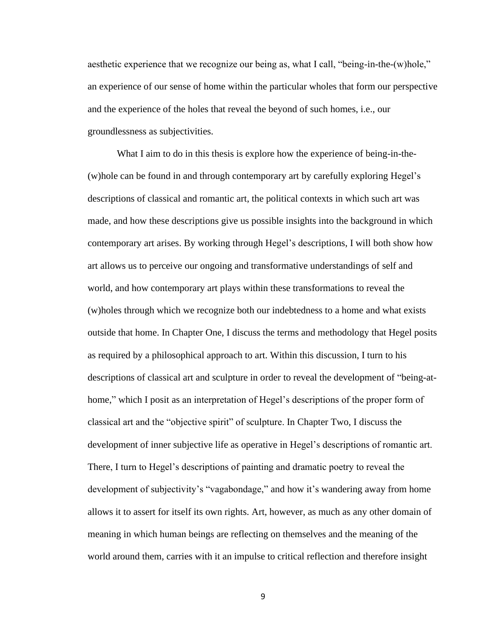aesthetic experience that we recognize our being as, what I call, "being-in-the-(w)hole," an experience of our sense of home within the particular wholes that form our perspective and the experience of the holes that reveal the beyond of such homes, i.e., our groundlessness as subjectivities.

What I aim to do in this thesis is explore how the experience of being-in-the- (w)hole can be found in and through contemporary art by carefully exploring Hegel's descriptions of classical and romantic art, the political contexts in which such art was made, and how these descriptions give us possible insights into the background in which contemporary art arises. By working through Hegel's descriptions, I will both show how art allows us to perceive our ongoing and transformative understandings of self and world, and how contemporary art plays within these transformations to reveal the (w)holes through which we recognize both our indebtedness to a home and what exists outside that home. In Chapter One, I discuss the terms and methodology that Hegel posits as required by a philosophical approach to art. Within this discussion, I turn to his descriptions of classical art and sculpture in order to reveal the development of "being-athome," which I posit as an interpretation of Hegel's descriptions of the proper form of classical art and the "objective spirit" of sculpture. In Chapter Two, I discuss the development of inner subjective life as operative in Hegel's descriptions of romantic art. There, I turn to Hegel's descriptions of painting and dramatic poetry to reveal the development of subjectivity's "vagabondage," and how it's wandering away from home allows it to assert for itself its own rights. Art, however, as much as any other domain of meaning in which human beings are reflecting on themselves and the meaning of the world around them, carries with it an impulse to critical reflection and therefore insight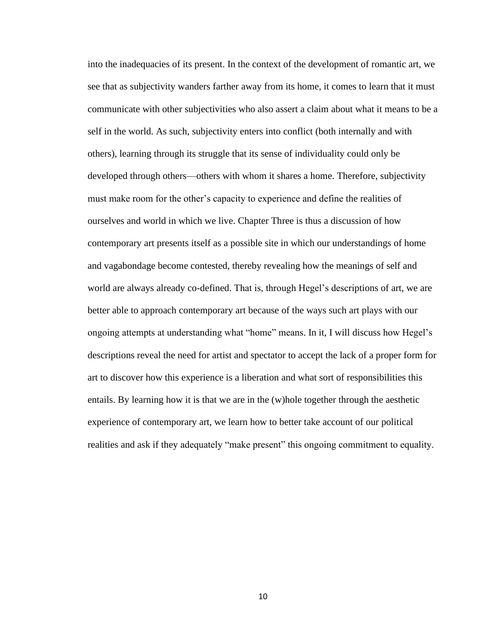into the inadequacies of its present. In the context of the development of romantic art, we see that as subjectivity wanders farther away from its home, it comes to learn that it must communicate with other subjectivities who also assert a claim about what it means to be a self in the world. As such, subjectivity enters into conflict (both internally and with others), learning through its struggle that its sense of individuality could only be developed through others—others with whom it shares a home. Therefore, subjectivity must make room for the other's capacity to experience and define the realities of ourselves and world in which we live. Chapter Three is thus a discussion of how contemporary art presents itself as a possible site in which our understandings of home and vagabondage become contested, thereby revealing how the meanings of self and world are always already co-defined. That is, through Hegel's descriptions of art, we are better able to approach contemporary art because of the ways such art plays with our ongoing attempts at understanding what "home" means. In it, I will discuss how Hegel's descriptions reveal the need for artist and spectator to accept the lack of a proper form for art to discover how this experience is a liberation and what sort of responsibilities this entails. By learning how it is that we are in the (w)hole together through the aesthetic experience of contemporary art, we learn how to better take account of our political realities and ask if they adequately "make present" this ongoing commitment to equality.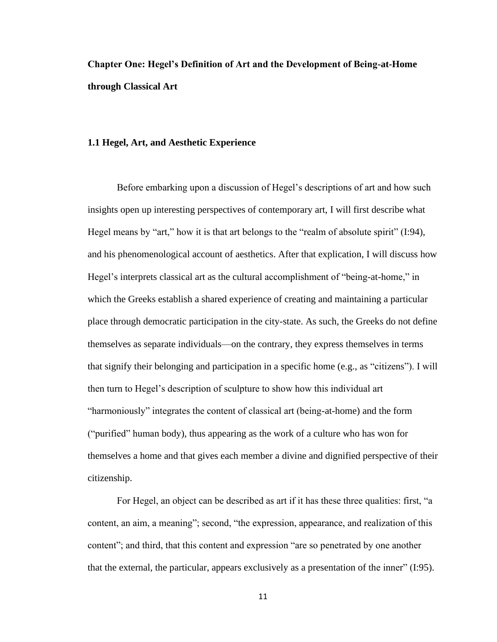# **Chapter One: Hegel's Definition of Art and the Development of Being-at-Home through Classical Art**

### **1.1 Hegel, Art, and Aesthetic Experience**

Before embarking upon a discussion of Hegel's descriptions of art and how such insights open up interesting perspectives of contemporary art, I will first describe what Hegel means by "art," how it is that art belongs to the "realm of absolute spirit" (I:94), and his phenomenological account of aesthetics. After that explication, I will discuss how Hegel's interprets classical art as the cultural accomplishment of "being-at-home," in which the Greeks establish a shared experience of creating and maintaining a particular place through democratic participation in the city-state. As such, the Greeks do not define themselves as separate individuals—on the contrary, they express themselves in terms that signify their belonging and participation in a specific home (e.g., as "citizens"). I will then turn to Hegel's description of sculpture to show how this individual art "harmoniously" integrates the content of classical art (being-at-home) and the form ("purified" human body), thus appearing as the work of a culture who has won for themselves a home and that gives each member a divine and dignified perspective of their citizenship.

For Hegel, an object can be described as art if it has these three qualities: first, "a content, an aim, a meaning"; second, "the expression, appearance, and realization of this content"; and third, that this content and expression "are so penetrated by one another that the external, the particular, appears exclusively as a presentation of the inner" (I:95).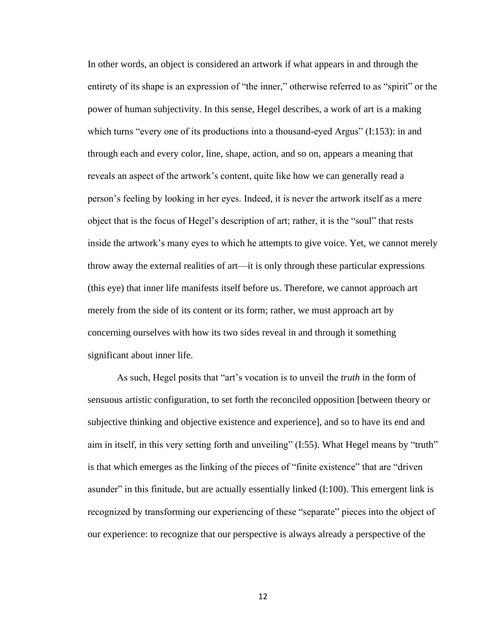In other words, an object is considered an artwork if what appears in and through the entirety of its shape is an expression of "the inner," otherwise referred to as "spirit" or the power of human subjectivity. In this sense, Hegel describes, a work of art is a making which turns "every one of its productions into a thousand-eyed Argus" (I:153): in and through each and every color, line, shape, action, and so on, appears a meaning that reveals an aspect of the artwork's content, quite like how we can generally read a person's feeling by looking in her eyes. Indeed, it is never the artwork itself as a mere object that is the focus of Hegel's description of art; rather, it is the "soul" that rests inside the artwork's many eyes to which he attempts to give voice. Yet, we cannot merely throw away the external realities of art—it is only through these particular expressions (this eye) that inner life manifests itself before us. Therefore, we cannot approach art merely from the side of its content or its form; rather, we must approach art by concerning ourselves with how its two sides reveal in and through it something significant about inner life.

As such, Hegel posits that "art's vocation is to unveil the *truth* in the form of sensuous artistic configuration, to set forth the reconciled opposition [between theory or subjective thinking and objective existence and experience], and so to have its end and aim in itself, in this very setting forth and unveiling" (I:55). What Hegel means by "truth" is that which emerges as the linking of the pieces of "finite existence" that are "driven asunder" in this finitude, but are actually essentially linked  $(I:100)$ . This emergent link is recognized by transforming our experiencing of these "separate" pieces into the object of our experience: to recognize that our perspective is always already a perspective of the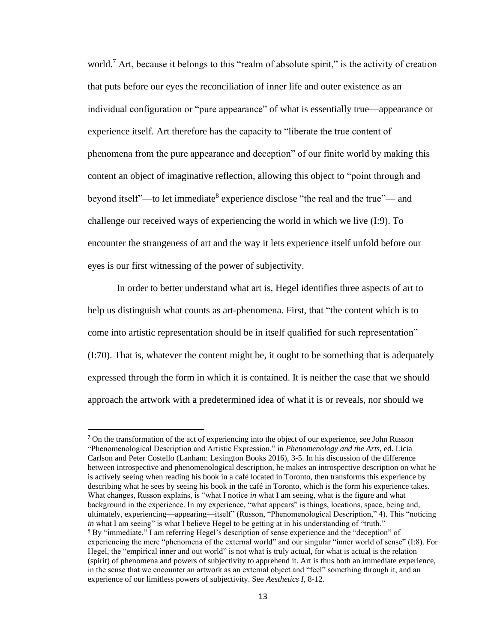world.<sup>7</sup> Art, because it belongs to this "realm of absolute spirit," is the activity of creation that puts before our eyes the reconciliation of inner life and outer existence as an individual configuration or "pure appearance" of what is essentially true—appearance or experience itself. Art therefore has the capacity to "liberate the true content of phenomena from the pure appearance and deception" of our finite world by making this content an object of imaginative reflection, allowing this object to "point through and beyond itself"—to let immediate<sup>8</sup> experience disclose "the real and the true"— and challenge our received ways of experiencing the world in which we live (I:9). To encounter the strangeness of art and the way it lets experience itself unfold before our eyes is our first witnessing of the power of subjectivity.

In order to better understand what art is, Hegel identifies three aspects of art to help us distinguish what counts as art-phenomena. First, that "the content which is to come into artistic representation should be in itself qualified for such representation" (I:70). That is, whatever the content might be, it ought to be something that is adequately expressed through the form in which it is contained. It is neither the case that we should approach the artwork with a predetermined idea of what it is or reveals, nor should we

<sup>7</sup> On the transformation of the act of experiencing into the object of our experience, see John Russon "Phenomenological Description and Artistic Expression," in *Phenomenology and the Arts*, ed. Licia Carlson and Peter Costello (Lanham: Lexington Books 2016), 3-5. In his discussion of the difference between introspective and phenomenological description, he makes an introspective description on what he is actively seeing when reading his book in a café located in Toronto, then transforms this experience by describing what he sees by seeing his book in the café in Toronto, which is the form his experience takes. What changes, Russon explains, is "what I notice *in* what I am seeing, what is the figure and what background in the experience. In my experience, "what appears" is things, locations, space, being and, ultimately, experiencing—appearing—itself" (Russon, "Phenomenological Description," 4). This "noticing *in* what I am seeing" is what I believe Hegel to be getting at in his understanding of "truth." <sup>8</sup> By "immediate," I am referring Hegel's description of sense experience and the "deception" of experiencing the mere "phenomena of the external world" and our singular "inner world of sense" (I:8). For Hegel, the "empirical inner and out world" is not what is truly actual, for what is actual is the relation (spirit) of phenomena and powers of subjectivity to apprehend it. Art is thus both an immediate experience, in the sense that we encounter an artwork as an external object and "feel" something through it, and an experience of our limitless powers of subjectivity. See *Aesthetics I*, 8-12.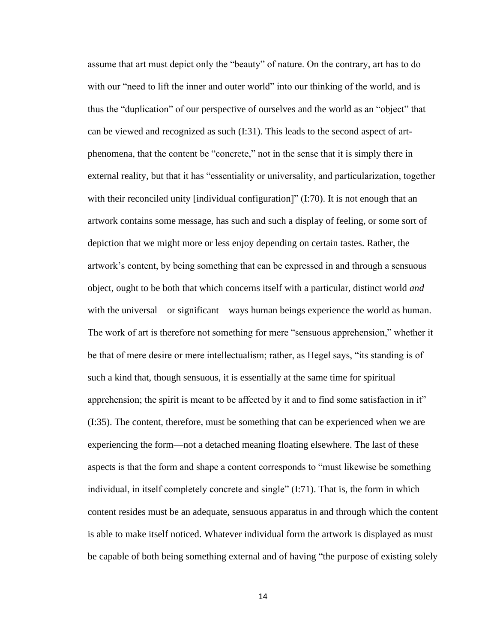assume that art must depict only the "beauty" of nature. On the contrary, art has to do with our "need to lift the inner and outer world" into our thinking of the world, and is thus the "duplication" of our perspective of ourselves and the world as an "object" that can be viewed and recognized as such (I:31). This leads to the second aspect of artphenomena, that the content be "concrete," not in the sense that it is simply there in external reality, but that it has "essentiality or universality, and particularization, together with their reconciled unity [individual configuration]" (I:70). It is not enough that an artwork contains some message, has such and such a display of feeling, or some sort of depiction that we might more or less enjoy depending on certain tastes. Rather, the artwork's content, by being something that can be expressed in and through a sensuous object, ought to be both that which concerns itself with a particular, distinct world *and* with the universal—or significant—ways human beings experience the world as human. The work of art is therefore not something for mere "sensuous apprehension," whether it be that of mere desire or mere intellectualism; rather, as Hegel says, "its standing is of such a kind that, though sensuous, it is essentially at the same time for spiritual apprehension; the spirit is meant to be affected by it and to find some satisfaction in it" (I:35). The content, therefore, must be something that can be experienced when we are experiencing the form—not a detached meaning floating elsewhere. The last of these aspects is that the form and shape a content corresponds to "must likewise be something individual, in itself completely concrete and single" (I:71). That is, the form in which content resides must be an adequate, sensuous apparatus in and through which the content is able to make itself noticed. Whatever individual form the artwork is displayed as must be capable of both being something external and of having "the purpose of existing solely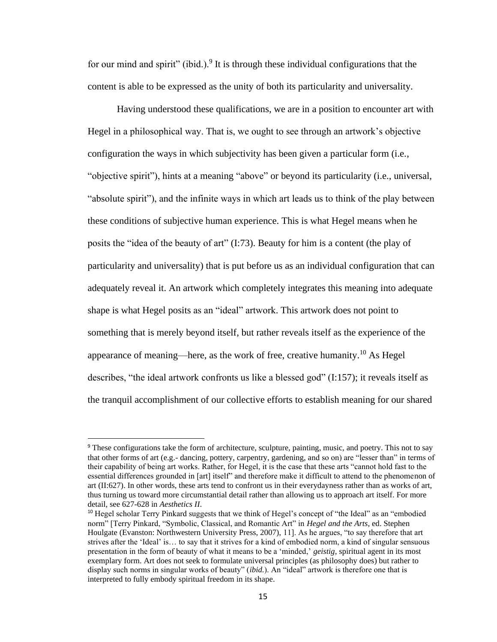for our mind and spirit" (ibid.).<sup>9</sup> It is through these individual configurations that the content is able to be expressed as the unity of both its particularity and universality.

Having understood these qualifications, we are in a position to encounter art with Hegel in a philosophical way. That is, we ought to see through an artwork's objective configuration the ways in which subjectivity has been given a particular form (i.e., "objective spirit"), hints at a meaning "above" or beyond its particularity (i.e., universal, "absolute spirit"), and the infinite ways in which art leads us to think of the play between these conditions of subjective human experience. This is what Hegel means when he posits the "idea of the beauty of art" (I:73). Beauty for him is a content (the play of particularity and universality) that is put before us as an individual configuration that can adequately reveal it. An artwork which completely integrates this meaning into adequate shape is what Hegel posits as an "ideal" artwork. This artwork does not point to something that is merely beyond itself, but rather reveals itself as the experience of the appearance of meaning—here, as the work of free, creative humanity.<sup>10</sup> As Hegel describes, "the ideal artwork confronts us like a blessed god" (I:157); it reveals itself as the tranquil accomplishment of our collective efforts to establish meaning for our shared

<sup>9</sup> These configurations take the form of architecture, sculpture, painting, music, and poetry. This not to say that other forms of art (e.g.- dancing, pottery, carpentry, gardening, and so on) are "lesser than" in terms of their capability of being art works. Rather, for Hegel, it is the case that these arts "cannot hold fast to the essential differences grounded in [art] itself" and therefore make it difficult to attend to the phenomenon of art (II:627). In other words, these arts tend to confront us in their everydayness rather than as works of art, thus turning us toward more circumstantial detail rather than allowing us to approach art itself. For more detail, see 627-628 in *Aesthetics II*.

<sup>&</sup>lt;sup>10</sup> Hegel scholar Terry Pinkard suggests that we think of Hegel's concept of "the Ideal" as an "embodied" norm" [Terry Pinkard, "Symbolic, Classical, and Romantic Art" in *Hegel and the Arts*, ed. Stephen Houlgate (Evanston: Northwestern University Press, 2007), 11]. As he argues, "to say therefore that art strives after the 'Ideal' is… to say that it strives for a kind of embodied norm, a kind of singular sensuous presentation in the form of beauty of what it means to be a 'minded,' *geistig*, spiritual agent in its most exemplary form. Art does not seek to formulate universal principles (as philosophy does) but rather to display such norms in singular works of beauty" (*ibid.*). An "ideal" artwork is therefore one that is interpreted to fully embody spiritual freedom in its shape.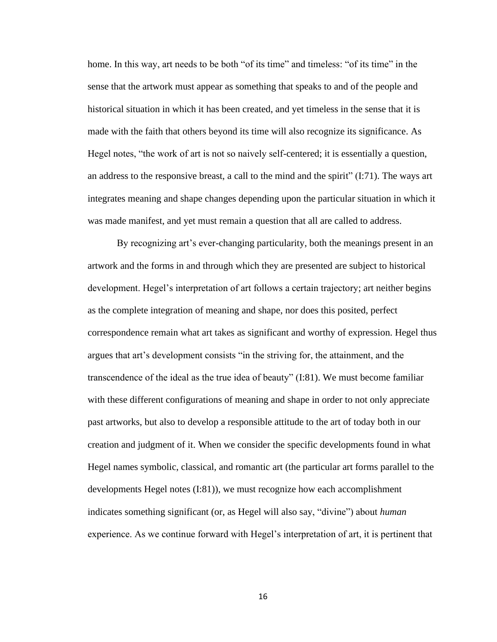home. In this way, art needs to be both "of its time" and timeless: "of its time" in the sense that the artwork must appear as something that speaks to and of the people and historical situation in which it has been created, and yet timeless in the sense that it is made with the faith that others beyond its time will also recognize its significance. As Hegel notes, "the work of art is not so naively self-centered; it is essentially a question, an address to the responsive breast, a call to the mind and the spirit" (I:71). The ways art integrates meaning and shape changes depending upon the particular situation in which it was made manifest, and yet must remain a question that all are called to address.

By recognizing art's ever-changing particularity, both the meanings present in an artwork and the forms in and through which they are presented are subject to historical development. Hegel's interpretation of art follows a certain trajectory; art neither begins as the complete integration of meaning and shape, nor does this posited, perfect correspondence remain what art takes as significant and worthy of expression. Hegel thus argues that art's development consists "in the striving for, the attainment, and the transcendence of the ideal as the true idea of beauty" (I:81). We must become familiar with these different configurations of meaning and shape in order to not only appreciate past artworks, but also to develop a responsible attitude to the art of today both in our creation and judgment of it. When we consider the specific developments found in what Hegel names symbolic, classical, and romantic art (the particular art forms parallel to the developments Hegel notes (I:81)), we must recognize how each accomplishment indicates something significant (or, as Hegel will also say, "divine") about *human* experience. As we continue forward with Hegel's interpretation of art, it is pertinent that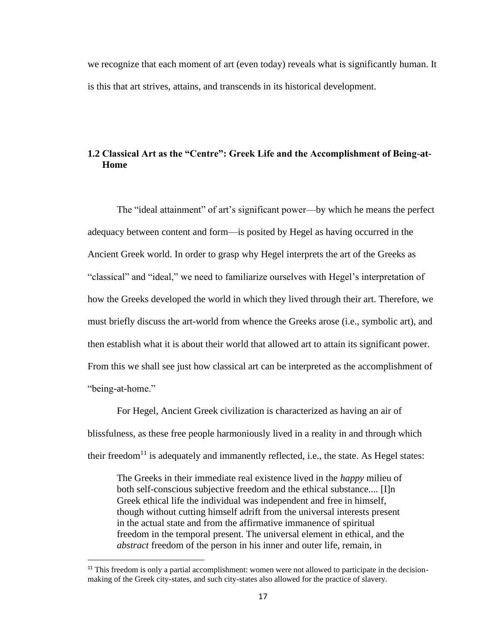we recognize that each moment of art (even today) reveals what is significantly human. It is this that art strives, attains, and transcends in its historical development.

## **1.2 Classical Art as the "Centre": Greek Life and the Accomplishment of Being-at-Home**

The "ideal attainment" of art's significant power—by which he means the perfect adequacy between content and form—is posited by Hegel as having occurred in the Ancient Greek world. In order to grasp why Hegel interprets the art of the Greeks as "classical" and "ideal," we need to familiarize ourselves with Hegel's interpretation of how the Greeks developed the world in which they lived through their art. Therefore, we must briefly discuss the art-world from whence the Greeks arose (i.e., symbolic art), and then establish what it is about their world that allowed art to attain its significant power. From this we shall see just how classical art can be interpreted as the accomplishment of "being-at-home."

For Hegel, Ancient Greek civilization is characterized as having an air of blissfulness, as these free people harmoniously lived in a reality in and through which their freedom<sup>11</sup> is adequately and immanently reflected, i.e., the state. As Hegel states:

The Greeks in their immediate real existence lived in the *happy* milieu of both self-conscious subjective freedom and the ethical substance.... [I]n Greek ethical life the individual was independent and free in himself, though without cutting himself adrift from the universal interests present in the actual state and from the affirmative immanence of spiritual freedom in the temporal present. The universal element in ethical, and the *abstract* freedom of the person in his inner and outer life, remain, in

<sup>&</sup>lt;sup>11</sup> This freedom is only a partial accomplishment: women were not allowed to participate in the decisionmaking of the Greek city-states, and such city-states also allowed for the practice of slavery.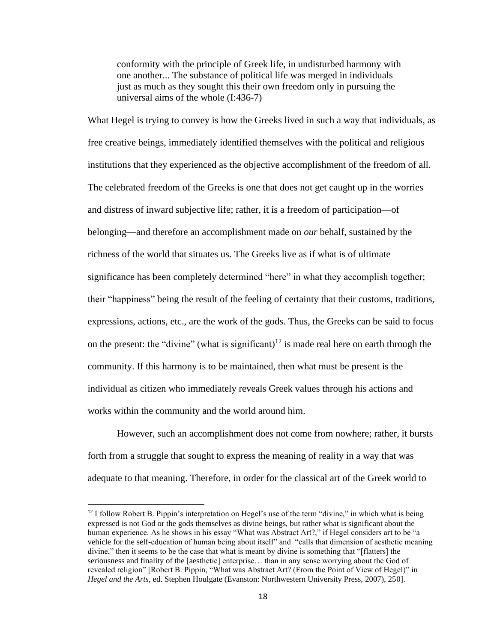conformity with the principle of Greek life, in undisturbed harmony with one another... The substance of political life was merged in individuals just as much as they sought this their own freedom only in pursuing the universal aims of the whole (I:436-7)

What Hegel is trying to convey is how the Greeks lived in such a way that individuals, as free creative beings, immediately identified themselves with the political and religious institutions that they experienced as the objective accomplishment of the freedom of all. The celebrated freedom of the Greeks is one that does not get caught up in the worries and distress of inward subjective life; rather, it is a freedom of participation—of belonging—and therefore an accomplishment made on *our* behalf, sustained by the richness of the world that situates us. The Greeks live as if what is of ultimate significance has been completely determined "here" in what they accomplish together; their "happiness" being the result of the feeling of certainty that their customs, traditions, expressions, actions, etc., are the work of the gods. Thus, the Greeks can be said to focus on the present: the "divine" (what is significant)<sup>12</sup> is made real here on earth through the community. If this harmony is to be maintained, then what must be present is the individual as citizen who immediately reveals Greek values through his actions and works within the community and the world around him.

However, such an accomplishment does not come from nowhere; rather, it bursts forth from a struggle that sought to express the meaning of reality in a way that was adequate to that meaning. Therefore, in order for the classical art of the Greek world to

 $12$  I follow Robert B. Pippin's interpretation on Hegel's use of the term "divine," in which what is being expressed is not God or the gods themselves as divine beings, but rather what is significant about the human experience. As he shows in his essay "What was Abstract Art?," if Hegel considers art to be "a vehicle for the self-education of human being about itself" and "calls that dimension of aesthetic meaning divine," then it seems to be the case that what is meant by divine is something that "[flatters] the seriousness and finality of the [aesthetic] enterprise… than in any sense worrying about the God of revealed religion" [Robert B. Pippin, "What was Abstract Art? (From the Point of View of Hegel)" in *Hegel and the Arts*, ed. Stephen Houlgate (Evanston: Northwestern University Press, 2007), 250].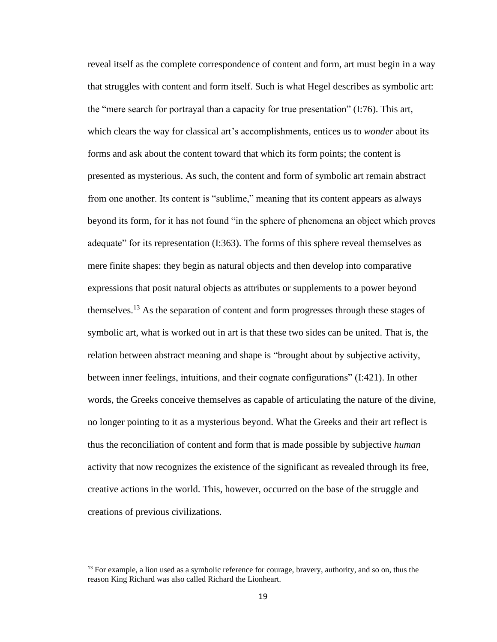reveal itself as the complete correspondence of content and form, art must begin in a way that struggles with content and form itself. Such is what Hegel describes as symbolic art: the "mere search for portrayal than a capacity for true presentation" (I:76). This art, which clears the way for classical art's accomplishments, entices us to *wonder* about its forms and ask about the content toward that which its form points; the content is presented as mysterious. As such, the content and form of symbolic art remain abstract from one another. Its content is "sublime," meaning that its content appears as always beyond its form, for it has not found "in the sphere of phenomena an object which proves adequate" for its representation (I:363). The forms of this sphere reveal themselves as mere finite shapes: they begin as natural objects and then develop into comparative expressions that posit natural objects as attributes or supplements to a power beyond themselves.<sup>13</sup> As the separation of content and form progresses through these stages of symbolic art, what is worked out in art is that these two sides can be united. That is, the relation between abstract meaning and shape is "brought about by subjective activity, between inner feelings, intuitions, and their cognate configurations" (I:421). In other words, the Greeks conceive themselves as capable of articulating the nature of the divine, no longer pointing to it as a mysterious beyond. What the Greeks and their art reflect is thus the reconciliation of content and form that is made possible by subjective *human* activity that now recognizes the existence of the significant as revealed through its free, creative actions in the world. This, however, occurred on the base of the struggle and creations of previous civilizations.

<sup>&</sup>lt;sup>13</sup> For example, a lion used as a symbolic reference for courage, bravery, authority, and so on, thus the reason King Richard was also called Richard the Lionheart.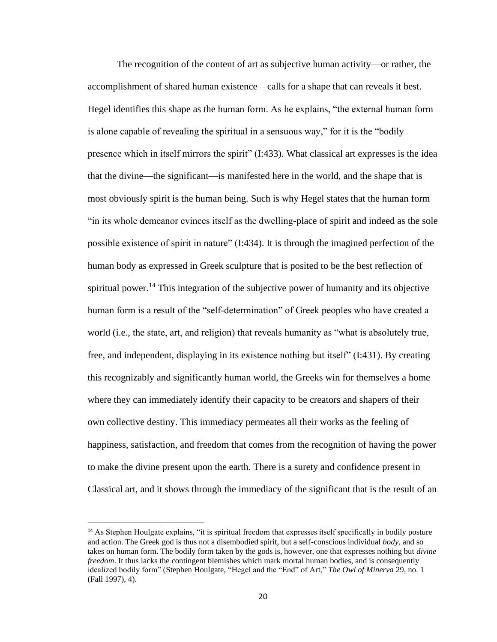The recognition of the content of art as subjective human activity—or rather, the accomplishment of shared human existence—calls for a shape that can reveals it best. Hegel identifies this shape as the human form. As he explains, "the external human form is alone capable of revealing the spiritual in a sensuous way," for it is the "bodily presence which in itself mirrors the spirit" (I:433). What classical art expresses is the idea that the divine—the significant—is manifested here in the world, and the shape that is most obviously spirit is the human being. Such is why Hegel states that the human form "in its whole demeanor evinces itself as the dwelling-place of spirit and indeed as the sole possible existence of spirit in nature" (I:434). It is through the imagined perfection of the human body as expressed in Greek sculpture that is posited to be the best reflection of spiritual power.<sup>14</sup> This integration of the subjective power of humanity and its objective human form is a result of the "self-determination" of Greek peoples who have created a world (i.e., the state, art, and religion) that reveals humanity as "what is absolutely true, free, and independent, displaying in its existence nothing but itself" (I:431). By creating this recognizably and significantly human world, the Greeks win for themselves a home where they can immediately identify their capacity to be creators and shapers of their own collective destiny. This immediacy permeates all their works as the feeling of happiness, satisfaction, and freedom that comes from the recognition of having the power to make the divine present upon the earth. There is a surety and confidence present in Classical art, and it shows through the immediacy of the significant that is the result of an

<sup>&</sup>lt;sup>14</sup> As Stephen Houlgate explains, "it is spiritual freedom that expresses itself specifically in bodily posture and action. The Greek god is thus not a disembodied spirit, but a self-conscious individual *body*, and so takes on human form. The bodily form taken by the gods is, however, one that expresses nothing but *divine freedom*. It thus lacks the contingent blemishes which mark mortal human bodies, and is consequently idealized bodily form" (Stephen Houlgate, "Hegel and the "End" of Art," *The Owl of Minerva* 29, no. 1 (Fall 1997), 4).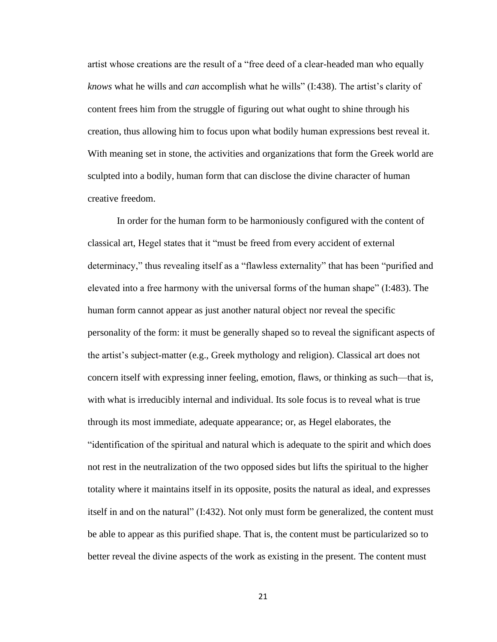artist whose creations are the result of a "free deed of a clear-headed man who equally *knows* what he wills and *can* accomplish what he wills" (I:438). The artist's clarity of content frees him from the struggle of figuring out what ought to shine through his creation, thus allowing him to focus upon what bodily human expressions best reveal it. With meaning set in stone, the activities and organizations that form the Greek world are sculpted into a bodily, human form that can disclose the divine character of human creative freedom.

In order for the human form to be harmoniously configured with the content of classical art, Hegel states that it "must be freed from every accident of external determinacy," thus revealing itself as a "flawless externality" that has been "purified and elevated into a free harmony with the universal forms of the human shape" (I:483). The human form cannot appear as just another natural object nor reveal the specific personality of the form: it must be generally shaped so to reveal the significant aspects of the artist's subject-matter (e.g., Greek mythology and religion). Classical art does not concern itself with expressing inner feeling, emotion, flaws, or thinking as such—that is, with what is irreducibly internal and individual. Its sole focus is to reveal what is true through its most immediate, adequate appearance; or, as Hegel elaborates, the "identification of the spiritual and natural which is adequate to the spirit and which does not rest in the neutralization of the two opposed sides but lifts the spiritual to the higher totality where it maintains itself in its opposite, posits the natural as ideal, and expresses itself in and on the natural" (I:432). Not only must form be generalized, the content must be able to appear as this purified shape. That is, the content must be particularized so to better reveal the divine aspects of the work as existing in the present. The content must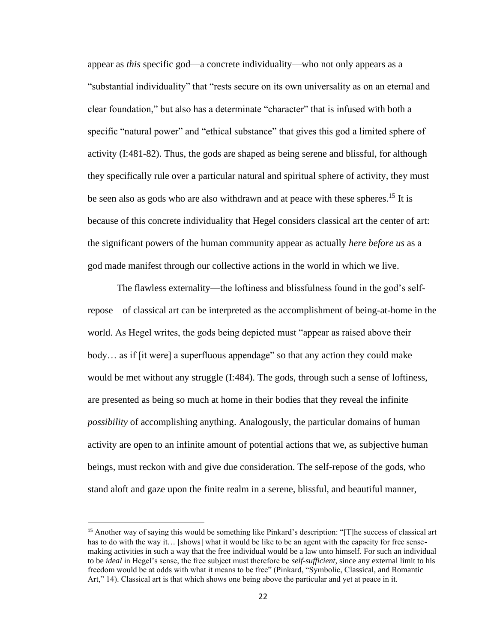appear as *this* specific god—a concrete individuality—who not only appears as a "substantial individuality" that "rests secure on its own universality as on an eternal and clear foundation," but also has a determinate "character" that is infused with both a specific "natural power" and "ethical substance" that gives this god a limited sphere of activity (I:481-82). Thus, the gods are shaped as being serene and blissful, for although they specifically rule over a particular natural and spiritual sphere of activity, they must be seen also as gods who are also withdrawn and at peace with these spheres.<sup>15</sup> It is because of this concrete individuality that Hegel considers classical art the center of art: the significant powers of the human community appear as actually *here before us* as a god made manifest through our collective actions in the world in which we live.

The flawless externality—the loftiness and blissfulness found in the god's selfrepose—of classical art can be interpreted as the accomplishment of being-at-home in the world. As Hegel writes, the gods being depicted must "appear as raised above their body… as if [it were] a superfluous appendage" so that any action they could make would be met without any struggle (I:484). The gods, through such a sense of loftiness, are presented as being so much at home in their bodies that they reveal the infinite *possibility* of accomplishing anything. Analogously, the particular domains of human activity are open to an infinite amount of potential actions that we, as subjective human beings, must reckon with and give due consideration. The self-repose of the gods, who stand aloft and gaze upon the finite realm in a serene, blissful, and beautiful manner,

<sup>15</sup> Another way of saying this would be something like Pinkard's description: "[T]he success of classical art has to do with the way it... [shows] what it would be like to be an agent with the capacity for free sensemaking activities in such a way that the free individual would be a law unto himself. For such an individual to be *ideal* in Hegel's sense, the free subject must therefore be *self-sufficient*, since any external limit to his freedom would be at odds with what it means to be free" (Pinkard, "Symbolic, Classical, and Romantic Art," 14). Classical art is that which shows one being above the particular and yet at peace in it.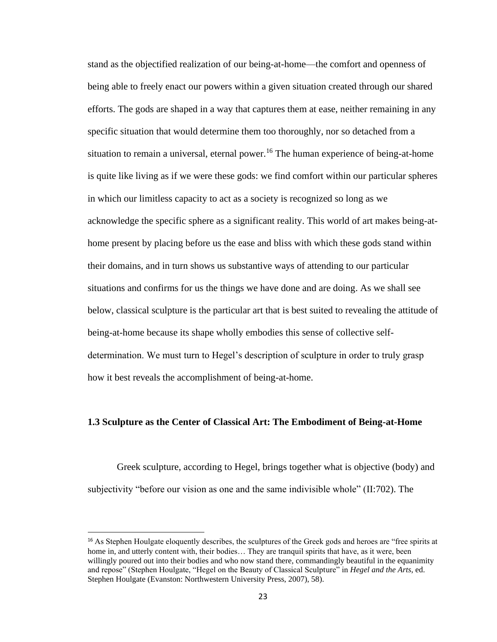stand as the objectified realization of our being-at-home—the comfort and openness of being able to freely enact our powers within a given situation created through our shared efforts. The gods are shaped in a way that captures them at ease, neither remaining in any specific situation that would determine them too thoroughly, nor so detached from a situation to remain a universal, eternal power.<sup>16</sup> The human experience of being-at-home is quite like living as if we were these gods: we find comfort within our particular spheres in which our limitless capacity to act as a society is recognized so long as we acknowledge the specific sphere as a significant reality. This world of art makes being-athome present by placing before us the ease and bliss with which these gods stand within their domains, and in turn shows us substantive ways of attending to our particular situations and confirms for us the things we have done and are doing. As we shall see below, classical sculpture is the particular art that is best suited to revealing the attitude of being-at-home because its shape wholly embodies this sense of collective selfdetermination. We must turn to Hegel's description of sculpture in order to truly grasp how it best reveals the accomplishment of being-at-home.

### **1.3 Sculpture as the Center of Classical Art: The Embodiment of Being-at-Home**

Greek sculpture, according to Hegel, brings together what is objective (body) and subjectivity "before our vision as one and the same indivisible whole" (II:702). The

<sup>&</sup>lt;sup>16</sup> As Stephen Houlgate eloquently describes, the sculptures of the Greek gods and heroes are "free spirits at home in, and utterly content with, their bodies… They are tranquil spirits that have, as it were, been willingly poured out into their bodies and who now stand there, commandingly beautiful in the equanimity and repose" (Stephen Houlgate, "Hegel on the Beauty of Classical Sculpture" in *Hegel and the Arts*, ed. Stephen Houlgate (Evanston: Northwestern University Press, 2007), 58).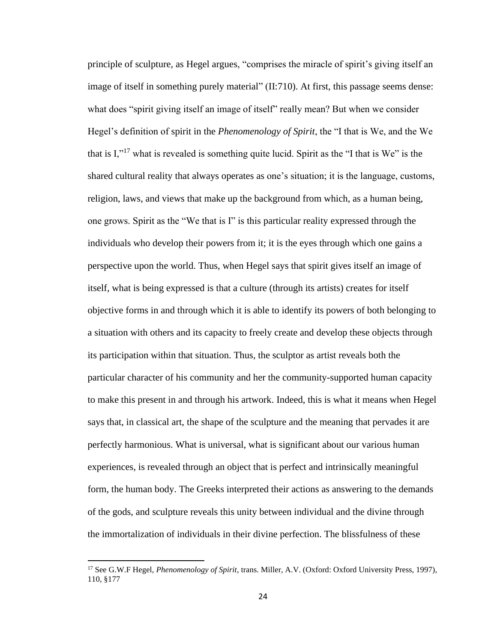principle of sculpture, as Hegel argues, "comprises the miracle of spirit's giving itself an image of itself in something purely material" (II:710). At first, this passage seems dense: what does "spirit giving itself an image of itself" really mean? But when we consider Hegel's definition of spirit in the *Phenomenology of Spirit*, the "I that is We, and the We that is  $I^{\prime\prime}$ ,"<sup>17</sup> what is revealed is something quite lucid. Spirit as the "I that is We" is the shared cultural reality that always operates as one's situation; it is the language, customs, religion, laws, and views that make up the background from which, as a human being, one grows. Spirit as the "We that is I" is this particular reality expressed through the individuals who develop their powers from it; it is the eyes through which one gains a perspective upon the world. Thus, when Hegel says that spirit gives itself an image of itself, what is being expressed is that a culture (through its artists) creates for itself objective forms in and through which it is able to identify its powers of both belonging to a situation with others and its capacity to freely create and develop these objects through its participation within that situation. Thus, the sculptor as artist reveals both the particular character of his community and her the community-supported human capacity to make this present in and through his artwork. Indeed, this is what it means when Hegel says that, in classical art, the shape of the sculpture and the meaning that pervades it are perfectly harmonious. What is universal, what is significant about our various human experiences, is revealed through an object that is perfect and intrinsically meaningful form, the human body. The Greeks interpreted their actions as answering to the demands of the gods, and sculpture reveals this unity between individual and the divine through the immortalization of individuals in their divine perfection. The blissfulness of these

<sup>17</sup> See G.W.F Hegel, *Phenomenology of Spirit*, trans. Miller, A.V. (Oxford: Oxford University Press, 1997), 110, §177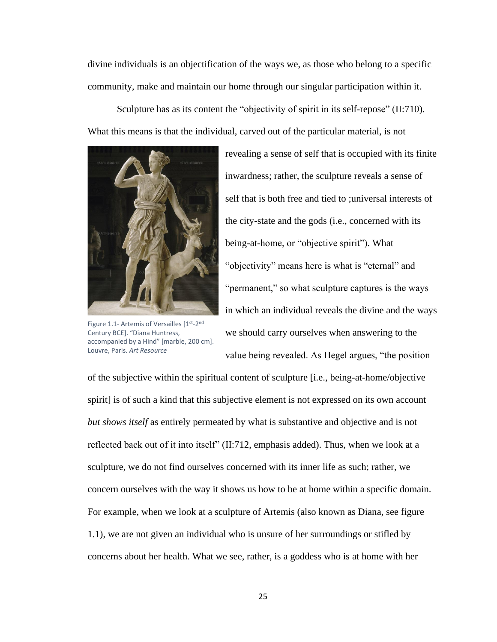divine individuals is an objectification of the ways we, as those who belong to a specific community, make and maintain our home through our singular participation within it.

Sculpture has as its content the "objectivity of spirit in its self-repose" (II:710). What this means is that the individual, carved out of the particular material, is not



Figure 1.1- Artemis of Versailles [1st-2nd Century BCE]. "Diana Huntress, accompanied by a Hind" [marble, 200 cm]. Louvre, Paris. *Art Resource*

revealing a sense of self that is occupied with its finite inwardness; rather, the sculpture reveals a sense of self that is both free and tied to ;universal interests of the city-state and the gods (i.e., concerned with its being-at-home, or "objective spirit"). What "objectivity" means here is what is "eternal" and "permanent," so what sculpture captures is the ways in which an individual reveals the divine and the ways we should carry ourselves when answering to the value being revealed. As Hegel argues, "the position

of the subjective within the spiritual content of sculpture [i.e., being-at-home/objective spirit] is of such a kind that this subjective element is not expressed on its own account *but shows itself* as entirely permeated by what is substantive and objective and is not reflected back out of it into itself" (II:712, emphasis added). Thus, when we look at a sculpture, we do not find ourselves concerned with its inner life as such; rather, we concern ourselves with the way it shows us how to be at home within a specific domain. For example, when we look at a sculpture of Artemis (also known as Diana, see figure 1.1), we are not given an individual who is unsure of her surroundings or stifled by concerns about her health. What we see, rather, is a goddess who is at home with her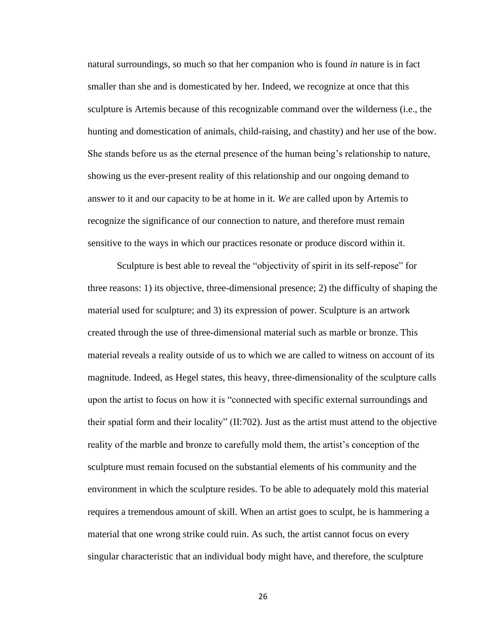natural surroundings, so much so that her companion who is found *in* nature is in fact smaller than she and is domesticated by her. Indeed, we recognize at once that this sculpture is Artemis because of this recognizable command over the wilderness (i.e., the hunting and domestication of animals, child-raising, and chastity) and her use of the bow. She stands before us as the eternal presence of the human being's relationship to nature, showing us the ever-present reality of this relationship and our ongoing demand to answer to it and our capacity to be at home in it. *We* are called upon by Artemis to recognize the significance of our connection to nature, and therefore must remain sensitive to the ways in which our practices resonate or produce discord within it.

Sculpture is best able to reveal the "objectivity of spirit in its self-repose" for three reasons: 1) its objective, three-dimensional presence; 2) the difficulty of shaping the material used for sculpture; and 3) its expression of power. Sculpture is an artwork created through the use of three-dimensional material such as marble or bronze. This material reveals a reality outside of us to which we are called to witness on account of its magnitude. Indeed, as Hegel states, this heavy, three-dimensionality of the sculpture calls upon the artist to focus on how it is "connected with specific external surroundings and their spatial form and their locality" (II:702). Just as the artist must attend to the objective reality of the marble and bronze to carefully mold them, the artist's conception of the sculpture must remain focused on the substantial elements of his community and the environment in which the sculpture resides. To be able to adequately mold this material requires a tremendous amount of skill. When an artist goes to sculpt, he is hammering a material that one wrong strike could ruin. As such, the artist cannot focus on every singular characteristic that an individual body might have, and therefore, the sculpture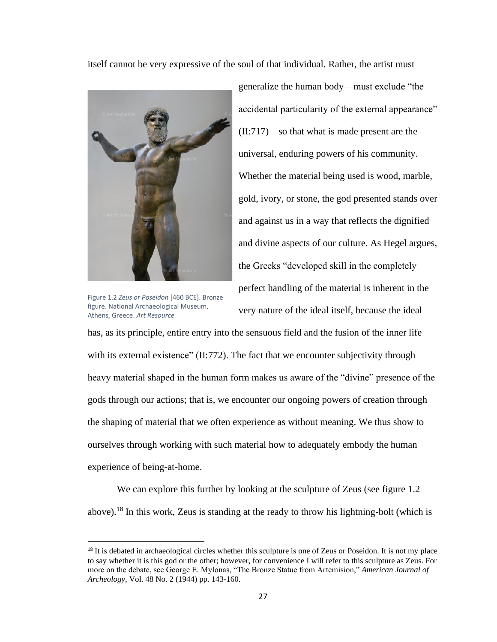itself cannot be very expressive of the soul of that individual. Rather, the artist must



Figure 1.2 *Zeus or Poseidon* [460 BCE]. Bronze figure. National Archaeological Museum, Athens, Greece. *Art Resource*

generalize the human body—must exclude "the accidental particularity of the external appearance" (II:717)—so that what is made present are the universal, enduring powers of his community. Whether the material being used is wood, marble, gold, ivory, or stone, the god presented stands over and against us in a way that reflects the dignified and divine aspects of our culture. As Hegel argues, the Greeks "developed skill in the completely perfect handling of the material is inherent in the

very nature of the ideal itself, because the ideal

has, as its principle, entire entry into the sensuous field and the fusion of the inner life with its external existence" (II:772). The fact that we encounter subjectivity through heavy material shaped in the human form makes us aware of the "divine" presence of the gods through our actions; that is, we encounter our ongoing powers of creation through the shaping of material that we often experience as without meaning. We thus show to ourselves through working with such material how to adequately embody the human experience of being-at-home.

We can explore this further by looking at the sculpture of Zeus (see figure 1.2) above).<sup>18</sup> In this work, Zeus is standing at the ready to throw his lightning-bolt (which is

<sup>&</sup>lt;sup>18</sup> It is debated in archaeological circles whether this sculpture is one of Zeus or Poseidon. It is not my place to say whether it is this god or the other; however, for convenience I will refer to this sculpture as Zeus. For more on the debate, see George E. Mylonas, "The Bronze Statue from Artemision," *American Journal of Archeology*, Vol. 48 No. 2 (1944) pp. 143-160.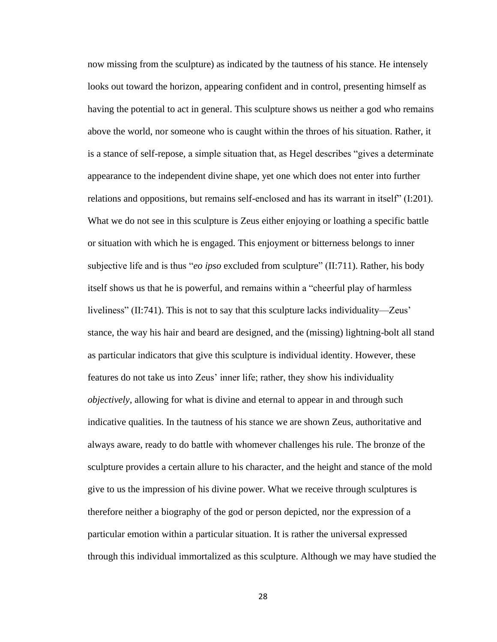now missing from the sculpture) as indicated by the tautness of his stance. He intensely looks out toward the horizon, appearing confident and in control, presenting himself as having the potential to act in general. This sculpture shows us neither a god who remains above the world, nor someone who is caught within the throes of his situation. Rather, it is a stance of self-repose, a simple situation that, as Hegel describes "gives a determinate appearance to the independent divine shape, yet one which does not enter into further relations and oppositions, but remains self-enclosed and has its warrant in itself" (I:201). What we do not see in this sculpture is Zeus either enjoying or loathing a specific battle or situation with which he is engaged. This enjoyment or bitterness belongs to inner subjective life and is thus "*eo ipso* excluded from sculpture" (II:711). Rather, his body itself shows us that he is powerful, and remains within a "cheerful play of harmless liveliness" (II:741). This is not to say that this sculpture lacks individuality—Zeus' stance, the way his hair and beard are designed, and the (missing) lightning-bolt all stand as particular indicators that give this sculpture is individual identity. However, these features do not take us into Zeus' inner life; rather, they show his individuality *objectively*, allowing for what is divine and eternal to appear in and through such indicative qualities. In the tautness of his stance we are shown Zeus, authoritative and always aware, ready to do battle with whomever challenges his rule. The bronze of the sculpture provides a certain allure to his character, and the height and stance of the mold give to us the impression of his divine power. What we receive through sculptures is therefore neither a biography of the god or person depicted, nor the expression of a particular emotion within a particular situation. It is rather the universal expressed through this individual immortalized as this sculpture. Although we may have studied the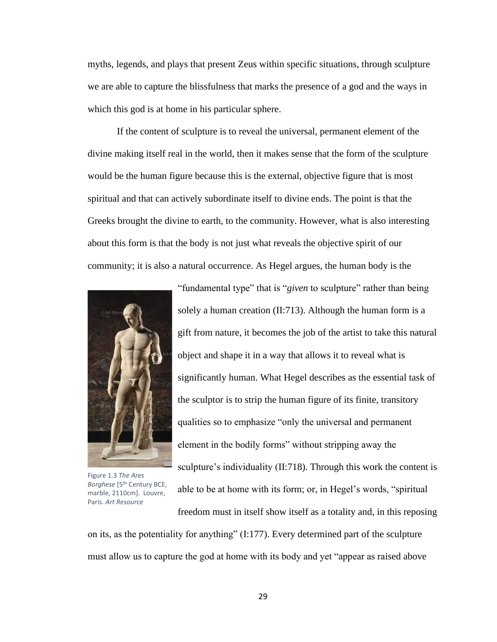myths, legends, and plays that present Zeus within specific situations, through sculpture we are able to capture the blissfulness that marks the presence of a god and the ways in which this god is at home in his particular sphere.

If the content of sculpture is to reveal the universal, permanent element of the divine making itself real in the world, then it makes sense that the form of the sculpture would be the human figure because this is the external, objective figure that is most spiritual and that can actively subordinate itself to divine ends. The point is that the Greeks brought the divine to earth, to the community. However, what is also interesting about this form is that the body is not just what reveals the objective spirit of our community; it is also a natural occurrence. As Hegel argues, the human body is the



Figure 1.3 *The Ares Borghese* [5th Century BCE, marble, 2110cm]. Louvre, Paris. *Art Resource*

"fundamental type" that is "*given* to sculpture" rather than being solely a human creation (II:713). Although the human form is a gift from nature, it becomes the job of the artist to take this natural object and shape it in a way that allows it to reveal what is significantly human. What Hegel describes as the essential task of the sculptor is to strip the human figure of its finite, transitory qualities so to emphasize "only the universal and permanent element in the bodily forms" without stripping away the sculpture's individuality (II:718). Through this work the content is able to be at home with its form; or, in Hegel's words, "spiritual freedom must in itself show itself as a totality and, in this reposing

on its, as the potentiality for anything" (I:177). Every determined part of the sculpture must allow us to capture the god at home with its body and yet "appear as raised above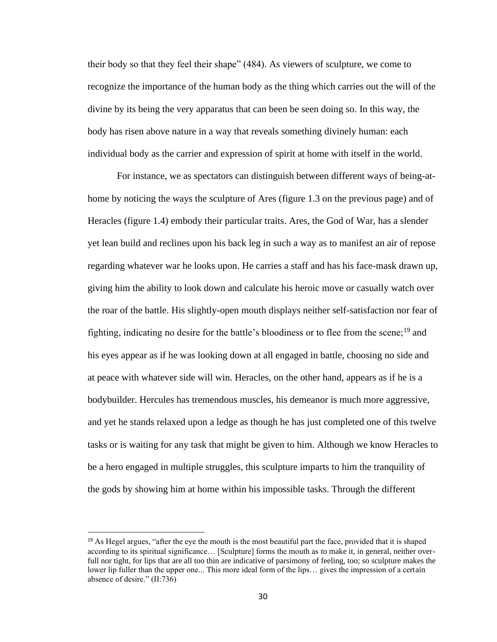their body so that they feel their shape" (484). As viewers of sculpture, we come to recognize the importance of the human body as the thing which carries out the will of the divine by its being the very apparatus that can been be seen doing so. In this way, the body has risen above nature in a way that reveals something divinely human: each individual body as the carrier and expression of spirit at home with itself in the world.

For instance, we as spectators can distinguish between different ways of being-athome by noticing the ways the sculpture of Ares (figure 1.3 on the previous page) and of Heracles (figure 1.4) embody their particular traits. Ares, the God of War, has a slender yet lean build and reclines upon his back leg in such a way as to manifest an air of repose regarding whatever war he looks upon. He carries a staff and has his face-mask drawn up, giving him the ability to look down and calculate his heroic move or casually watch over the roar of the battle. His slightly-open mouth displays neither self-satisfaction nor fear of fighting, indicating no desire for the battle's bloodiness or to flee from the scene;<sup>19</sup> and his eyes appear as if he was looking down at all engaged in battle, choosing no side and at peace with whatever side will win. Heracles, on the other hand, appears as if he is a bodybuilder. Hercules has tremendous muscles, his demeanor is much more aggressive, and yet he stands relaxed upon a ledge as though he has just completed one of this twelve tasks or is waiting for any task that might be given to him. Although we know Heracles to be a hero engaged in multiple struggles, this sculpture imparts to him the tranquility of the gods by showing him at home within his impossible tasks. Through the different

 $19$  As Hegel argues, "after the eye the mouth is the most beautiful part the face, provided that it is shaped according to its spiritual significance… [Sculpture] forms the mouth as to make it, in general, neither overfull nor tight, for lips that are all too thin are indicative of parsimony of feeling, too; so sculpture makes the lower lip fuller than the upper one... This more ideal form of the lips… gives the impression of a certain absence of desire." (II:736)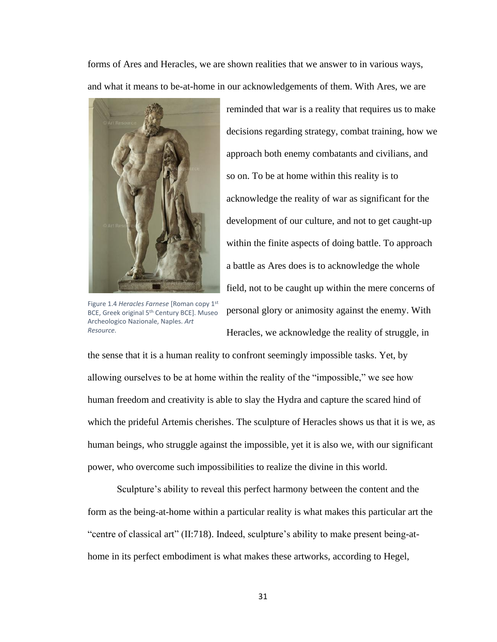forms of Ares and Heracles, we are shown realities that we answer to in various ways, and what it means to be-at-home in our acknowledgements of them. With Ares, we are



Figure 1.4 *Heracles Farnese* [Roman copy 1st BCE, Greek original 5th Century BCE]. Museo Archeologico Nazionale, Naples. *Art Resource*.

reminded that war is a reality that requires us to make decisions regarding strategy, combat training, how we approach both enemy combatants and civilians, and so on. To be at home within this reality is to acknowledge the reality of war as significant for the development of our culture, and not to get caught-up within the finite aspects of doing battle. To approach a battle as Ares does is to acknowledge the whole field, not to be caught up within the mere concerns of personal glory or animosity against the enemy. With Heracles, we acknowledge the reality of struggle, in

the sense that it is a human reality to confront seemingly impossible tasks. Yet, by allowing ourselves to be at home within the reality of the "impossible," we see how human freedom and creativity is able to slay the Hydra and capture the scared hind of which the prideful Artemis cherishes. The sculpture of Heracles shows us that it is we, as human beings, who struggle against the impossible, yet it is also we, with our significant power, who overcome such impossibilities to realize the divine in this world.

Sculpture's ability to reveal this perfect harmony between the content and the form as the being-at-home within a particular reality is what makes this particular art the "centre of classical art" (II:718). Indeed, sculpture's ability to make present being-athome in its perfect embodiment is what makes these artworks, according to Hegel,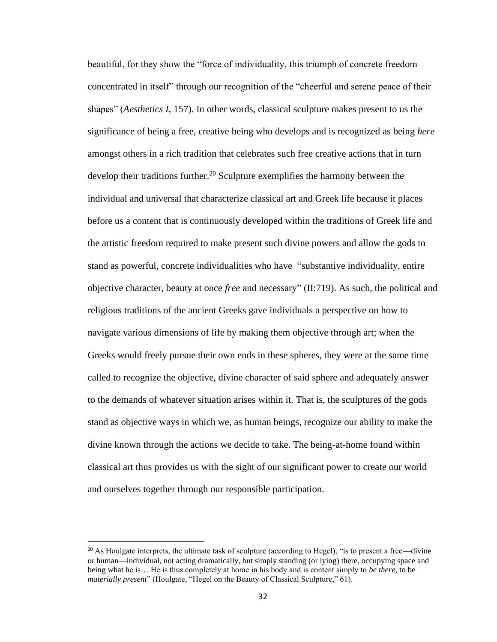beautiful, for they show the "force of individuality, this triumph of concrete freedom concentrated in itself" through our recognition of the "cheerful and serene peace of their shapes" (*Aesthetics I,* 157). In other words, classical sculpture makes present to us the significance of being a free, creative being who develops and is recognized as being *here* amongst others in a rich tradition that celebrates such free creative actions that in turn develop their traditions further.<sup>20</sup> Sculpture exemplifies the harmony between the individual and universal that characterize classical art and Greek life because it places before us a content that is continuously developed within the traditions of Greek life and the artistic freedom required to make present such divine powers and allow the gods to stand as powerful, concrete individualities who have "substantive individuality, entire objective character, beauty at once *free* and necessary" (II:719). As such, the political and religious traditions of the ancient Greeks gave individuals a perspective on how to navigate various dimensions of life by making them objective through art; when the Greeks would freely pursue their own ends in these spheres, they were at the same time called to recognize the objective, divine character of said sphere and adequately answer to the demands of whatever situation arises within it. That is, the sculptures of the gods stand as objective ways in which we, as human beings, recognize our ability to make the divine known through the actions we decide to take. The being-at-home found within classical art thus provides us with the sight of our significant power to create our world and ourselves together through our responsible participation.

<sup>&</sup>lt;sup>20</sup> As Houlgate interprets, the ultimate task of sculpture (according to Hegel), "is to present a free—divine or human—individual, not acting dramatically, but simply standing (or lying) there, occupying space and being what he is… He is thus completely at home in his body and is content simply to *be there*, to be *materially present*" (Houlgate, "Hegel on the Beauty of Classical Sculpture," 61).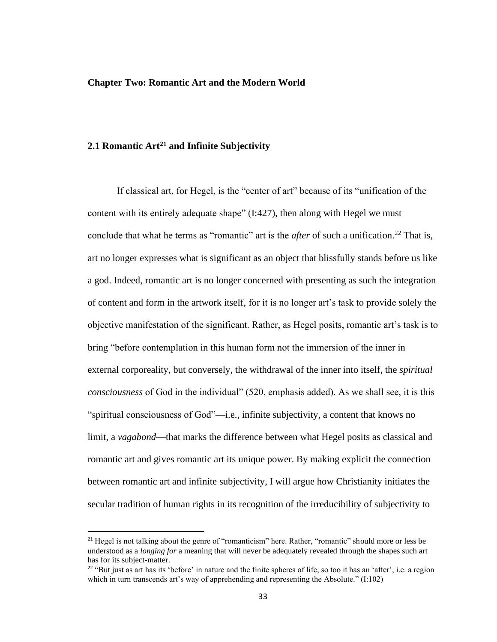## **Chapter Two: Romantic Art and the Modern World**

## **2.1 Romantic Art<sup>21</sup> and Infinite Subjectivity**

If classical art, for Hegel, is the "center of art" because of its "unification of the content with its entirely adequate shape" (I:427), then along with Hegel we must conclude that what he terms as "romantic" art is the *after* of such a unification.<sup>22</sup> That is, art no longer expresses what is significant as an object that blissfully stands before us like a god. Indeed, romantic art is no longer concerned with presenting as such the integration of content and form in the artwork itself, for it is no longer art's task to provide solely the objective manifestation of the significant. Rather, as Hegel posits, romantic art's task is to bring "before contemplation in this human form not the immersion of the inner in external corporeality, but conversely, the withdrawal of the inner into itself, the *spiritual consciousness* of God in the individual" (520, emphasis added). As we shall see, it is this "spiritual consciousness of God"—i.e., infinite subjectivity, a content that knows no limit, a *vagabond*—that marks the difference between what Hegel posits as classical and romantic art and gives romantic art its unique power. By making explicit the connection between romantic art and infinite subjectivity, I will argue how Christianity initiates the secular tradition of human rights in its recognition of the irreducibility of subjectivity to

<sup>&</sup>lt;sup>21</sup> Hegel is not talking about the genre of "romanticism" here. Rather, "romantic" should more or less be understood as a *longing for* a meaning that will never be adequately revealed through the shapes such art has for its subject-matter.

<sup>&</sup>lt;sup>22</sup> "But just as art has its 'before' in nature and the finite spheres of life, so too it has an 'after', i.e. a region which in turn transcends art's way of apprehending and representing the Absolute." (I:102)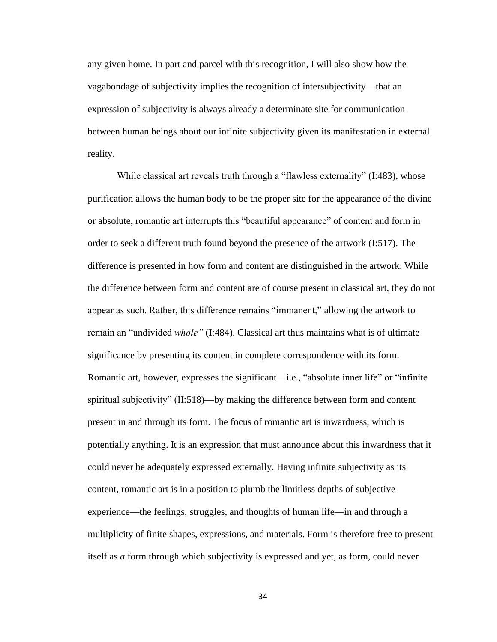any given home. In part and parcel with this recognition, I will also show how the vagabondage of subjectivity implies the recognition of intersubjectivity—that an expression of subjectivity is always already a determinate site for communication between human beings about our infinite subjectivity given its manifestation in external reality.

While classical art reveals truth through a "flawless externality" (I:483), whose purification allows the human body to be the proper site for the appearance of the divine or absolute, romantic art interrupts this "beautiful appearance" of content and form in order to seek a different truth found beyond the presence of the artwork (I:517). The difference is presented in how form and content are distinguished in the artwork. While the difference between form and content are of course present in classical art, they do not appear as such. Rather, this difference remains "immanent," allowing the artwork to remain an "undivided *whole"* (I:484). Classical art thus maintains what is of ultimate significance by presenting its content in complete correspondence with its form. Romantic art, however, expresses the significant—i.e., "absolute inner life" or "infinite spiritual subjectivity" (II:518)—by making the difference between form and content present in and through its form. The focus of romantic art is inwardness, which is potentially anything. It is an expression that must announce about this inwardness that it could never be adequately expressed externally. Having infinite subjectivity as its content, romantic art is in a position to plumb the limitless depths of subjective experience—the feelings, struggles, and thoughts of human life—in and through a multiplicity of finite shapes, expressions, and materials. Form is therefore free to present itself as *a* form through which subjectivity is expressed and yet, as form, could never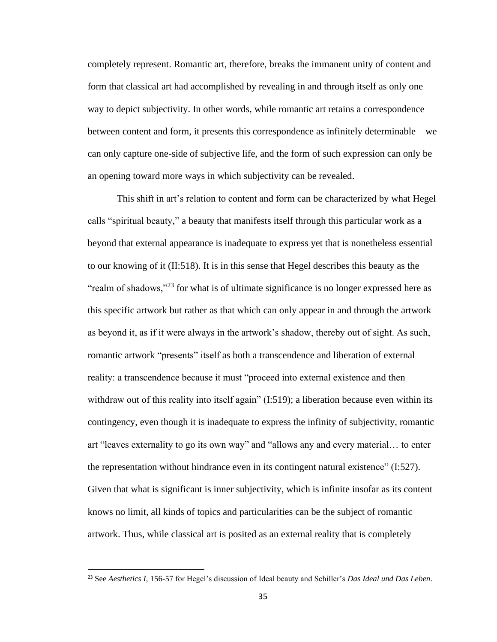completely represent. Romantic art, therefore, breaks the immanent unity of content and form that classical art had accomplished by revealing in and through itself as only one way to depict subjectivity. In other words, while romantic art retains a correspondence between content and form, it presents this correspondence as infinitely determinable—we can only capture one-side of subjective life, and the form of such expression can only be an opening toward more ways in which subjectivity can be revealed.

This shift in art's relation to content and form can be characterized by what Hegel calls "spiritual beauty," a beauty that manifests itself through this particular work as a beyond that external appearance is inadequate to express yet that is nonetheless essential to our knowing of it (II:518). It is in this sense that Hegel describes this beauty as the "realm of shadows,"<sup>23</sup> for what is of ultimate significance is no longer expressed here as this specific artwork but rather as that which can only appear in and through the artwork as beyond it, as if it were always in the artwork's shadow, thereby out of sight. As such, romantic artwork "presents" itself as both a transcendence and liberation of external reality: a transcendence because it must "proceed into external existence and then withdraw out of this reality into itself again" (I:519); a liberation because even within its contingency, even though it is inadequate to express the infinity of subjectivity, romantic art "leaves externality to go its own way" and "allows any and every material… to enter the representation without hindrance even in its contingent natural existence" (I:527). Given that what is significant is inner subjectivity, which is infinite insofar as its content knows no limit, all kinds of topics and particularities can be the subject of romantic artwork. Thus, while classical art is posited as an external reality that is completely

<sup>23</sup> See *Aesthetics I,* 156-57 for Hegel's discussion of Ideal beauty and Schiller's *Das Ideal und Das Leben.*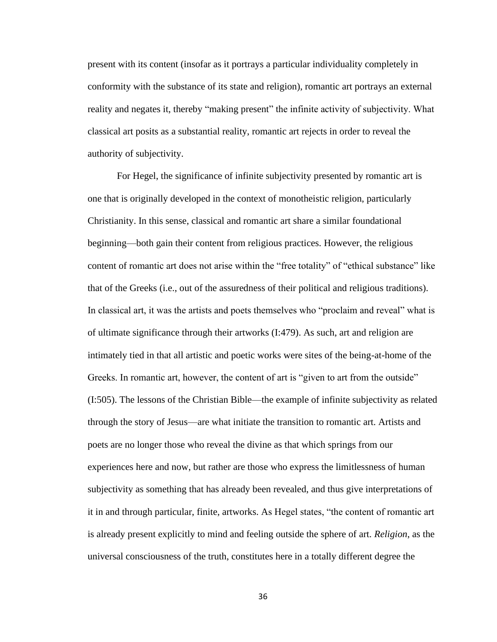present with its content (insofar as it portrays a particular individuality completely in conformity with the substance of its state and religion), romantic art portrays an external reality and negates it, thereby "making present" the infinite activity of subjectivity. What classical art posits as a substantial reality, romantic art rejects in order to reveal the authority of subjectivity.

For Hegel, the significance of infinite subjectivity presented by romantic art is one that is originally developed in the context of monotheistic religion, particularly Christianity. In this sense, classical and romantic art share a similar foundational beginning—both gain their content from religious practices. However, the religious content of romantic art does not arise within the "free totality" of "ethical substance" like that of the Greeks (i.e., out of the assuredness of their political and religious traditions). In classical art, it was the artists and poets themselves who "proclaim and reveal" what is of ultimate significance through their artworks (I:479). As such, art and religion are intimately tied in that all artistic and poetic works were sites of the being-at-home of the Greeks. In romantic art, however, the content of art is "given to art from the outside" (I:505). The lessons of the Christian Bible—the example of infinite subjectivity as related through the story of Jesus—are what initiate the transition to romantic art. Artists and poets are no longer those who reveal the divine as that which springs from our experiences here and now, but rather are those who express the limitlessness of human subjectivity as something that has already been revealed, and thus give interpretations of it in and through particular, finite, artworks. As Hegel states, "the content of romantic art is already present explicitly to mind and feeling outside the sphere of art. *Religion*, as the universal consciousness of the truth, constitutes here in a totally different degree the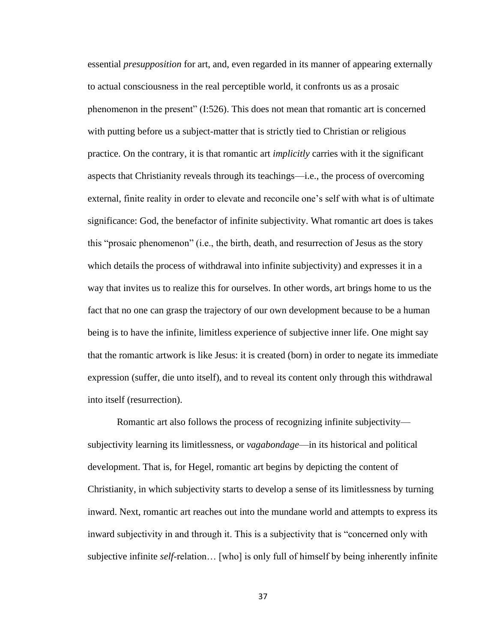essential *presupposition* for art, and, even regarded in its manner of appearing externally to actual consciousness in the real perceptible world, it confronts us as a prosaic phenomenon in the present" (I:526). This does not mean that romantic art is concerned with putting before us a subject-matter that is strictly tied to Christian or religious practice. On the contrary, it is that romantic art *implicitly* carries with it the significant aspects that Christianity reveals through its teachings—i.e., the process of overcoming external, finite reality in order to elevate and reconcile one's self with what is of ultimate significance: God, the benefactor of infinite subjectivity. What romantic art does is takes this "prosaic phenomenon" (i.e., the birth, death, and resurrection of Jesus as the story which details the process of withdrawal into infinite subjectivity) and expresses it in a way that invites us to realize this for ourselves. In other words, art brings home to us the fact that no one can grasp the trajectory of our own development because to be a human being is to have the infinite, limitless experience of subjective inner life. One might say that the romantic artwork is like Jesus: it is created (born) in order to negate its immediate expression (suffer, die unto itself), and to reveal its content only through this withdrawal into itself (resurrection).

Romantic art also follows the process of recognizing infinite subjectivity subjectivity learning its limitlessness, or *vagabondage*—in its historical and political development. That is, for Hegel, romantic art begins by depicting the content of Christianity, in which subjectivity starts to develop a sense of its limitlessness by turning inward. Next, romantic art reaches out into the mundane world and attempts to express its inward subjectivity in and through it. This is a subjectivity that is "concerned only with subjective infinite *self*-relation… [who] is only full of himself by being inherently infinite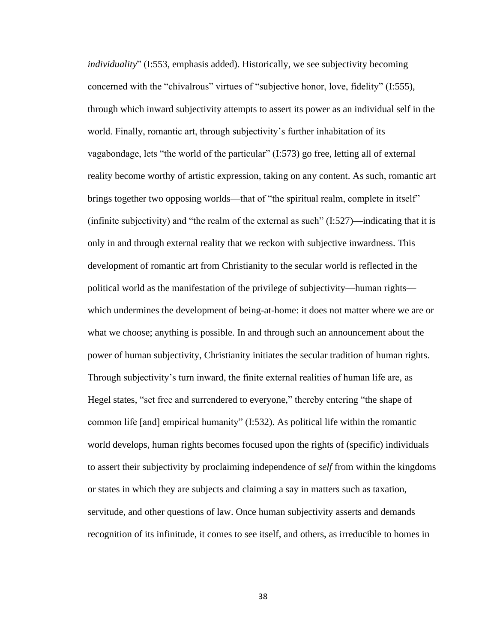*individuality*" (I:553, emphasis added). Historically, we see subjectivity becoming concerned with the "chivalrous" virtues of "subjective honor, love, fidelity" (I:555), through which inward subjectivity attempts to assert its power as an individual self in the world. Finally, romantic art, through subjectivity's further inhabitation of its vagabondage, lets "the world of the particular" (I:573) go free, letting all of external reality become worthy of artistic expression, taking on any content. As such, romantic art brings together two opposing worlds—that of "the spiritual realm, complete in itself" (infinite subjectivity) and "the realm of the external as such"  $(I:527)$ —indicating that it is only in and through external reality that we reckon with subjective inwardness. This development of romantic art from Christianity to the secular world is reflected in the political world as the manifestation of the privilege of subjectivity—human rights which undermines the development of being-at-home: it does not matter where we are or what we choose; anything is possible. In and through such an announcement about the power of human subjectivity, Christianity initiates the secular tradition of human rights. Through subjectivity's turn inward, the finite external realities of human life are, as Hegel states, "set free and surrendered to everyone," thereby entering "the shape of common life [and] empirical humanity" (I:532). As political life within the romantic world develops, human rights becomes focused upon the rights of (specific) individuals to assert their subjectivity by proclaiming independence of *self* from within the kingdoms or states in which they are subjects and claiming a say in matters such as taxation, servitude, and other questions of law. Once human subjectivity asserts and demands recognition of its infinitude, it comes to see itself, and others, as irreducible to homes in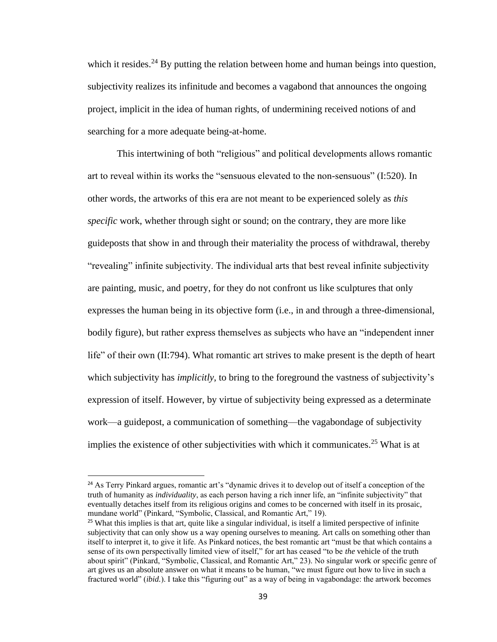which it resides.<sup>24</sup> By putting the relation between home and human beings into question, subjectivity realizes its infinitude and becomes a vagabond that announces the ongoing project, implicit in the idea of human rights, of undermining received notions of and searching for a more adequate being-at-home.

This intertwining of both "religious" and political developments allows romantic art to reveal within its works the "sensuous elevated to the non-sensuous" (I:520). In other words, the artworks of this era are not meant to be experienced solely as *this specific* work, whether through sight or sound; on the contrary, they are more like guideposts that show in and through their materiality the process of withdrawal, thereby "revealing" infinite subjectivity. The individual arts that best reveal infinite subjectivity are painting, music, and poetry, for they do not confront us like sculptures that only expresses the human being in its objective form (i.e., in and through a three-dimensional, bodily figure), but rather express themselves as subjects who have an "independent inner life" of their own (II:794). What romantic art strives to make present is the depth of heart which subjectivity has *implicitly*, to bring to the foreground the vastness of subjectivity's expression of itself. However, by virtue of subjectivity being expressed as a determinate work—a guidepost, a communication of something—the vagabondage of subjectivity implies the existence of other subjectivities with which it communicates.<sup>25</sup> What is at

<sup>&</sup>lt;sup>24</sup> As Terry Pinkard argues, romantic art's "dynamic drives it to develop out of itself a conception of the truth of humanity as *individuality*, as each person having a rich inner life, an "infinite subjectivity" that eventually detaches itself from its religious origins and comes to be concerned with itself in its prosaic, mundane world" (Pinkard, "Symbolic, Classical, and Romantic Art," 19).

 $25$  What this implies is that art, quite like a singular individual, is itself a limited perspective of infinite subjectivity that can only show us a way opening ourselves to meaning. Art calls on something other than itself to interpret it, to give it life. As Pinkard notices, the best romantic art "must be that which contains a sense of its own perspectivally limited view of itself," for art has ceased "to be *the* vehicle of the truth about spirit" (Pinkard, "Symbolic, Classical, and Romantic Art," 23). No singular work or specific genre of art gives us an absolute answer on what it means to be human, "we must figure out how to live in such a fractured world" (*ibid.*). I take this "figuring out" as a way of being in vagabondage: the artwork becomes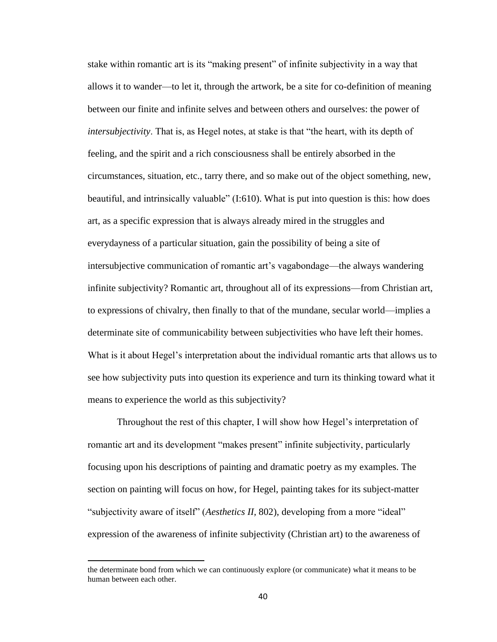stake within romantic art is its "making present" of infinite subjectivity in a way that allows it to wander—to let it, through the artwork, be a site for co-definition of meaning between our finite and infinite selves and between others and ourselves: the power of *intersubjectivity*. That is, as Hegel notes, at stake is that "the heart, with its depth of feeling, and the spirit and a rich consciousness shall be entirely absorbed in the circumstances, situation, etc., tarry there, and so make out of the object something, new, beautiful, and intrinsically valuable" (I:610). What is put into question is this: how does art, as a specific expression that is always already mired in the struggles and everydayness of a particular situation, gain the possibility of being a site of intersubjective communication of romantic art's vagabondage—the always wandering infinite subjectivity? Romantic art, throughout all of its expressions—from Christian art, to expressions of chivalry, then finally to that of the mundane, secular world—implies a determinate site of communicability between subjectivities who have left their homes. What is it about Hegel's interpretation about the individual romantic arts that allows us to see how subjectivity puts into question its experience and turn its thinking toward what it means to experience the world as this subjectivity?

Throughout the rest of this chapter, I will show how Hegel's interpretation of romantic art and its development "makes present" infinite subjectivity, particularly focusing upon his descriptions of painting and dramatic poetry as my examples. The section on painting will focus on how, for Hegel, painting takes for its subject-matter "subjectivity aware of itself" (*Aesthetics II,* 802), developing from a more "ideal" expression of the awareness of infinite subjectivity (Christian art) to the awareness of

the determinate bond from which we can continuously explore (or communicate) what it means to be human between each other.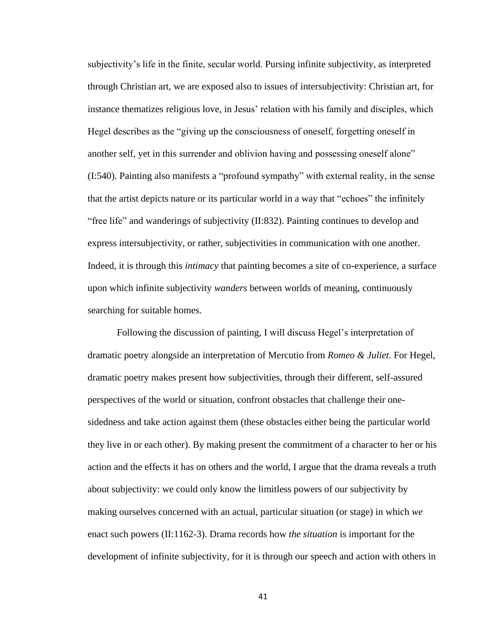subjectivity's life in the finite, secular world. Pursing infinite subjectivity, as interpreted through Christian art, we are exposed also to issues of intersubjectivity: Christian art, for instance thematizes religious love, in Jesus' relation with his family and disciples, which Hegel describes as the "giving up the consciousness of oneself, forgetting oneself in another self, yet in this surrender and oblivion having and possessing oneself alone" (I:540). Painting also manifests a "profound sympathy" with external reality, in the sense that the artist depicts nature or its particular world in a way that "echoes" the infinitely "free life" and wanderings of subjectivity (II:832). Painting continues to develop and express intersubjectivity, or rather, subjectivities in communication with one another. Indeed, it is through this *intimacy* that painting becomes a site of co-experience, a surface upon which infinite subjectivity *wanders* between worlds of meaning, continuously searching for suitable homes.

Following the discussion of painting, I will discuss Hegel's interpretation of dramatic poetry alongside an interpretation of Mercutio from *Romeo & Juliet*. For Hegel, dramatic poetry makes present how subjectivities, through their different, self-assured perspectives of the world or situation, confront obstacles that challenge their onesidedness and take action against them (these obstacles either being the particular world they live in or each other). By making present the commitment of a character to her or his action and the effects it has on others and the world, I argue that the drama reveals a truth about subjectivity: we could only know the limitless powers of our subjectivity by making ourselves concerned with an actual, particular situation (or stage) in which *we* enact such powers (II:1162-3). Drama records how *the situation* is important for the development of infinite subjectivity, for it is through our speech and action with others in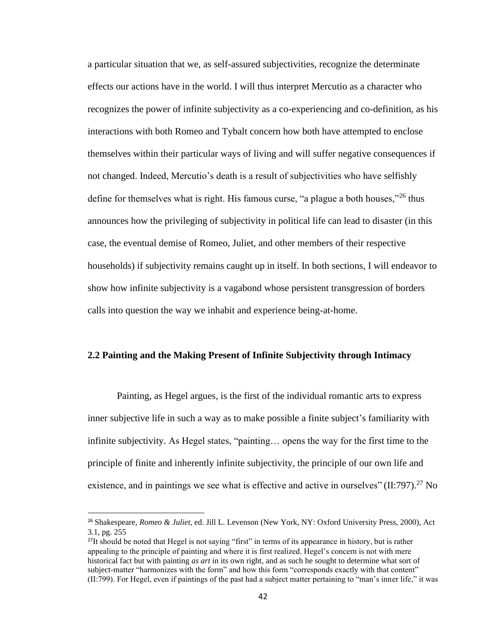a particular situation that we, as self-assured subjectivities, recognize the determinate effects our actions have in the world. I will thus interpret Mercutio as a character who recognizes the power of infinite subjectivity as a co-experiencing and co-definition, as his interactions with both Romeo and Tybalt concern how both have attempted to enclose themselves within their particular ways of living and will suffer negative consequences if not changed. Indeed, Mercutio's death is a result of subjectivities who have selfishly define for themselves what is right. His famous curse, "a plague a both houses,"<sup>26</sup> thus announces how the privileging of subjectivity in political life can lead to disaster (in this case, the eventual demise of Romeo, Juliet, and other members of their respective households) if subjectivity remains caught up in itself. In both sections, I will endeavor to show how infinite subjectivity is a vagabond whose persistent transgression of borders calls into question the way we inhabit and experience being-at-home.

## **2.2 Painting and the Making Present of Infinite Subjectivity through Intimacy**

Painting, as Hegel argues, is the first of the individual romantic arts to express inner subjective life in such a way as to make possible a finite subject's familiarity with infinite subjectivity. As Hegel states, "painting… opens the way for the first time to the principle of finite and inherently infinite subjectivity, the principle of our own life and existence, and in paintings we see what is effective and active in ourselves"  $(II:797)$ .<sup>27</sup> No

<sup>26</sup> Shakespeare, *Romeo & Juliet*, ed. Jill L. Levenson (New York, NY: Oxford University Press, 2000), Act 3.1, pg. 255

 $^{27}$ It should be noted that Hegel is not saying "first" in terms of its appearance in history, but is rather appealing to the principle of painting and where it is first realized. Hegel's concern is not with mere historical fact but with painting *as art* in its own right*,* and as such he sought to determine what sort of subject-matter "harmonizes with the form" and how this form "corresponds exactly with that content" (II:799). For Hegel, even if paintings of the past had a subject matter pertaining to "man's inner life," it was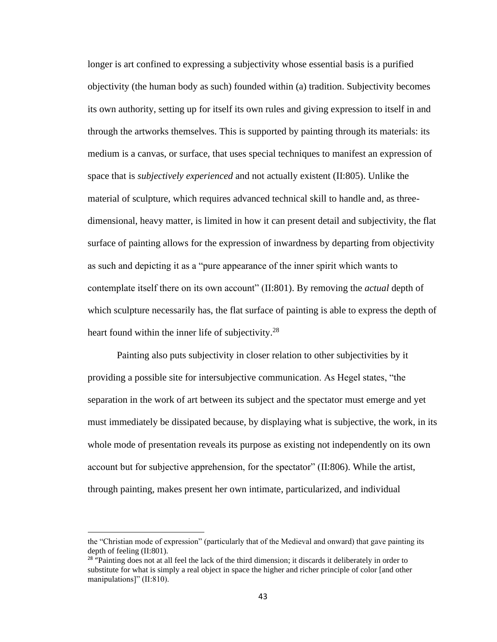longer is art confined to expressing a subjectivity whose essential basis is a purified objectivity (the human body as such) founded within (a) tradition. Subjectivity becomes its own authority, setting up for itself its own rules and giving expression to itself in and through the artworks themselves. This is supported by painting through its materials: its medium is a canvas, or surface, that uses special techniques to manifest an expression of space that is *subjectively experienced* and not actually existent (II:805). Unlike the material of sculpture, which requires advanced technical skill to handle and, as threedimensional, heavy matter, is limited in how it can present detail and subjectivity, the flat surface of painting allows for the expression of inwardness by departing from objectivity as such and depicting it as a "pure appearance of the inner spirit which wants to contemplate itself there on its own account" (II:801). By removing the *actual* depth of which sculpture necessarily has, the flat surface of painting is able to express the depth of heart found within the inner life of subjectivity.<sup>28</sup>

Painting also puts subjectivity in closer relation to other subjectivities by it providing a possible site for intersubjective communication. As Hegel states, "the separation in the work of art between its subject and the spectator must emerge and yet must immediately be dissipated because, by displaying what is subjective, the work, in its whole mode of presentation reveals its purpose as existing not independently on its own account but for subjective apprehension, for the spectator" (II:806). While the artist, through painting, makes present her own intimate, particularized, and individual

the "Christian mode of expression" (particularly that of the Medieval and onward) that gave painting its depth of feeling (II:801).

<sup>&</sup>lt;sup>28</sup> "Painting does not at all feel the lack of the third dimension; it discards it deliberately in order to substitute for what is simply a real object in space the higher and richer principle of color [and other manipulations]" (II:810).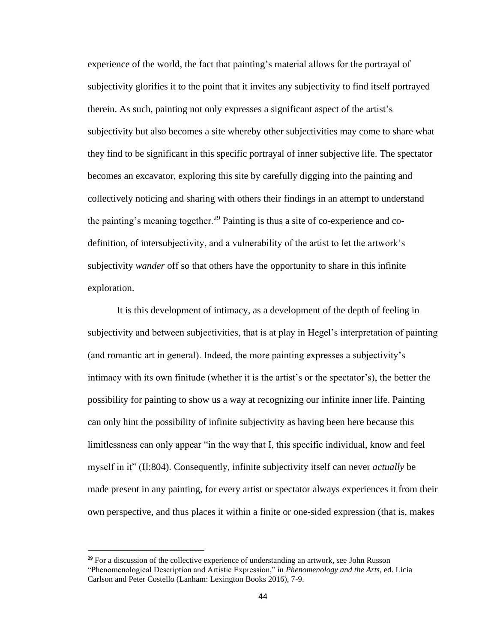experience of the world, the fact that painting's material allows for the portrayal of subjectivity glorifies it to the point that it invites any subjectivity to find itself portrayed therein. As such, painting not only expresses a significant aspect of the artist's subjectivity but also becomes a site whereby other subjectivities may come to share what they find to be significant in this specific portrayal of inner subjective life. The spectator becomes an excavator, exploring this site by carefully digging into the painting and collectively noticing and sharing with others their findings in an attempt to understand the painting's meaning together.<sup>29</sup> Painting is thus a site of co-experience and codefinition, of intersubjectivity, and a vulnerability of the artist to let the artwork's subjectivity *wander* off so that others have the opportunity to share in this infinite exploration.

It is this development of intimacy, as a development of the depth of feeling in subjectivity and between subjectivities, that is at play in Hegel's interpretation of painting (and romantic art in general). Indeed, the more painting expresses a subjectivity's intimacy with its own finitude (whether it is the artist's or the spectator's), the better the possibility for painting to show us a way at recognizing our infinite inner life. Painting can only hint the possibility of infinite subjectivity as having been here because this limitlessness can only appear "in the way that I, this specific individual, know and feel myself in it" (II:804). Consequently, infinite subjectivity itself can never *actually* be made present in any painting, for every artist or spectator always experiences it from their own perspective, and thus places it within a finite or one-sided expression (that is, makes

 $29$  For a discussion of the collective experience of understanding an artwork, see John Russon "Phenomenological Description and Artistic Expression," in *Phenomenology and the Arts*, ed. Licia Carlson and Peter Costello (Lanham: Lexington Books 2016), 7-9.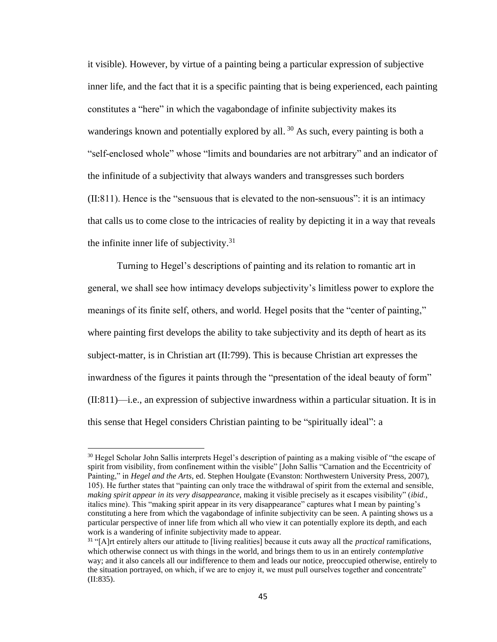it visible). However, by virtue of a painting being a particular expression of subjective inner life, and the fact that it is a specific painting that is being experienced, each painting constitutes a "here" in which the vagabondage of infinite subjectivity makes its wanderings known and potentially explored by all.<sup>30</sup> As such, every painting is both a "self-enclosed whole" whose "limits and boundaries are not arbitrary" and an indicator of the infinitude of a subjectivity that always wanders and transgresses such borders  $(II:811)$ . Hence is the "sensuous that is elevated to the non-sensuous": it is an intimacy that calls us to come close to the intricacies of reality by depicting it in a way that reveals the infinite inner life of subjectivity. $31$ 

Turning to Hegel's descriptions of painting and its relation to romantic art in general, we shall see how intimacy develops subjectivity's limitless power to explore the meanings of its finite self, others, and world. Hegel posits that the "center of painting," where painting first develops the ability to take subjectivity and its depth of heart as its subject-matter, is in Christian art (II:799). This is because Christian art expresses the inwardness of the figures it paints through the "presentation of the ideal beauty of form" (II:811)—i.e., an expression of subjective inwardness within a particular situation. It is in this sense that Hegel considers Christian painting to be "spiritually ideal": a

<sup>&</sup>lt;sup>30</sup> Hegel Scholar John Sallis interprets Hegel's description of painting as a making visible of "the escape of spirit from visibility, from confinement within the visible" [John Sallis "Carnation and the Eccentricity of Painting," in *Hegel and the Arts*, ed. Stephen Houlgate (Evanston: Northwestern University Press, 2007), 105). He further states that "painting can only trace the withdrawal of spirit from the external and sensible, *making spirit appear in its very disappearance,* making it visible precisely as it escapes visibility" (*ibid.*, italics mine). This "making spirit appear in its very disappearance" captures what I mean by painting's constituting a here from which the vagabondage of infinite subjectivity can be seen. A painting shows us a particular perspective of inner life from which all who view it can potentially explore its depth, and each work is a wandering of infinite subjectivity made to appear.

<sup>31</sup> "[A]rt entirely alters our attitude to [living realities] because it cuts away all the *practical* ramifications, which otherwise connect us with things in the world, and brings them to us in an entirely *contemplative* way; and it also cancels all our indifference to them and leads our notice, preoccupied otherwise, entirely to the situation portrayed, on which, if we are to enjoy it, we must pull ourselves together and concentrate" (II:835).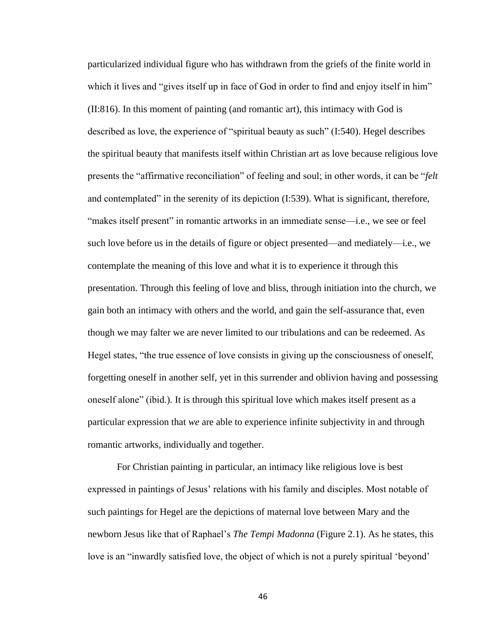particularized individual figure who has withdrawn from the griefs of the finite world in which it lives and "gives itself up in face of God in order to find and enjoy itself in him" (II:816). In this moment of painting (and romantic art), this intimacy with God is described as love, the experience of "spiritual beauty as such" (I:540). Hegel describes the spiritual beauty that manifests itself within Christian art as love because religious love presents the "affirmative reconciliation" of feeling and soul; in other words, it can be "*felt* and contemplated" in the serenity of its depiction (I:539). What is significant, therefore, "makes itself present" in romantic artworks in an immediate sense—i.e., we see or feel such love before us in the details of figure or object presented—and mediately—i.e., we contemplate the meaning of this love and what it is to experience it through this presentation. Through this feeling of love and bliss, through initiation into the church, we gain both an intimacy with others and the world, and gain the self-assurance that, even though we may falter we are never limited to our tribulations and can be redeemed. As Hegel states, "the true essence of love consists in giving up the consciousness of oneself, forgetting oneself in another self, yet in this surrender and oblivion having and possessing oneself alone" (ibid.). It is through this spiritual love which makes itself present as a particular expression that *we* are able to experience infinite subjectivity in and through romantic artworks, individually and together.

For Christian painting in particular, an intimacy like religious love is best expressed in paintings of Jesus' relations with his family and disciples. Most notable of such paintings for Hegel are the depictions of maternal love between Mary and the newborn Jesus like that of Raphael's *The Tempi Madonna* (Figure 2.1). As he states, this love is an "inwardly satisfied love, the object of which is not a purely spiritual 'beyond'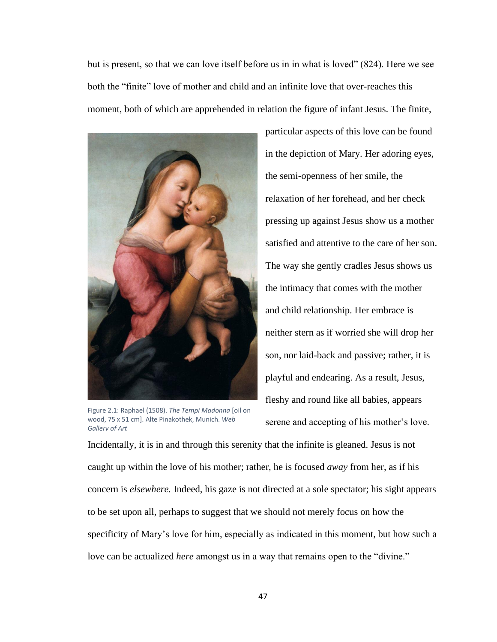but is present, so that we can love itself before us in in what is loved" (824). Here we see both the "finite" love of mother and child and an infinite love that over-reaches this moment, both of which are apprehended in relation the figure of infant Jesus. The finite,



Figure 2.1: Raphael (1508). *The Tempi Madonna* [oil on wood, 75 x 51 cm]. Alte Pinakothek, Munich. *Web Gallery of Art*

particular aspects of this love can be found in the depiction of Mary. Her adoring eyes, the semi-openness of her smile, the relaxation of her forehead, and her check pressing up against Jesus show us a mother satisfied and attentive to the care of her son. The way she gently cradles Jesus shows us the intimacy that comes with the mother and child relationship. Her embrace is neither stern as if worried she will drop her son, nor laid-back and passive; rather, it is playful and endearing. As a result, Jesus, fleshy and round like all babies, appears serene and accepting of his mother's love.

Incidentally, it is in and through this serenity that the infinite is gleaned. Jesus is not caught up within the love of his mother; rather, he is focused *away* from her, as if his concern is *elsewhere.* Indeed, his gaze is not directed at a sole spectator; his sight appears to be set upon all, perhaps to suggest that we should not merely focus on how the specificity of Mary's love for him, especially as indicated in this moment, but how such a love can be actualized *here* amongst us in a way that remains open to the "divine."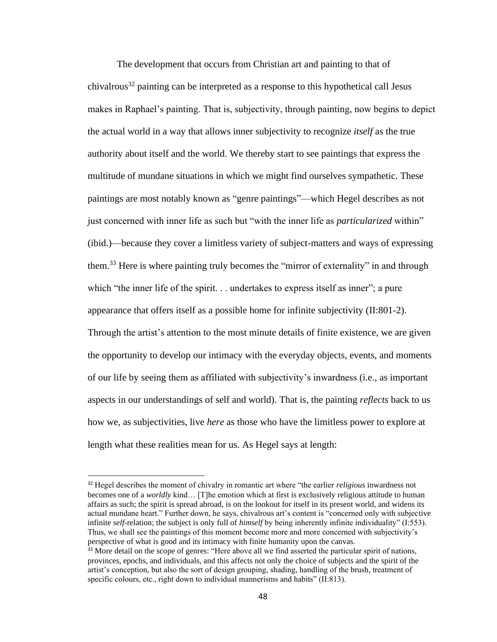The development that occurs from Christian art and painting to that of chivalrous<sup>32</sup> painting can be interpreted as a response to this hypothetical call Jesus makes in Raphael's painting. That is, subjectivity, through painting, now begins to depict the actual world in a way that allows inner subjectivity to recognize *itself* as the true authority about itself and the world. We thereby start to see paintings that express the multitude of mundane situations in which we might find ourselves sympathetic. These paintings are most notably known as "genre paintings"—which Hegel describes as not just concerned with inner life as such but "with the inner life as *particularized* within" (ibid.)—because they cover a limitless variety of subject-matters and ways of expressing them.<sup>33</sup> Here is where painting truly becomes the "mirror of externality" in and through which "the inner life of the spirit... undertakes to express itself as inner"; a pure appearance that offers itself as a possible home for infinite subjectivity (II:801-2). Through the artist's attention to the most minute details of finite existence, we are given the opportunity to develop our intimacy with the everyday objects, events, and moments of our life by seeing them as affiliated with subjectivity's inwardness (i.e., as important aspects in our understandings of self and world). That is, the painting *reflects* back to us how we, as subjectivities, live *here* as those who have the limitless power to explore at length what these realities mean for us. As Hegel says at length:

<sup>32</sup> Hegel describes the moment of chivalry in romantic art where "the earlier *religious* inwardness not becomes one of a *worldly* kind… [T]he emotion which at first is exclusively religious attitude to human affairs as such; the spirit is spread abroad, is on the lookout for itself in its present world, and widens its actual mundane heart." Further down, he says, chivalrous art's content is "concerned only with subjective infinite *self*-relation; the subject is only full of *himself* by being inherently infinite individuality" (I:553). Thus, we shall see the paintings of this moment become more and more concerned with subjectivity's perspective of what is good and its intimacy with finite humanity upon the canvas.

<sup>&</sup>lt;sup>33</sup> More detail on the scope of genres: "Here above all we find asserted the particular spirit of nations, provinces, epochs, and individuals, and this affects not only the choice of subjects and the spirit of the artist's conception, but also the sort of design grouping, shading, handling of the brush, treatment of specific colours, etc., right down to individual mannerisms and habits" (II:813).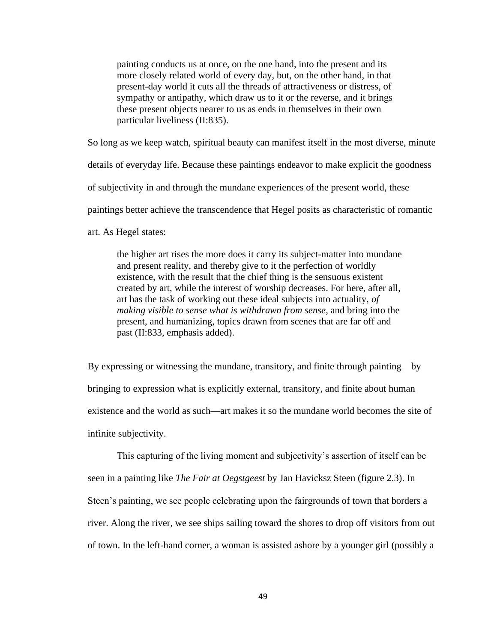painting conducts us at once, on the one hand, into the present and its more closely related world of every day, but, on the other hand, in that present-day world it cuts all the threads of attractiveness or distress, of sympathy or antipathy, which draw us to it or the reverse, and it brings these present objects nearer to us as ends in themselves in their own particular liveliness (II:835).

So long as we keep watch, spiritual beauty can manifest itself in the most diverse, minute

details of everyday life. Because these paintings endeavor to make explicit the goodness

of subjectivity in and through the mundane experiences of the present world, these

paintings better achieve the transcendence that Hegel posits as characteristic of romantic

art. As Hegel states:

the higher art rises the more does it carry its subject-matter into mundane and present reality, and thereby give to it the perfection of worldly existence, with the result that the chief thing is the sensuous existent created by art, while the interest of worship decreases. For here, after all, art has the task of working out these ideal subjects into actuality, *of making visible to sense what is withdrawn from sense*, and bring into the present, and humanizing, topics drawn from scenes that are far off and past (II:833, emphasis added).

By expressing or witnessing the mundane, transitory, and finite through painting—by bringing to expression what is explicitly external, transitory, and finite about human existence and the world as such—art makes it so the mundane world becomes the site of infinite subjectivity.

This capturing of the living moment and subjectivity's assertion of itself can be seen in a painting like *The Fair at Oegstgeest* by Jan Havicksz Steen (figure 2.3). In Steen's painting, we see people celebrating upon the fairgrounds of town that borders a river. Along the river, we see ships sailing toward the shores to drop off visitors from out of town. In the left-hand corner, a woman is assisted ashore by a younger girl (possibly a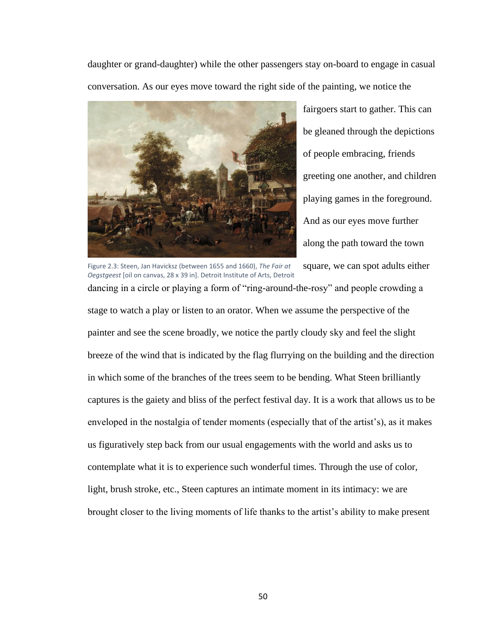daughter or grand-daughter) while the other passengers stay on-board to engage in casual conversation. As our eyes move toward the right side of the painting, we notice the



fairgoers start to gather. This can be gleaned through the depictions of people embracing, friends greeting one another, and children playing games in the foreground. And as our eyes move further along the path toward the town

square, we can spot adults either dancing in a circle or playing a form of "ring-around-the-rosy" and people crowding a stage to watch a play or listen to an orator. When we assume the perspective of the painter and see the scene broadly, we notice the partly cloudy sky and feel the slight breeze of the wind that is indicated by the flag flurrying on the building and the direction in which some of the branches of the trees seem to be bending. What Steen brilliantly captures is the gaiety and bliss of the perfect festival day. It is a work that allows us to be enveloped in the nostalgia of tender moments (especially that of the artist's), as it makes us figuratively step back from our usual engagements with the world and asks us to contemplate what it is to experience such wonderful times. Through the use of color, light, brush stroke, etc., Steen captures an intimate moment in its intimacy: we are brought closer to the living moments of life thanks to the artist's ability to make present Figure 2.3: Steen, Jan Havicksz (between 1655 and 1660), *The Fair at Oegstgeest* [oil on canvas, 28 x 39 in]. Detroit Institute of Arts, Detroit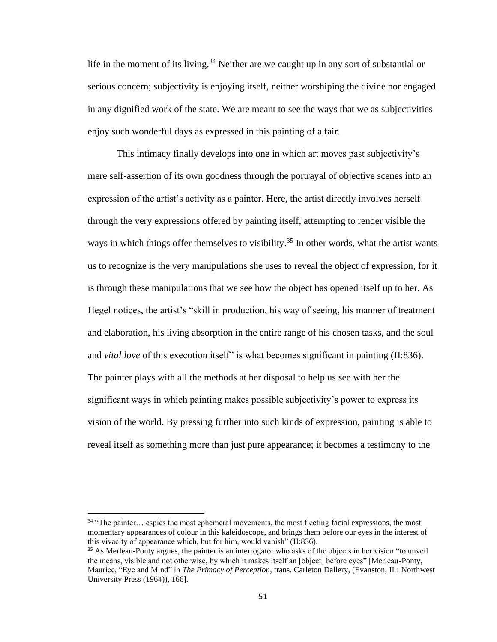life in the moment of its living.<sup>34</sup> Neither are we caught up in any sort of substantial or serious concern; subjectivity is enjoying itself, neither worshiping the divine nor engaged in any dignified work of the state. We are meant to see the ways that we as subjectivities enjoy such wonderful days as expressed in this painting of a fair.

This intimacy finally develops into one in which art moves past subjectivity's mere self-assertion of its own goodness through the portrayal of objective scenes into an expression of the artist's activity as a painter. Here, the artist directly involves herself through the very expressions offered by painting itself, attempting to render visible the ways in which things offer themselves to visibility.<sup>35</sup> In other words, what the artist wants us to recognize is the very manipulations she uses to reveal the object of expression, for it is through these manipulations that we see how the object has opened itself up to her. As Hegel notices, the artist's "skill in production, his way of seeing, his manner of treatment and elaboration, his living absorption in the entire range of his chosen tasks, and the soul and *vital love* of this execution itself" is what becomes significant in painting (II:836). The painter plays with all the methods at her disposal to help us see with her the significant ways in which painting makes possible subjectivity's power to express its vision of the world. By pressing further into such kinds of expression, painting is able to reveal itself as something more than just pure appearance; it becomes a testimony to the

<sup>&</sup>lt;sup>34</sup> "The painter... espies the most ephemeral movements, the most fleeting facial expressions, the most momentary appearances of colour in this kaleidoscope, and brings them before our eyes in the interest of this vivacity of appearance which, but for him, would vanish" (II:836).

<sup>&</sup>lt;sup>35</sup> As Merleau-Ponty argues, the painter is an interrogator who asks of the objects in her vision "to unveil" the means, visible and not otherwise, by which it makes itself an [object] before eyes" [Merleau-Ponty, Maurice, "Eye and Mind" in *The Primacy of Perception*, trans. Carleton Dallery, (Evanston, IL: Northwest University Press (1964)), 166].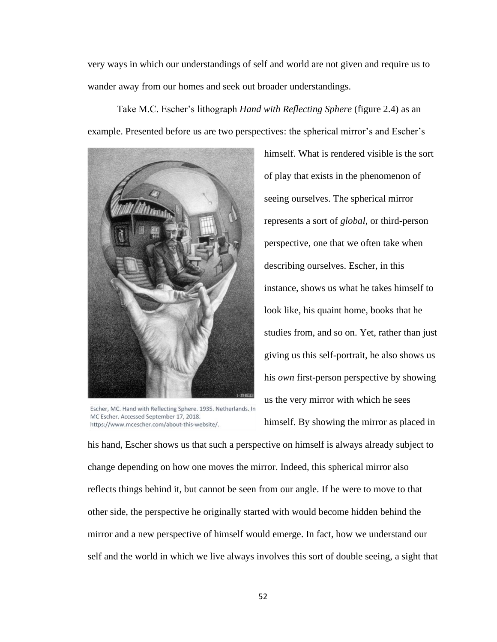very ways in which our understandings of self and world are not given and require us to wander away from our homes and seek out broader understandings.

Take M.C. Escher's lithograph *Hand with Reflecting Sphere* (figure 2.4) as an example. Presented before us are two perspectives: the spherical mirror's and Escher's



Escher, MC. Hand with Reflecting Sphere. 1935. Netherlands. In MC Escher. Accessed September 17, 2018. https://www.mcescher.com/about-this-website/.

himself. What is rendered visible is the sort of play that exists in the phenomenon of seeing ourselves. The spherical mirror represents a sort of *global*, or third-person perspective, one that we often take when describing ourselves. Escher, in this instance, shows us what he takes himself to look like, his quaint home, books that he studies from, and so on. Yet, rather than just giving us this self-portrait, he also shows us his *own* first-person perspective by showing us the very mirror with which he sees himself. By showing the mirror as placed in

his hand, Escher shows us that such a perspective on himself is always already subject to change depending on how one moves the mirror. Indeed, this spherical mirror also reflects things behind it, but cannot be seen from our angle. If he were to move to that other side, the perspective he originally started with would become hidden behind the mirror and a new perspective of himself would emerge. In fact, how we understand our self and the world in which we live always involves this sort of double seeing, a sight that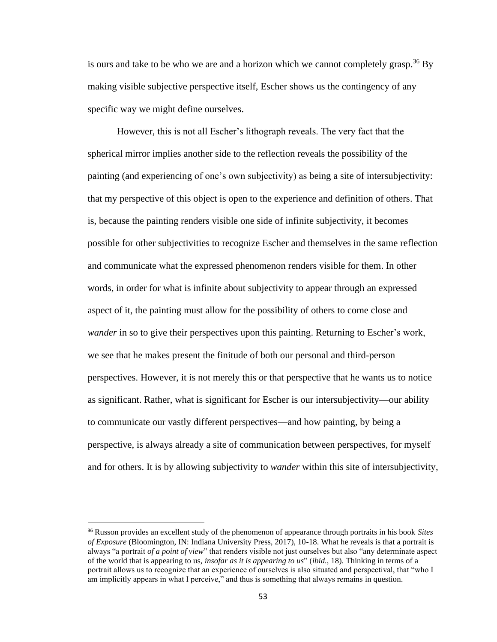is ours and take to be who we are and a horizon which we cannot completely grasp.<sup>36</sup> By making visible subjective perspective itself, Escher shows us the contingency of any specific way we might define ourselves.

However, this is not all Escher's lithograph reveals. The very fact that the spherical mirror implies another side to the reflection reveals the possibility of the painting (and experiencing of one's own subjectivity) as being a site of intersubjectivity: that my perspective of this object is open to the experience and definition of others. That is, because the painting renders visible one side of infinite subjectivity, it becomes possible for other subjectivities to recognize Escher and themselves in the same reflection and communicate what the expressed phenomenon renders visible for them. In other words, in order for what is infinite about subjectivity to appear through an expressed aspect of it, the painting must allow for the possibility of others to come close and *wander* in so to give their perspectives upon this painting. Returning to Escher's work, we see that he makes present the finitude of both our personal and third-person perspectives. However, it is not merely this or that perspective that he wants us to notice as significant. Rather, what is significant for Escher is our intersubjectivity—our ability to communicate our vastly different perspectives—and how painting, by being a perspective, is always already a site of communication between perspectives, for myself and for others. It is by allowing subjectivity to *wander* within this site of intersubjectivity,

<sup>36</sup> Russon provides an excellent study of the phenomenon of appearance through portraits in his book *Sites of Exposure* (Bloomington, IN: Indiana University Press, 2017), 10-18. What he reveals is that a portrait is always "a portrait *of a point of view*" that renders visible not just ourselves but also "any determinate aspect of the world that is appearing to us, *insofar as it is appearing to us*" (*ibid.*, 18). Thinking in terms of a portrait allows us to recognize that an experience of ourselves is also situated and perspectival, that "who I am implicitly appears in what I perceive," and thus is something that always remains in question.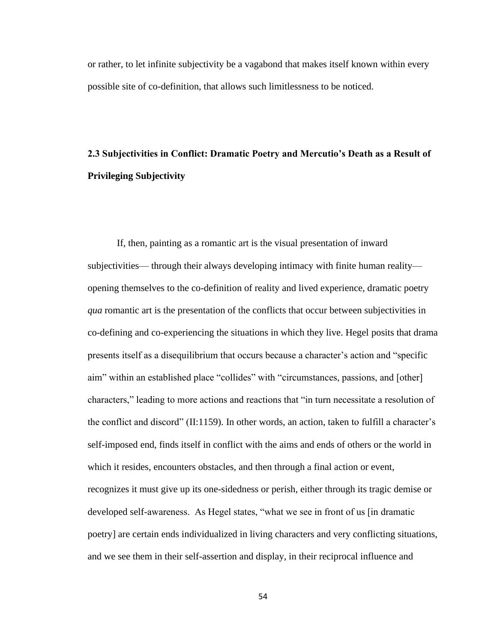or rather, to let infinite subjectivity be a vagabond that makes itself known within every possible site of co-definition, that allows such limitlessness to be noticed.

## **2.3 Subjectivities in Conflict: Dramatic Poetry and Mercutio's Death as a Result of Privileging Subjectivity**

If, then, painting as a romantic art is the visual presentation of inward subjectivities— through their always developing intimacy with finite human reality opening themselves to the co-definition of reality and lived experience, dramatic poetry *qua* romantic art is the presentation of the conflicts that occur between subjectivities in co-defining and co-experiencing the situations in which they live. Hegel posits that drama presents itself as a disequilibrium that occurs because a character's action and "specific aim" within an established place "collides" with "circumstances, passions, and [other] characters," leading to more actions and reactions that "in turn necessitate a resolution of the conflict and discord" (II:1159). In other words, an action, taken to fulfill a character's self-imposed end, finds itself in conflict with the aims and ends of others or the world in which it resides, encounters obstacles, and then through a final action or event, recognizes it must give up its one-sidedness or perish, either through its tragic demise or developed self-awareness. As Hegel states, "what we see in front of us [in dramatic poetry] are certain ends individualized in living characters and very conflicting situations, and we see them in their self-assertion and display, in their reciprocal influence and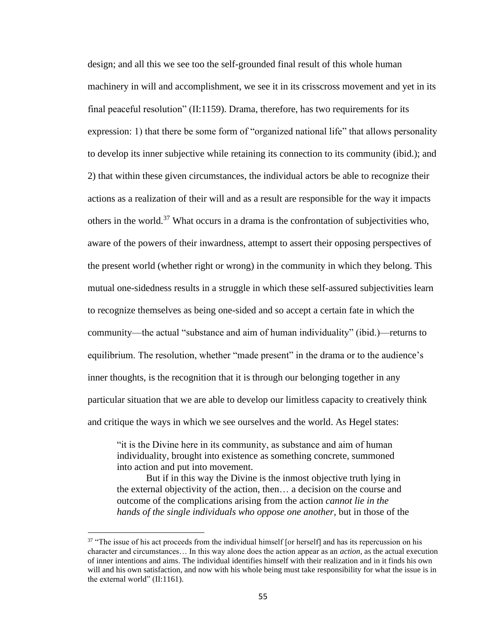design; and all this we see too the self-grounded final result of this whole human machinery in will and accomplishment, we see it in its crisscross movement and yet in its final peaceful resolution"  $(II:1159)$ . Drama, therefore, has two requirements for its expression: 1) that there be some form of "organized national life" that allows personality to develop its inner subjective while retaining its connection to its community (ibid.); and 2) that within these given circumstances, the individual actors be able to recognize their actions as a realization of their will and as a result are responsible for the way it impacts others in the world.<sup>37</sup> What occurs in a drama is the confrontation of subjectivities who, aware of the powers of their inwardness, attempt to assert their opposing perspectives of the present world (whether right or wrong) in the community in which they belong. This mutual one-sidedness results in a struggle in which these self-assured subjectivities learn to recognize themselves as being one-sided and so accept a certain fate in which the community—the actual "substance and aim of human individuality" (ibid.)—returns to equilibrium. The resolution, whether "made present" in the drama or to the audience's inner thoughts, is the recognition that it is through our belonging together in any particular situation that we are able to develop our limitless capacity to creatively think and critique the ways in which we see ourselves and the world. As Hegel states:

"it is the Divine here in its community, as substance and aim of human individuality, brought into existence as something concrete, summoned into action and put into movement.

But if in this way the Divine is the inmost objective truth lying in the external objectivity of the action, then… a decision on the course and outcome of the complications arising from the action *cannot lie in the hands of the single individuals who oppose one another,* but in those of the

<sup>&</sup>lt;sup>37</sup> "The issue of his act proceeds from the individual himself [or herself] and has its repercussion on his character and circumstances… In this way alone does the action appear as an *action*, as the actual execution of inner intentions and aims. The individual identifies himself with their realization and in it finds his own will and his own satisfaction, and now with his whole being must take responsibility for what the issue is in the external world" (II:1161).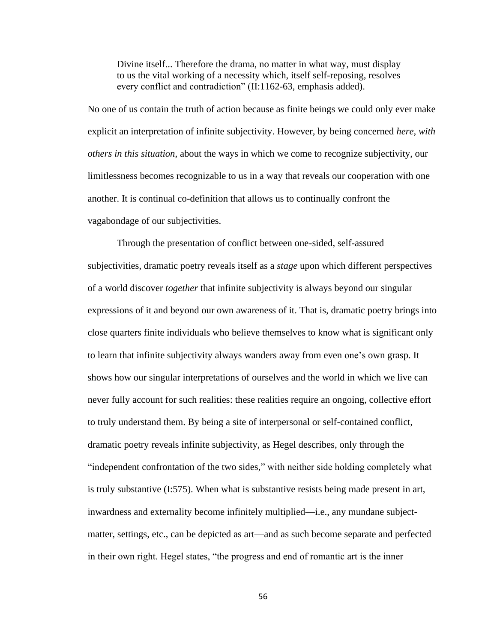Divine itself... Therefore the drama, no matter in what way, must display to us the vital working of a necessity which, itself self-reposing, resolves every conflict and contradiction" (II:1162-63, emphasis added).

No one of us contain the truth of action because as finite beings we could only ever make explicit an interpretation of infinite subjectivity. However, by being concerned *here*, *with others in this situation*, about the ways in which we come to recognize subjectivity, our limitlessness becomes recognizable to us in a way that reveals our cooperation with one another. It is continual co-definition that allows us to continually confront the vagabondage of our subjectivities.

Through the presentation of conflict between one-sided, self-assured subjectivities, dramatic poetry reveals itself as a *stage* upon which different perspectives of a world discover *together* that infinite subjectivity is always beyond our singular expressions of it and beyond our own awareness of it. That is, dramatic poetry brings into close quarters finite individuals who believe themselves to know what is significant only to learn that infinite subjectivity always wanders away from even one's own grasp. It shows how our singular interpretations of ourselves and the world in which we live can never fully account for such realities: these realities require an ongoing, collective effort to truly understand them. By being a site of interpersonal or self-contained conflict, dramatic poetry reveals infinite subjectivity, as Hegel describes, only through the "independent confrontation of the two sides," with neither side holding completely what is truly substantive (I:575). When what is substantive resists being made present in art, inwardness and externality become infinitely multiplied—i.e., any mundane subjectmatter, settings, etc., can be depicted as art—and as such become separate and perfected in their own right. Hegel states, "the progress and end of romantic art is the inner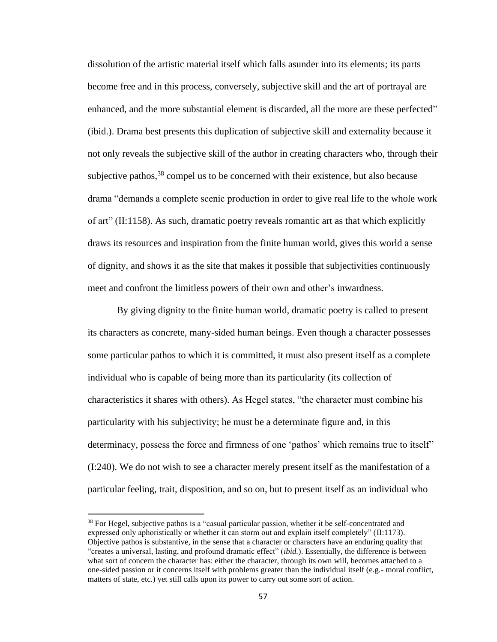dissolution of the artistic material itself which falls asunder into its elements; its parts become free and in this process, conversely, subjective skill and the art of portrayal are enhanced, and the more substantial element is discarded, all the more are these perfected" (ibid.). Drama best presents this duplication of subjective skill and externality because it not only reveals the subjective skill of the author in creating characters who, through their subjective pathos,  $38$  compel us to be concerned with their existence, but also because drama "demands a complete scenic production in order to give real life to the whole work of art" (II:1158). As such, dramatic poetry reveals romantic art as that which explicitly draws its resources and inspiration from the finite human world, gives this world a sense of dignity, and shows it as the site that makes it possible that subjectivities continuously meet and confront the limitless powers of their own and other's inwardness.

By giving dignity to the finite human world, dramatic poetry is called to present its characters as concrete, many-sided human beings. Even though a character possesses some particular pathos to which it is committed, it must also present itself as a complete individual who is capable of being more than its particularity (its collection of characteristics it shares with others). As Hegel states, "the character must combine his particularity with his subjectivity; he must be a determinate figure and, in this determinacy, possess the force and firmness of one 'pathos' which remains true to itself" (I:240). We do not wish to see a character merely present itself as the manifestation of a particular feeling, trait, disposition, and so on, but to present itself as an individual who

<sup>&</sup>lt;sup>38</sup> For Hegel, subjective pathos is a "casual particular passion, whether it be self-concentrated and expressed only aphoristically or whether it can storm out and explain itself completely" (II:1173). Objective pathos is substantive, in the sense that a character or characters have an enduring quality that "creates a universal, lasting, and profound dramatic effect" (*ibid.*). Essentially, the difference is between what sort of concern the character has: either the character, through its own will, becomes attached to a one-sided passion or it concerns itself with problems greater than the individual itself (e.g.- moral conflict, matters of state, etc.) yet still calls upon its power to carry out some sort of action.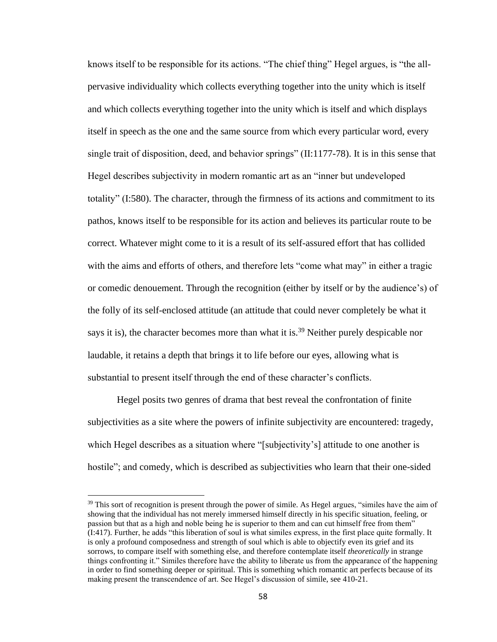knows itself to be responsible for its actions. "The chief thing" Hegel argues, is "the allpervasive individuality which collects everything together into the unity which is itself and which collects everything together into the unity which is itself and which displays itself in speech as the one and the same source from which every particular word, every single trait of disposition, deed, and behavior springs" (II:1177-78). It is in this sense that Hegel describes subjectivity in modern romantic art as an "inner but undeveloped totality" (I:580). The character, through the firmness of its actions and commitment to its pathos, knows itself to be responsible for its action and believes its particular route to be correct. Whatever might come to it is a result of its self-assured effort that has collided with the aims and efforts of others, and therefore lets "come what may" in either a tragic or comedic denouement. Through the recognition (either by itself or by the audience's) of the folly of its self-enclosed attitude (an attitude that could never completely be what it says it is), the character becomes more than what it is.<sup>39</sup> Neither purely despicable nor laudable, it retains a depth that brings it to life before our eyes, allowing what is substantial to present itself through the end of these character's conflicts.

Hegel posits two genres of drama that best reveal the confrontation of finite subjectivities as a site where the powers of infinite subjectivity are encountered: tragedy, which Hegel describes as a situation where "[subjectivity's] attitude to one another is hostile"; and comedy, which is described as subjectivities who learn that their one-sided

<sup>&</sup>lt;sup>39</sup> This sort of recognition is present through the power of simile. As Hegel argues, "similes have the aim of showing that the individual has not merely immersed himself directly in his specific situation, feeling, or passion but that as a high and noble being he is superior to them and can cut himself free from them" (I:417). Further, he adds "this liberation of soul is what similes express, in the first place quite formally. It is only a profound composedness and strength of soul which is able to objectify even its grief and its sorrows, to compare itself with something else, and therefore contemplate itself *theoretically* in strange things confronting it." Similes therefore have the ability to liberate us from the appearance of the happening in order to find something deeper or spiritual. This is something which romantic art perfects because of its making present the transcendence of art. See Hegel's discussion of simile, see 410-21.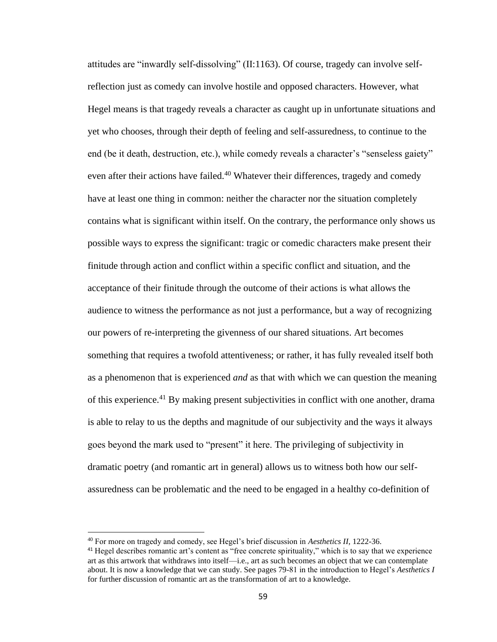attitudes are "inwardly self-dissolving" (II:1163). Of course, tragedy can involve selfreflection just as comedy can involve hostile and opposed characters. However, what Hegel means is that tragedy reveals a character as caught up in unfortunate situations and yet who chooses, through their depth of feeling and self-assuredness, to continue to the end (be it death, destruction, etc.), while comedy reveals a character's "senseless gaiety" even after their actions have failed.<sup>40</sup> Whatever their differences, tragedy and comedy have at least one thing in common: neither the character nor the situation completely contains what is significant within itself. On the contrary, the performance only shows us possible ways to express the significant: tragic or comedic characters make present their finitude through action and conflict within a specific conflict and situation, and the acceptance of their finitude through the outcome of their actions is what allows the audience to witness the performance as not just a performance, but a way of recognizing our powers of re-interpreting the givenness of our shared situations. Art becomes something that requires a twofold attentiveness; or rather, it has fully revealed itself both as a phenomenon that is experienced *and* as that with which we can question the meaning of this experience.<sup>41</sup> By making present subjectivities in conflict with one another, drama is able to relay to us the depths and magnitude of our subjectivity and the ways it always goes beyond the mark used to "present" it here. The privileging of subjectivity in dramatic poetry (and romantic art in general) allows us to witness both how our selfassuredness can be problematic and the need to be engaged in a healthy co-definition of

<sup>40</sup> For more on tragedy and comedy, see Hegel's brief discussion in *Aesthetics II,* 1222-36.

<sup>&</sup>lt;sup>41</sup> Hegel describes romantic art's content as "free concrete spirituality," which is to say that we experience art as this artwork that withdraws into itself—i.e., art as such becomes an object that we can contemplate about. It is now a knowledge that we can study. See pages 79-81 in the introduction to Hegel's *Aesthetics I* for further discussion of romantic art as the transformation of art to a knowledge.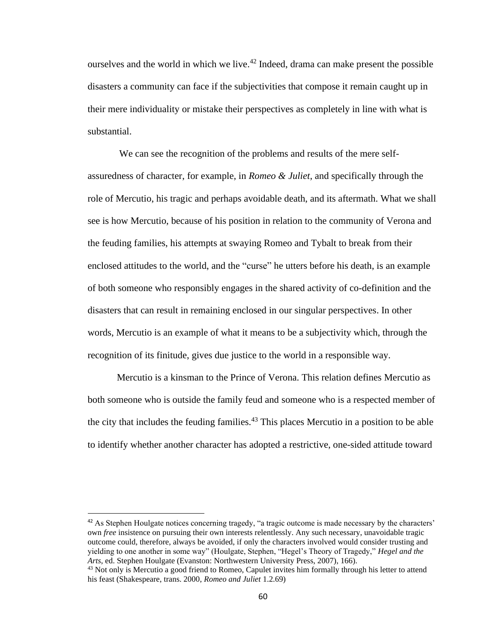ourselves and the world in which we live.<sup>42</sup> Indeed, drama can make present the possible disasters a community can face if the subjectivities that compose it remain caught up in their mere individuality or mistake their perspectives as completely in line with what is substantial.

We can see the recognition of the problems and results of the mere selfassuredness of character, for example, in *Romeo & Juliet*, and specifically through the role of Mercutio, his tragic and perhaps avoidable death, and its aftermath. What we shall see is how Mercutio, because of his position in relation to the community of Verona and the feuding families, his attempts at swaying Romeo and Tybalt to break from their enclosed attitudes to the world, and the "curse" he utters before his death, is an example of both someone who responsibly engages in the shared activity of co-definition and the disasters that can result in remaining enclosed in our singular perspectives. In other words, Mercutio is an example of what it means to be a subjectivity which, through the recognition of its finitude, gives due justice to the world in a responsible way.

Mercutio is a kinsman to the Prince of Verona. This relation defines Mercutio as both someone who is outside the family feud and someone who is a respected member of the city that includes the feuding families.<sup>43</sup> This places Mercutio in a position to be able to identify whether another character has adopted a restrictive, one-sided attitude toward

<sup>&</sup>lt;sup>42</sup> As Stephen Houlgate notices concerning tragedy, "a tragic outcome is made necessary by the characters' own *free* insistence on pursuing their own interests relentlessly. Any such necessary, unavoidable tragic outcome could, therefore, always be avoided, if only the characters involved would consider trusting and yielding to one another in some way" (Houlgate, Stephen, "Hegel's Theory of Tragedy," *Hegel and the Arts*, ed. Stephen Houlgate (Evanston: Northwestern University Press, 2007), 166).

<sup>&</sup>lt;sup>43</sup> Not only is Mercutio a good friend to Romeo, Capulet invites him formally through his letter to attend his feast (Shakespeare, trans. 2000, *Romeo and Juliet* 1.2.69)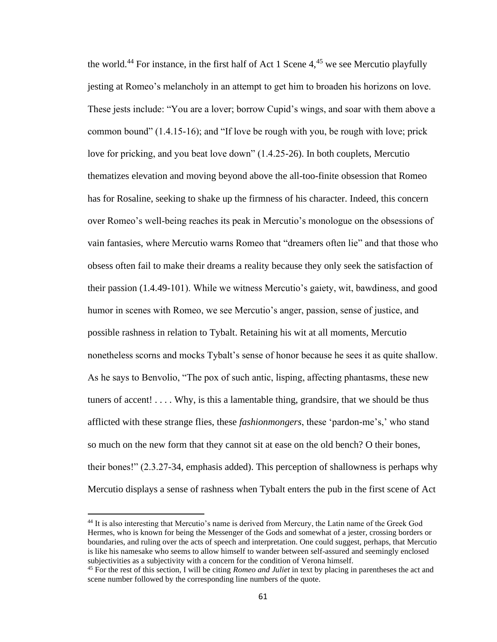the world.<sup>44</sup> For instance, in the first half of Act 1 Scene  $4<sup>45</sup>$  we see Mercutio playfully jesting at Romeo's melancholy in an attempt to get him to broaden his horizons on love. These jests include: "You are a lover; borrow Cupid's wings, and soar with them above a common bound" (1.4.15-16); and "If love be rough with you, be rough with love; prick love for pricking, and you beat love down" (1.4.25-26). In both couplets, Mercutio thematizes elevation and moving beyond above the all-too-finite obsession that Romeo has for Rosaline, seeking to shake up the firmness of his character. Indeed, this concern over Romeo's well-being reaches its peak in Mercutio's monologue on the obsessions of vain fantasies, where Mercutio warns Romeo that "dreamers often lie" and that those who obsess often fail to make their dreams a reality because they only seek the satisfaction of their passion (1.4.49-101). While we witness Mercutio's gaiety, wit, bawdiness, and good humor in scenes with Romeo, we see Mercutio's anger, passion, sense of justice, and possible rashness in relation to Tybalt. Retaining his wit at all moments, Mercutio nonetheless scorns and mocks Tybalt's sense of honor because he sees it as quite shallow. As he says to Benvolio, "The pox of such antic, lisping, affecting phantasms, these new tuners of accent! . . . . Why, is this a lamentable thing, grandsire, that we should be thus afflicted with these strange flies, these *fashionmongers*, these 'pardon-me's,' who stand so much on the new form that they cannot sit at ease on the old bench? O their bones, their bones!" (2.3.27-34, emphasis added). This perception of shallowness is perhaps why Mercutio displays a sense of rashness when Tybalt enters the pub in the first scene of Act

<sup>44</sup> It is also interesting that Mercutio's name is derived from Mercury, the Latin name of the Greek God Hermes, who is known for being the Messenger of the Gods and somewhat of a jester, crossing borders or boundaries, and ruling over the acts of speech and interpretation. One could suggest, perhaps, that Mercutio is like his namesake who seems to allow himself to wander between self-assured and seemingly enclosed subjectivities as a subjectivity with a concern for the condition of Verona himself.

<sup>45</sup> For the rest of this section, I will be citing *Romeo and Juliet* in text by placing in parentheses the act and scene number followed by the corresponding line numbers of the quote.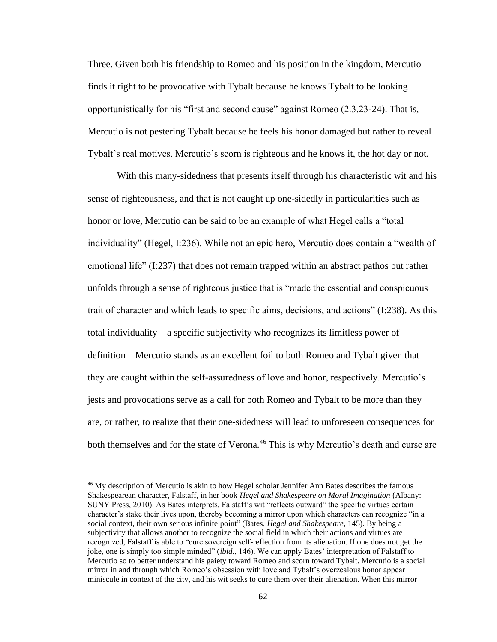Three. Given both his friendship to Romeo and his position in the kingdom, Mercutio finds it right to be provocative with Tybalt because he knows Tybalt to be looking opportunistically for his "first and second cause" against Romeo (2.3.23-24). That is, Mercutio is not pestering Tybalt because he feels his honor damaged but rather to reveal Tybalt's real motives. Mercutio's scorn is righteous and he knows it, the hot day or not.

With this many-sidedness that presents itself through his characteristic wit and his sense of righteousness, and that is not caught up one-sidedly in particularities such as honor or love, Mercutio can be said to be an example of what Hegel calls a "total individuality" (Hegel, I:236). While not an epic hero, Mercutio does contain a "wealth of emotional life" (I:237) that does not remain trapped within an abstract pathos but rather unfolds through a sense of righteous justice that is "made the essential and conspicuous trait of character and which leads to specific aims, decisions, and actions" (I:238). As this total individuality—a specific subjectivity who recognizes its limitless power of definition—Mercutio stands as an excellent foil to both Romeo and Tybalt given that they are caught within the self-assuredness of love and honor, respectively. Mercutio's jests and provocations serve as a call for both Romeo and Tybalt to be more than they are, or rather, to realize that their one-sidedness will lead to unforeseen consequences for both themselves and for the state of Verona.<sup>46</sup> This is why Mercutio's death and curse are

<sup>&</sup>lt;sup>46</sup> My description of Mercutio is akin to how Hegel scholar Jennifer Ann Bates describes the famous Shakespearean character, Falstaff, in her book *Hegel and Shakespeare on Moral Imagination* (Albany: SUNY Press, 2010). As Bates interprets, Falstaff's wit "reflects outward" the specific virtues certain character's stake their lives upon, thereby becoming a mirror upon which characters can recognize "in a social context, their own serious infinite point" (Bates, *Hegel and Shakespeare*, 145). By being a subjectivity that allows another to recognize the social field in which their actions and virtues are recognized, Falstaff is able to "cure sovereign self-reflection from its alienation. If one does not get the joke, one is simply too simple minded" (*ibid.*, 146). We can apply Bates' interpretation of Falstaff to Mercutio so to better understand his gaiety toward Romeo and scorn toward Tybalt. Mercutio is a social mirror in and through which Romeo's obsession with love and Tybalt's overzealous honor appear miniscule in context of the city, and his wit seeks to cure them over their alienation. When this mirror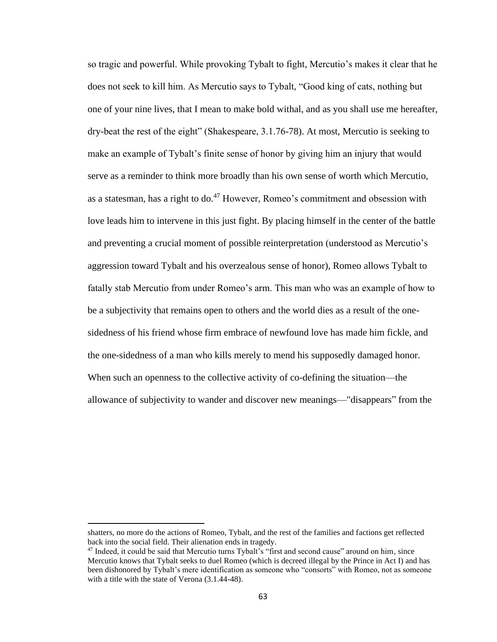so tragic and powerful. While provoking Tybalt to fight, Mercutio's makes it clear that he does not seek to kill him. As Mercutio says to Tybalt, "Good king of cats, nothing but one of your nine lives, that I mean to make bold withal, and as you shall use me hereafter, dry-beat the rest of the eight" (Shakespeare, 3.1.76-78). At most, Mercutio is seeking to make an example of Tybalt's finite sense of honor by giving him an injury that would serve as a reminder to think more broadly than his own sense of worth which Mercutio, as a statesman, has a right to do.<sup>47</sup> However, Romeo's commitment and obsession with love leads him to intervene in this just fight. By placing himself in the center of the battle and preventing a crucial moment of possible reinterpretation (understood as Mercutio's aggression toward Tybalt and his overzealous sense of honor), Romeo allows Tybalt to fatally stab Mercutio from under Romeo's arm. This man who was an example of how to be a subjectivity that remains open to others and the world dies as a result of the onesidedness of his friend whose firm embrace of newfound love has made him fickle, and the one-sidedness of a man who kills merely to mend his supposedly damaged honor. When such an openness to the collective activity of co-defining the situation—the allowance of subjectivity to wander and discover new meanings—"disappears" from the

shatters, no more do the actions of Romeo, Tybalt, and the rest of the families and factions get reflected back into the social field. Their alienation ends in tragedy.

<sup>&</sup>lt;sup>47</sup> Indeed, it could be said that Mercutio turns Tybalt's "first and second cause" around on him, since Mercutio knows that Tybalt seeks to duel Romeo (which is decreed illegal by the Prince in Act I) and has been dishonored by Tybalt's mere identification as someone who "consorts" with Romeo, not as someone with a title with the state of Verona (3.1.44-48).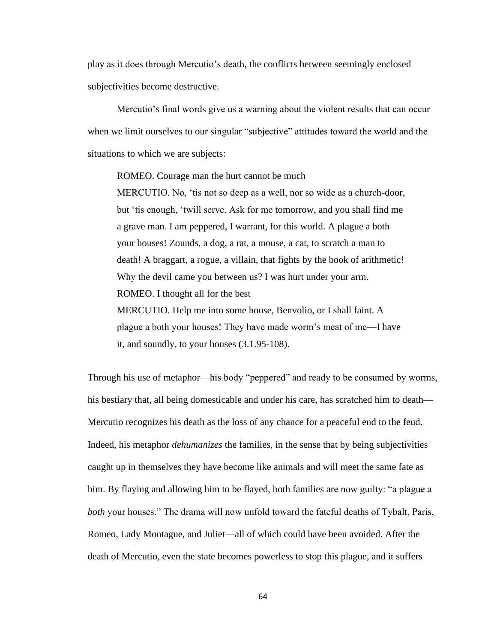play as it does through Mercutio's death, the conflicts between seemingly enclosed subjectivities become destructive.

Mercutio's final words give us a warning about the violent results that can occur when we limit ourselves to our singular "subjective" attitudes toward the world and the situations to which we are subjects:

ROMEO. Courage man the hurt cannot be much MERCUTIO. No, 'tis not so deep as a well, nor so wide as a church-door, but 'tis enough, 'twill serve. Ask for me tomorrow, and you shall find me a grave man. I am peppered, I warrant, for this world. A plague a both your houses! Zounds, a dog, a rat, a mouse, a cat, to scratch a man to death! A braggart, a rogue, a villain, that fights by the book of arithmetic! Why the devil came you between us? I was hurt under your arm. ROMEO. I thought all for the best MERCUTIO. Help me into some house, Benvolio, or I shall faint. A plague a both your houses! They have made worm's meat of me—I have it, and soundly, to your houses (3.1.95-108).

Through his use of metaphor—his body "peppered" and ready to be consumed by worms, his bestiary that, all being domesticable and under his care, has scratched him to death— Mercutio recognizes his death as the loss of any chance for a peaceful end to the feud. Indeed, his metaphor *dehumanizes* the families, in the sense that by being subjectivities caught up in themselves they have become like animals and will meet the same fate as him. By flaying and allowing him to be flayed, both families are now guilty: "a plague a *both* your houses." The drama will now unfold toward the fateful deaths of Tybalt, Paris, Romeo, Lady Montague, and Juliet—all of which could have been avoided. After the death of Mercutio, even the state becomes powerless to stop this plague, and it suffers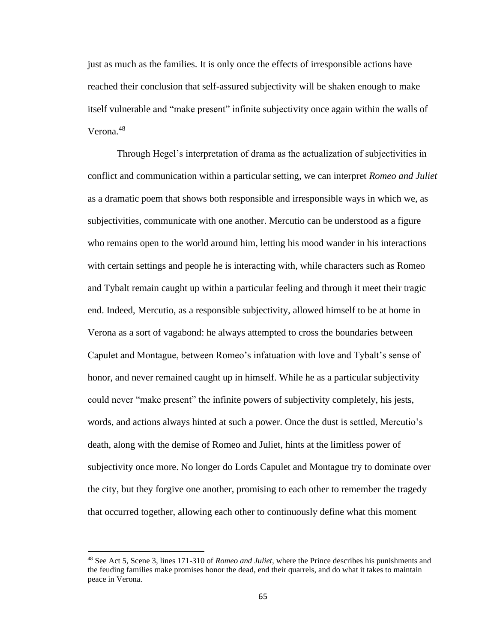just as much as the families. It is only once the effects of irresponsible actions have reached their conclusion that self-assured subjectivity will be shaken enough to make itself vulnerable and "make present" infinite subjectivity once again within the walls of Verona.<sup>48</sup>

Through Hegel's interpretation of drama as the actualization of subjectivities in conflict and communication within a particular setting, we can interpret *Romeo and Juliet* as a dramatic poem that shows both responsible and irresponsible ways in which we, as subjectivities, communicate with one another. Mercutio can be understood as a figure who remains open to the world around him, letting his mood wander in his interactions with certain settings and people he is interacting with, while characters such as Romeo and Tybalt remain caught up within a particular feeling and through it meet their tragic end. Indeed, Mercutio, as a responsible subjectivity, allowed himself to be at home in Verona as a sort of vagabond: he always attempted to cross the boundaries between Capulet and Montague, between Romeo's infatuation with love and Tybalt's sense of honor, and never remained caught up in himself. While he as a particular subjectivity could never "make present" the infinite powers of subjectivity completely, his jests, words, and actions always hinted at such a power. Once the dust is settled, Mercutio's death, along with the demise of Romeo and Juliet, hints at the limitless power of subjectivity once more. No longer do Lords Capulet and Montague try to dominate over the city, but they forgive one another, promising to each other to remember the tragedy that occurred together, allowing each other to continuously define what this moment

<sup>48</sup> See Act 5, Scene 3, lines 171-310 of *Romeo and Juliet,* where the Prince describes his punishments and the feuding families make promises honor the dead, end their quarrels, and do what it takes to maintain peace in Verona.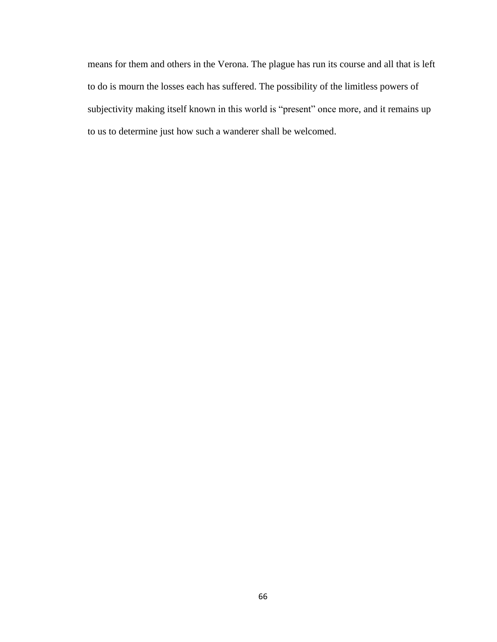means for them and others in the Verona. The plague has run its course and all that is left to do is mourn the losses each has suffered. The possibility of the limitless powers of subjectivity making itself known in this world is "present" once more, and it remains up to us to determine just how such a wanderer shall be welcomed.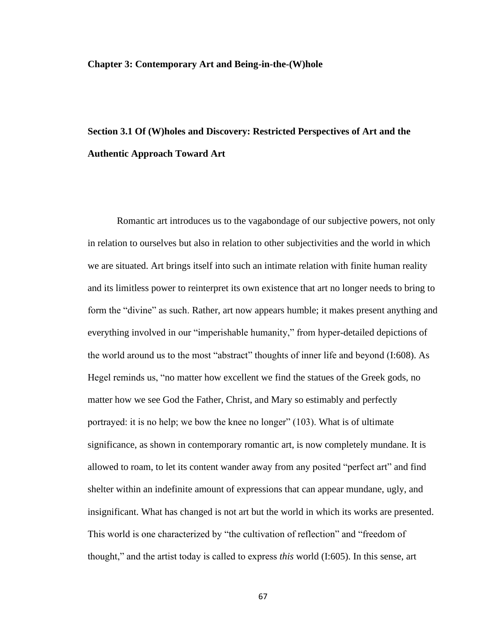#### **Chapter 3: Contemporary Art and Being-in-the-(W)hole**

# **Section 3.1 Of (W)holes and Discovery: Restricted Perspectives of Art and the Authentic Approach Toward Art**

Romantic art introduces us to the vagabondage of our subjective powers, not only in relation to ourselves but also in relation to other subjectivities and the world in which we are situated. Art brings itself into such an intimate relation with finite human reality and its limitless power to reinterpret its own existence that art no longer needs to bring to form the "divine" as such. Rather, art now appears humble; it makes present anything and everything involved in our "imperishable humanity," from hyper-detailed depictions of the world around us to the most "abstract" thoughts of inner life and beyond (I:608). As Hegel reminds us, "no matter how excellent we find the statues of the Greek gods, no matter how we see God the Father, Christ, and Mary so estimably and perfectly portrayed: it is no help; we bow the knee no longer" (103). What is of ultimate significance, as shown in contemporary romantic art, is now completely mundane. It is allowed to roam, to let its content wander away from any posited "perfect art" and find shelter within an indefinite amount of expressions that can appear mundane, ugly, and insignificant. What has changed is not art but the world in which its works are presented. This world is one characterized by "the cultivation of reflection" and "freedom of thought," and the artist today is called to express *this* world (I:605). In this sense, art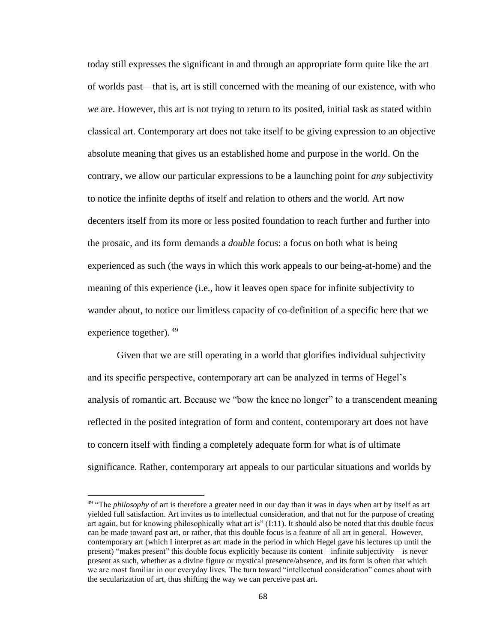today still expresses the significant in and through an appropriate form quite like the art of worlds past—that is, art is still concerned with the meaning of our existence, with who *we* are. However, this art is not trying to return to its posited, initial task as stated within classical art. Contemporary art does not take itself to be giving expression to an objective absolute meaning that gives us an established home and purpose in the world. On the contrary, we allow our particular expressions to be a launching point for *any* subjectivity to notice the infinite depths of itself and relation to others and the world. Art now decenters itself from its more or less posited foundation to reach further and further into the prosaic, and its form demands a *double* focus: a focus on both what is being experienced as such (the ways in which this work appeals to our being-at-home) and the meaning of this experience (i.e., how it leaves open space for infinite subjectivity to wander about, to notice our limitless capacity of co-definition of a specific here that we experience together). <sup>49</sup>

Given that we are still operating in a world that glorifies individual subjectivity and its specific perspective, contemporary art can be analyzed in terms of Hegel's analysis of romantic art. Because we "bow the knee no longer" to a transcendent meaning reflected in the posited integration of form and content, contemporary art does not have to concern itself with finding a completely adequate form for what is of ultimate significance. Rather, contemporary art appeals to our particular situations and worlds by

<sup>49</sup> "The *philosophy* of art is therefore a greater need in our day than it was in days when art by itself as art yielded full satisfaction. Art invites us to intellectual consideration, and that not for the purpose of creating art again, but for knowing philosophically what art is" (I:11). It should also be noted that this double focus can be made toward past art, or rather, that this double focus is a feature of all art in general. However, contemporary art (which I interpret as art made in the period in which Hegel gave his lectures up until the present) "makes present" this double focus explicitly because its content—infinite subjectivity—is never present as such, whether as a divine figure or mystical presence/absence, and its form is often that which we are most familiar in our everyday lives. The turn toward "intellectual consideration" comes about with the secularization of art, thus shifting the way we can perceive past art.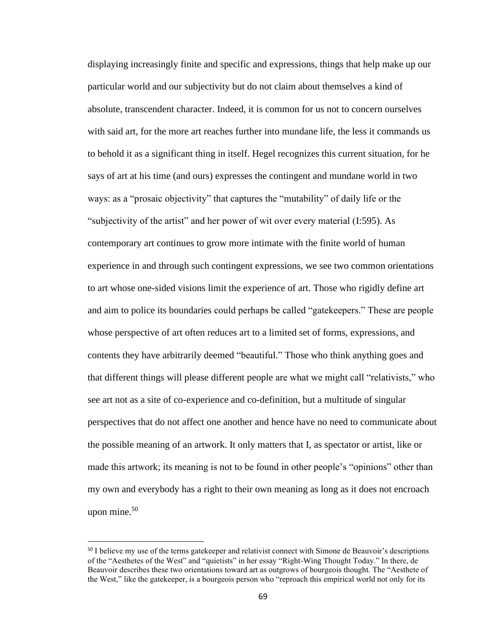displaying increasingly finite and specific and expressions, things that help make up our particular world and our subjectivity but do not claim about themselves a kind of absolute, transcendent character. Indeed, it is common for us not to concern ourselves with said art, for the more art reaches further into mundane life, the less it commands us to behold it as a significant thing in itself. Hegel recognizes this current situation, for he says of art at his time (and ours) expresses the contingent and mundane world in two ways: as a "prosaic objectivity" that captures the "mutability" of daily life or the "subjectivity of the artist" and her power of wit over every material (I:595). As contemporary art continues to grow more intimate with the finite world of human experience in and through such contingent expressions, we see two common orientations to art whose one-sided visions limit the experience of art. Those who rigidly define art and aim to police its boundaries could perhaps be called "gatekeepers." These are people whose perspective of art often reduces art to a limited set of forms, expressions, and contents they have arbitrarily deemed "beautiful." Those who think anything goes and that different things will please different people are what we might call "relativists," who see art not as a site of co-experience and co-definition, but a multitude of singular perspectives that do not affect one another and hence have no need to communicate about the possible meaning of an artwork. It only matters that I, as spectator or artist, like or made this artwork; its meaning is not to be found in other people's "opinions" other than my own and everybody has a right to their own meaning as long as it does not encroach upon mine. $50$ 

<sup>&</sup>lt;sup>50</sup> I believe my use of the terms gatekeeper and relativist connect with Simone de Beauvoir's descriptions of the "Aesthetes of the West" and "quietists" in her essay "Right-Wing Thought Today." In there, de Beauvoir describes these two orientations toward art as outgrows of bourgeois thought. The "Aesthete of the West," like the gatekeeper, is a bourgeois person who "reproach this empirical world not only for its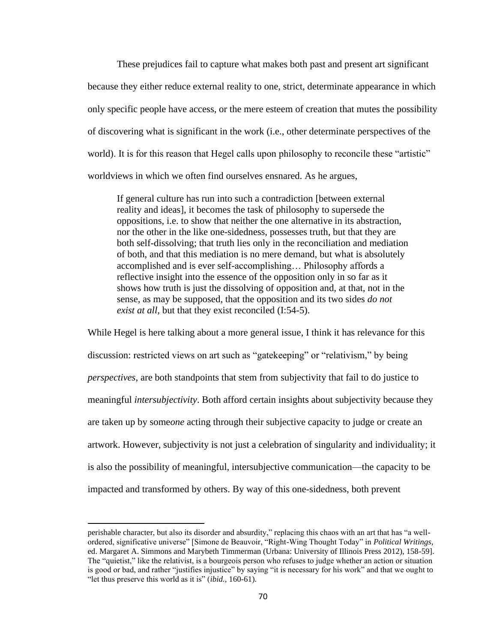These prejudices fail to capture what makes both past and present art significant because they either reduce external reality to one, strict, determinate appearance in which only specific people have access, or the mere esteem of creation that mutes the possibility of discovering what is significant in the work (i.e., other determinate perspectives of the world). It is for this reason that Hegel calls upon philosophy to reconcile these "artistic" worldviews in which we often find ourselves ensnared. As he argues,

If general culture has run into such a contradiction [between external reality and ideas], it becomes the task of philosophy to supersede the oppositions, i.e. to show that neither the one alternative in its abstraction, nor the other in the like one-sidedness, possesses truth, but that they are both self-dissolving; that truth lies only in the reconciliation and mediation of both, and that this mediation is no mere demand, but what is absolutely accomplished and is ever self-accomplishing… Philosophy affords a reflective insight into the essence of the opposition only in so far as it shows how truth is just the dissolving of opposition and, at that, not in the sense, as may be supposed, that the opposition and its two sides *do not exist at all,* but that they exist reconciled (I:54-5).

While Hegel is here talking about a more general issue, I think it has relevance for this discussion: restricted views on art such as "gatekeeping" or "relativism," by being *perspectives*, are both standpoints that stem from subjectivity that fail to do justice to meaningful *intersubjectivity*. Both afford certain insights about subjectivity because they are taken up by some*one* acting through their subjective capacity to judge or create an artwork. However, subjectivity is not just a celebration of singularity and individuality; it is also the possibility of meaningful, intersubjective communication—the capacity to be impacted and transformed by others. By way of this one-sidedness, both prevent

perishable character, but also its disorder and absurdity," replacing this chaos with an art that has "a wellordered, significative universe" [Simone de Beauvoir, "Right-Wing Thought Today" in *Political Writings*, ed. Margaret A. Simmons and Marybeth Timmerman (Urbana: University of Illinois Press 2012), 158-59]. The "quietist," like the relativist, is a bourgeois person who refuses to judge whether an action or situation is good or bad, and rather "justifies injustice" by saying "it is necessary for his work" and that we ought to "let thus preserve this world as it is" (*ibid.*, 160-61).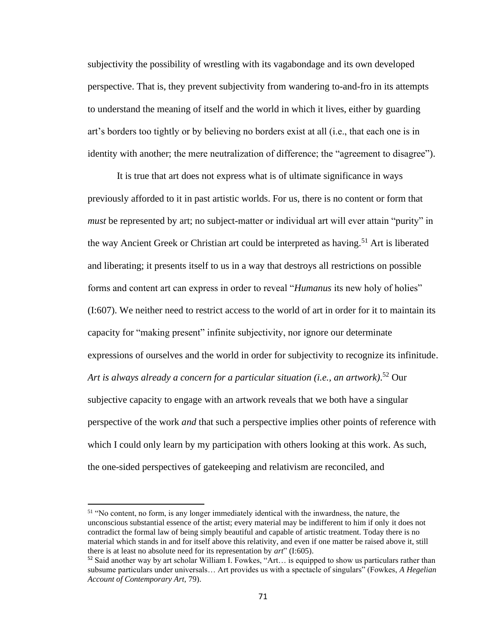subjectivity the possibility of wrestling with its vagabondage and its own developed perspective. That is, they prevent subjectivity from wandering to-and-fro in its attempts to understand the meaning of itself and the world in which it lives, either by guarding art's borders too tightly or by believing no borders exist at all (i.e., that each one is in identity with another; the mere neutralization of difference; the "agreement to disagree").

It is true that art does not express what is of ultimate significance in ways previously afforded to it in past artistic worlds. For us, there is no content or form that *must* be represented by art; no subject-matter or individual art will ever attain "purity" in the way Ancient Greek or Christian art could be interpreted as having.<sup>51</sup> Art is liberated and liberating; it presents itself to us in a way that destroys all restrictions on possible forms and content art can express in order to reveal "*Humanus* its new holy of holies" (I:607). We neither need to restrict access to the world of art in order for it to maintain its capacity for "making present" infinite subjectivity, nor ignore our determinate expressions of ourselves and the world in order for subjectivity to recognize its infinitude. *Art is always already a concern for a particular situation (i.e., an artwork)*. <sup>52</sup> Our subjective capacity to engage with an artwork reveals that we both have a singular perspective of the work *and* that such a perspective implies other points of reference with which I could only learn by my participation with others looking at this work. As such, the one-sided perspectives of gatekeeping and relativism are reconciled, and

<sup>51</sup> "No content, no form, is any longer immediately identical with the inwardness, the nature, the unconscious substantial essence of the artist; every material may be indifferent to him if only it does not contradict the formal law of being simply beautiful and capable of artistic treatment. Today there is no material which stands in and for itself above this relativity, and even if one matter be raised above it, still there is at least no absolute need for its representation by *art*" (I:605).

<sup>52</sup> Said another way by art scholar William I. Fowkes, "Art... is equipped to show us particulars rather than subsume particulars under universals… Art provides us with a spectacle of singulars" (Fowkes, *A Hegelian Account of Contemporary Art,* 79).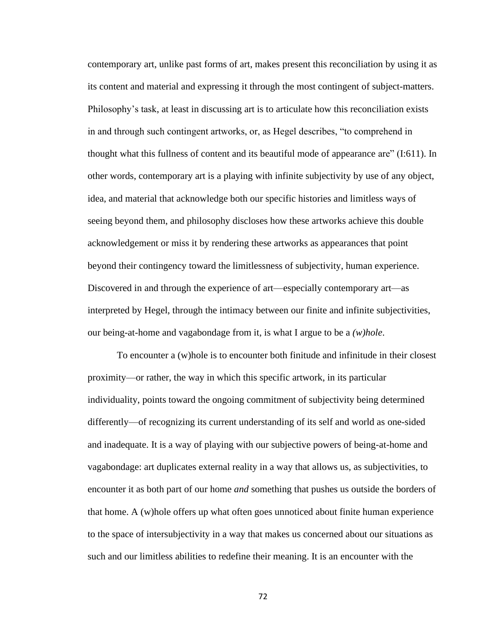contemporary art, unlike past forms of art, makes present this reconciliation by using it as its content and material and expressing it through the most contingent of subject-matters. Philosophy's task, at least in discussing art is to articulate how this reconciliation exists in and through such contingent artworks, or, as Hegel describes, "to comprehend in thought what this fullness of content and its beautiful mode of appearance are" (I:611). In other words, contemporary art is a playing with infinite subjectivity by use of any object, idea, and material that acknowledge both our specific histories and limitless ways of seeing beyond them, and philosophy discloses how these artworks achieve this double acknowledgement or miss it by rendering these artworks as appearances that point beyond their contingency toward the limitlessness of subjectivity, human experience. Discovered in and through the experience of art—especially contemporary art—as interpreted by Hegel, through the intimacy between our finite and infinite subjectivities, our being-at-home and vagabondage from it, is what I argue to be a *(w)hole*.

To encounter a (w)hole is to encounter both finitude and infinitude in their closest proximity—or rather, the way in which this specific artwork, in its particular individuality, points toward the ongoing commitment of subjectivity being determined differently—of recognizing its current understanding of its self and world as one-sided and inadequate. It is a way of playing with our subjective powers of being-at-home and vagabondage: art duplicates external reality in a way that allows us, as subjectivities, to encounter it as both part of our home *and* something that pushes us outside the borders of that home. A (w)hole offers up what often goes unnoticed about finite human experience to the space of intersubjectivity in a way that makes us concerned about our situations as such and our limitless abilities to redefine their meaning. It is an encounter with the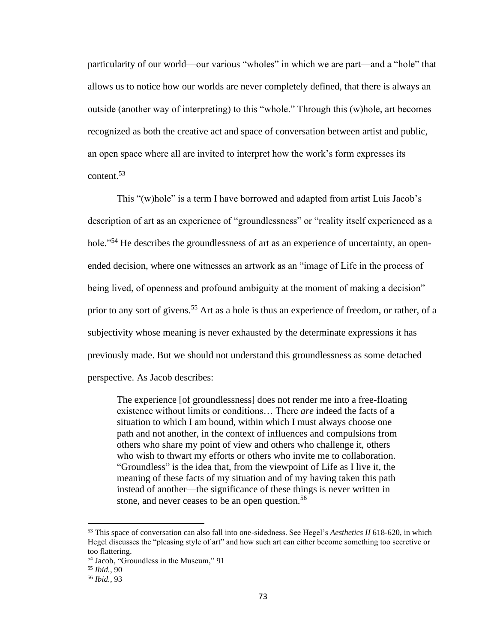particularity of our world—our various "wholes" in which we are part—and a "hole" that allows us to notice how our worlds are never completely defined, that there is always an outside (another way of interpreting) to this "whole." Through this (w)hole, art becomes recognized as both the creative act and space of conversation between artist and public, an open space where all are invited to interpret how the work's form expresses its content.<sup>53</sup>

This "(w)hole" is a term I have borrowed and adapted from artist Luis Jacob's description of art as an experience of "groundlessness" or "reality itself experienced as a hole."<sup>54</sup> He describes the groundlessness of art as an experience of uncertainty, an openended decision, where one witnesses an artwork as an "image of Life in the process of being lived, of openness and profound ambiguity at the moment of making a decision" prior to any sort of givens.<sup>55</sup> Art as a hole is thus an experience of freedom, or rather, of a subjectivity whose meaning is never exhausted by the determinate expressions it has previously made. But we should not understand this groundlessness as some detached perspective. As Jacob describes:

The experience [of groundlessness] does not render me into a free-floating existence without limits or conditions… There *are* indeed the facts of a situation to which I am bound, within which I must always choose one path and not another, in the context of influences and compulsions from others who share my point of view and others who challenge it, others who wish to thwart my efforts or others who invite me to collaboration. "Groundless" is the idea that, from the viewpoint of Life as I live it, the meaning of these facts of my situation and of my having taken this path instead of another—the significance of these things is never written in stone, and never ceases to be an open question.<sup>56</sup>

<sup>53</sup> This space of conversation can also fall into one-sidedness. See Hegel's *Aesthetics II* 618-620, in which Hegel discusses the "pleasing style of art" and how such art can either become something too secretive or too flattering.

<sup>54</sup> Jacob, "Groundless in the Museum," 91

<sup>55</sup> *Ibid.*, 90

<sup>56</sup> *Ibid.*, 93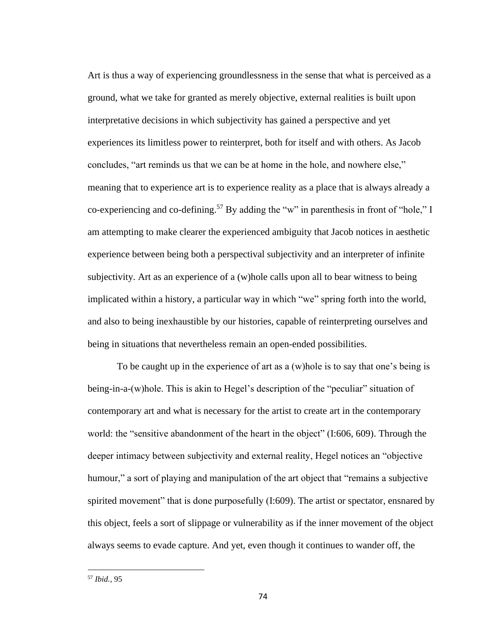Art is thus a way of experiencing groundlessness in the sense that what is perceived as a ground, what we take for granted as merely objective, external realities is built upon interpretative decisions in which subjectivity has gained a perspective and yet experiences its limitless power to reinterpret, both for itself and with others. As Jacob concludes, "art reminds us that we can be at home in the hole, and nowhere else," meaning that to experience art is to experience reality as a place that is always already a co-experiencing and co-defining.<sup>57</sup> By adding the "w" in parenthesis in front of "hole," I am attempting to make clearer the experienced ambiguity that Jacob notices in aesthetic experience between being both a perspectival subjectivity and an interpreter of infinite subjectivity. Art as an experience of a (w)hole calls upon all to bear witness to being implicated within a history, a particular way in which "we" spring forth into the world, and also to being inexhaustible by our histories, capable of reinterpreting ourselves and being in situations that nevertheless remain an open-ended possibilities.

To be caught up in the experience of art as a (w)hole is to say that one's being is being-in-a-(w)hole. This is akin to Hegel's description of the "peculiar" situation of contemporary art and what is necessary for the artist to create art in the contemporary world: the "sensitive abandonment of the heart in the object" (I:606, 609). Through the deeper intimacy between subjectivity and external reality, Hegel notices an "objective humour," a sort of playing and manipulation of the art object that "remains a subjective" spirited movement" that is done purposefully (I:609). The artist or spectator, ensnared by this object, feels a sort of slippage or vulnerability as if the inner movement of the object always seems to evade capture. And yet, even though it continues to wander off, the

<sup>57</sup> *Ibid.*, 95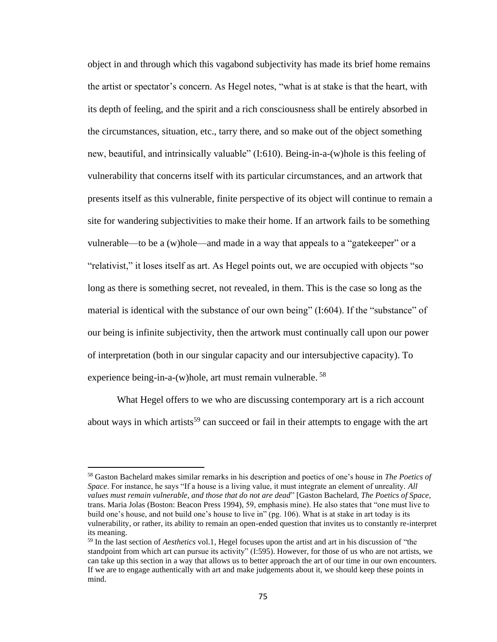object in and through which this vagabond subjectivity has made its brief home remains the artist or spectator's concern. As Hegel notes, "what is at stake is that the heart, with its depth of feeling, and the spirit and a rich consciousness shall be entirely absorbed in the circumstances, situation, etc., tarry there, and so make out of the object something new, beautiful, and intrinsically valuable" (I:610). Being-in-a-(w)hole is this feeling of vulnerability that concerns itself with its particular circumstances, and an artwork that presents itself as this vulnerable, finite perspective of its object will continue to remain a site for wandering subjectivities to make their home. If an artwork fails to be something vulnerable—to be a (w)hole—and made in a way that appeals to a "gatekeeper" or a "relativist," it loses itself as art. As Hegel points out, we are occupied with objects "so long as there is something secret, not revealed, in them. This is the case so long as the material is identical with the substance of our own being" (I:604). If the "substance" of our being is infinite subjectivity, then the artwork must continually call upon our power of interpretation (both in our singular capacity and our intersubjective capacity). To experience being-in-a-(w)hole, art must remain vulnerable.  $58$ 

What Hegel offers to we who are discussing contemporary art is a rich account about ways in which artists<sup>59</sup> can succeed or fail in their attempts to engage with the art

<sup>58</sup> Gaston Bachelard makes similar remarks in his description and poetics of one's house in *The Poetics of Space*. For instance, he says "If a house is a living value, it must integrate an element of unreality. *All values must remain vulnerable, and those that do not are dead*" [Gaston Bachelard, *The Poetics of Space*, trans. Maria Jolas (Boston: Beacon Press 1994), 59, emphasis mine). He also states that "one must live to build one's house, and not build one's house to live in" (pg. 106). What is at stake in art today is its vulnerability, or rather, its ability to remain an open-ended question that invites us to constantly re-interpret its meaning.

<sup>59</sup> In the last section of *Aesthetics* vol.1, Hegel focuses upon the artist and art in his discussion of "the standpoint from which art can pursue its activity" (I:595). However, for those of us who are not artists, we can take up this section in a way that allows us to better approach the art of our time in our own encounters. If we are to engage authentically with art and make judgements about it, we should keep these points in mind.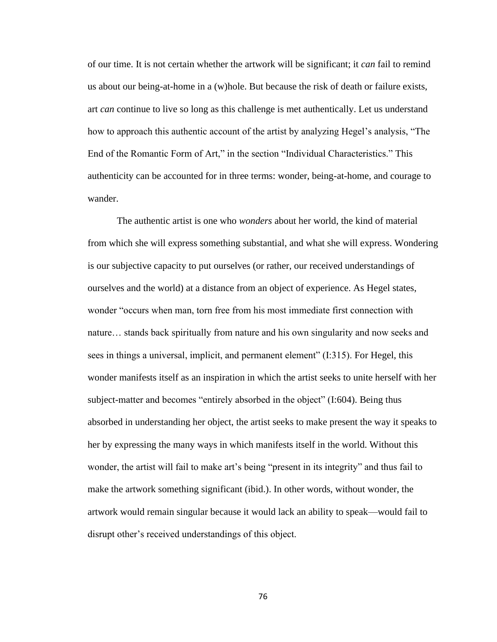of our time. It is not certain whether the artwork will be significant; it *can* fail to remind us about our being-at-home in a (w)hole. But because the risk of death or failure exists, art *can* continue to live so long as this challenge is met authentically. Let us understand how to approach this authentic account of the artist by analyzing Hegel's analysis, "The End of the Romantic Form of Art," in the section "Individual Characteristics." This authenticity can be accounted for in three terms: wonder, being-at-home, and courage to wander.

The authentic artist is one who *wonders* about her world, the kind of material from which she will express something substantial, and what she will express. Wondering is our subjective capacity to put ourselves (or rather, our received understandings of ourselves and the world) at a distance from an object of experience. As Hegel states, wonder "occurs when man, torn free from his most immediate first connection with nature… stands back spiritually from nature and his own singularity and now seeks and sees in things a universal, implicit, and permanent element" (I:315). For Hegel, this wonder manifests itself as an inspiration in which the artist seeks to unite herself with her subject-matter and becomes "entirely absorbed in the object" (I:604). Being thus absorbed in understanding her object, the artist seeks to make present the way it speaks to her by expressing the many ways in which manifests itself in the world. Without this wonder, the artist will fail to make art's being "present in its integrity" and thus fail to make the artwork something significant (ibid.). In other words, without wonder, the artwork would remain singular because it would lack an ability to speak—would fail to disrupt other's received understandings of this object.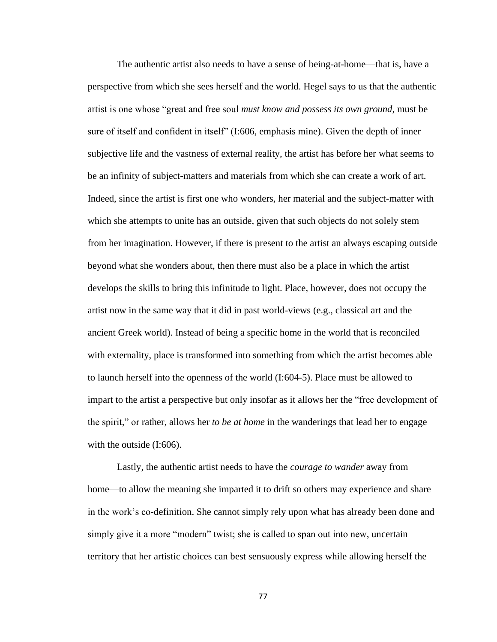The authentic artist also needs to have a sense of being-at-home—that is, have a perspective from which she sees herself and the world. Hegel says to us that the authentic artist is one whose "great and free soul *must know and possess its own ground*, must be sure of itself and confident in itself" (I:606, emphasis mine). Given the depth of inner subjective life and the vastness of external reality, the artist has before her what seems to be an infinity of subject-matters and materials from which she can create a work of art. Indeed, since the artist is first one who wonders, her material and the subject-matter with which she attempts to unite has an outside, given that such objects do not solely stem from her imagination. However, if there is present to the artist an always escaping outside beyond what she wonders about, then there must also be a place in which the artist develops the skills to bring this infinitude to light. Place, however, does not occupy the artist now in the same way that it did in past world-views (e.g., classical art and the ancient Greek world). Instead of being a specific home in the world that is reconciled with externality, place is transformed into something from which the artist becomes able to launch herself into the openness of the world (I:604-5). Place must be allowed to impart to the artist a perspective but only insofar as it allows her the "free development of the spirit," or rather, allows her *to be at home* in the wanderings that lead her to engage with the outside (I:606).

Lastly, the authentic artist needs to have the *courage to wander* away from home—to allow the meaning she imparted it to drift so others may experience and share in the work's co-definition. She cannot simply rely upon what has already been done and simply give it a more "modern" twist; she is called to span out into new, uncertain territory that her artistic choices can best sensuously express while allowing herself the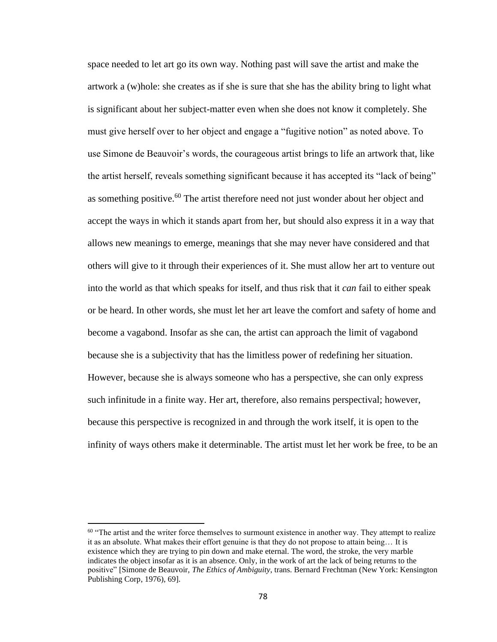space needed to let art go its own way. Nothing past will save the artist and make the artwork a (w)hole: she creates as if she is sure that she has the ability bring to light what is significant about her subject-matter even when she does not know it completely. She must give herself over to her object and engage a "fugitive notion" as noted above. To use Simone de Beauvoir's words, the courageous artist brings to life an artwork that, like the artist herself, reveals something significant because it has accepted its "lack of being" as something positive.<sup>60</sup> The artist therefore need not just wonder about her object and accept the ways in which it stands apart from her, but should also express it in a way that allows new meanings to emerge, meanings that she may never have considered and that others will give to it through their experiences of it. She must allow her art to venture out into the world as that which speaks for itself, and thus risk that it *can* fail to either speak or be heard. In other words, she must let her art leave the comfort and safety of home and become a vagabond. Insofar as she can, the artist can approach the limit of vagabond because she is a subjectivity that has the limitless power of redefining her situation. However, because she is always someone who has a perspective, she can only express such infinitude in a finite way. Her art, therefore, also remains perspectival; however, because this perspective is recognized in and through the work itself, it is open to the infinity of ways others make it determinable. The artist must let her work be free, to be an

 $60$  "The artist and the writer force themselves to surmount existence in another way. They attempt to realize it as an absolute. What makes their effort genuine is that they do not propose to attain being… It is existence which they are trying to pin down and make eternal. The word, the stroke, the very marble indicates the object insofar as it is an absence. Only, in the work of art the lack of being returns to the positive" [Simone de Beauvoir, *The Ethics of Ambiguity*, trans. Bernard Frechtman (New York: Kensington Publishing Corp, 1976), 69].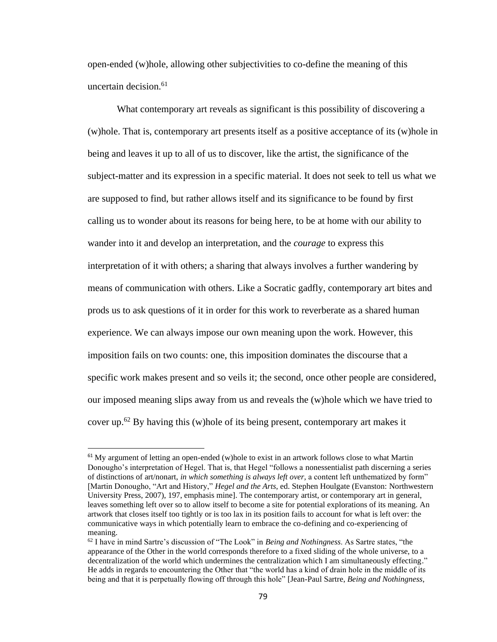open-ended (w)hole, allowing other subjectivities to co-define the meaning of this uncertain decision. $61$ 

What contemporary art reveals as significant is this possibility of discovering a (w)hole. That is, contemporary art presents itself as a positive acceptance of its (w)hole in being and leaves it up to all of us to discover, like the artist, the significance of the subject-matter and its expression in a specific material. It does not seek to tell us what we are supposed to find, but rather allows itself and its significance to be found by first calling us to wonder about its reasons for being here, to be at home with our ability to wander into it and develop an interpretation, and the *courage* to express this interpretation of it with others; a sharing that always involves a further wandering by means of communication with others. Like a Socratic gadfly, contemporary art bites and prods us to ask questions of it in order for this work to reverberate as a shared human experience. We can always impose our own meaning upon the work. However, this imposition fails on two counts: one, this imposition dominates the discourse that a specific work makes present and so veils it; the second, once other people are considered, our imposed meaning slips away from us and reveals the (w)hole which we have tried to cover up.<sup>62</sup> By having this (w)hole of its being present, contemporary art makes it

<sup>&</sup>lt;sup>61</sup> My argument of letting an open-ended (w)hole to exist in an artwork follows close to what Martin Donougho's interpretation of Hegel. That is, that Hegel "follows a nonessentialist path discerning a series of distinctions of art/nonart, *in which something is always left over,* a content left unthematized by form" [Martin Donougho, "Art and History," *Hegel and the Arts*, ed. Stephen Houlgate (Evanston: Northwestern University Press, 2007), 197, emphasis mine]. The contemporary artist, or contemporary art in general, leaves something left over so to allow itself to become a site for potential explorations of its meaning. An artwork that closes itself too tightly or is too lax in its position fails to account for what is left over: the communicative ways in which potentially learn to embrace the co-defining and co-experiencing of meaning.

<sup>62</sup> I have in mind Sartre's discussion of "The Look" in *Being and Nothingness*. As Sartre states, "the appearance of the Other in the world corresponds therefore to a fixed sliding of the whole universe, to a decentralization of the world which undermines the centralization which I am simultaneously effecting." He adds in regards to encountering the Other that "the world has a kind of drain hole in the middle of its being and that it is perpetually flowing off through this hole" [Jean-Paul Sartre, *Being and Nothingness*,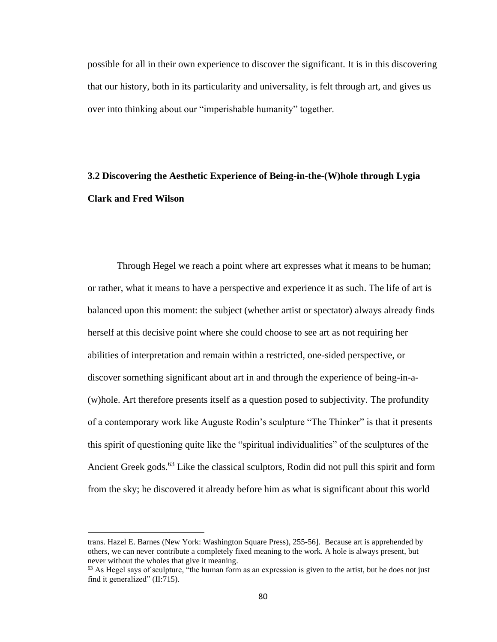possible for all in their own experience to discover the significant. It is in this discovering that our history, both in its particularity and universality, is felt through art, and gives us over into thinking about our "imperishable humanity" together.

# **3.2 Discovering the Aesthetic Experience of Being-in-the-(W)hole through Lygia Clark and Fred Wilson**

Through Hegel we reach a point where art expresses what it means to be human; or rather, what it means to have a perspective and experience it as such. The life of art is balanced upon this moment: the subject (whether artist or spectator) always already finds herself at this decisive point where she could choose to see art as not requiring her abilities of interpretation and remain within a restricted, one-sided perspective, or discover something significant about art in and through the experience of being-in-a- (w)hole. Art therefore presents itself as a question posed to subjectivity*.* The profundity of a contemporary work like Auguste Rodin's sculpture "The Thinker" is that it presents this spirit of questioning quite like the "spiritual individualities" of the sculptures of the Ancient Greek gods.<sup>63</sup> Like the classical sculptors, Rodin did not pull this spirit and form from the sky; he discovered it already before him as what is significant about this world

trans. Hazel E. Barnes (New York: Washington Square Press), 255-56]. Because art is apprehended by others, we can never contribute a completely fixed meaning to the work. A hole is always present, but never without the wholes that give it meaning.

 $63$  As Hegel says of sculpture, "the human form as an expression is given to the artist, but he does not just find it generalized" (II:715).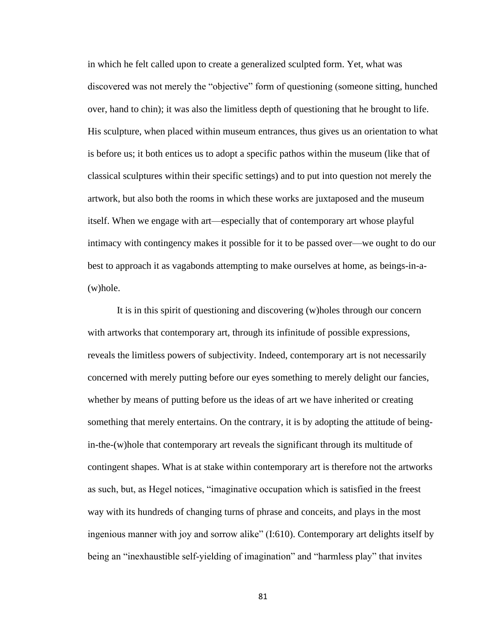in which he felt called upon to create a generalized sculpted form. Yet, what was discovered was not merely the "objective" form of questioning (someone sitting, hunched over, hand to chin); it was also the limitless depth of questioning that he brought to life. His sculpture, when placed within museum entrances, thus gives us an orientation to what is before us; it both entices us to adopt a specific pathos within the museum (like that of classical sculptures within their specific settings) and to put into question not merely the artwork, but also both the rooms in which these works are juxtaposed and the museum itself. When we engage with art—especially that of contemporary art whose playful intimacy with contingency makes it possible for it to be passed over—we ought to do our best to approach it as vagabonds attempting to make ourselves at home, as beings-in-a- (w)hole.

It is in this spirit of questioning and discovering (w)holes through our concern with artworks that contemporary art, through its infinitude of possible expressions, reveals the limitless powers of subjectivity. Indeed, contemporary art is not necessarily concerned with merely putting before our eyes something to merely delight our fancies, whether by means of putting before us the ideas of art we have inherited or creating something that merely entertains. On the contrary, it is by adopting the attitude of beingin-the-(w)hole that contemporary art reveals the significant through its multitude of contingent shapes. What is at stake within contemporary art is therefore not the artworks as such, but, as Hegel notices, "imaginative occupation which is satisfied in the freest way with its hundreds of changing turns of phrase and conceits, and plays in the most ingenious manner with joy and sorrow alike" (I:610). Contemporary art delights itself by being an "inexhaustible self-yielding of imagination" and "harmless play" that invites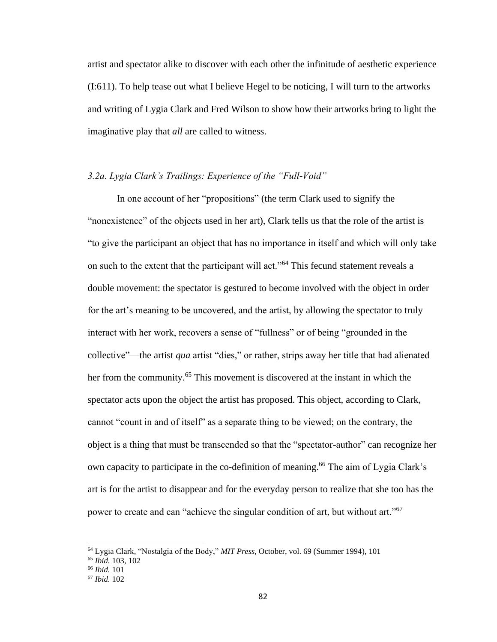artist and spectator alike to discover with each other the infinitude of aesthetic experience (I:611). To help tease out what I believe Hegel to be noticing, I will turn to the artworks and writing of Lygia Clark and Fred Wilson to show how their artworks bring to light the imaginative play that *all* are called to witness.

### *3.2a. Lygia Clark's Trailings: Experience of the "Full-Void"*

In one account of her "propositions" (the term Clark used to signify the "nonexistence" of the objects used in her art), Clark tells us that the role of the artist is "to give the participant an object that has no importance in itself and which will only take on such to the extent that the participant will act."<sup>64</sup> This fecund statement reveals a double movement: the spectator is gestured to become involved with the object in order for the art's meaning to be uncovered, and the artist, by allowing the spectator to truly interact with her work, recovers a sense of "fullness" or of being "grounded in the collective"—the artist *qua* artist "dies," or rather, strips away her title that had alienated her from the community. <sup>65</sup> This movement is discovered at the instant in which the spectator acts upon the object the artist has proposed. This object, according to Clark, cannot "count in and of itself" as a separate thing to be viewed; on the contrary, the object is a thing that must be transcended so that the "spectator-author" can recognize her own capacity to participate in the co-definition of meaning. <sup>66</sup> The aim of Lygia Clark's art is for the artist to disappear and for the everyday person to realize that she too has the power to create and can "achieve the singular condition of art, but without art."<sup>67</sup>

<sup>64</sup> Lygia Clark, "Nostalgia of the Body," *MIT Press*, October, vol. 69 (Summer 1994), 101

<sup>65</sup> *Ibid.* 103, 102

<sup>66</sup> *Ibid.* 101

<sup>67</sup> *Ibid.* 102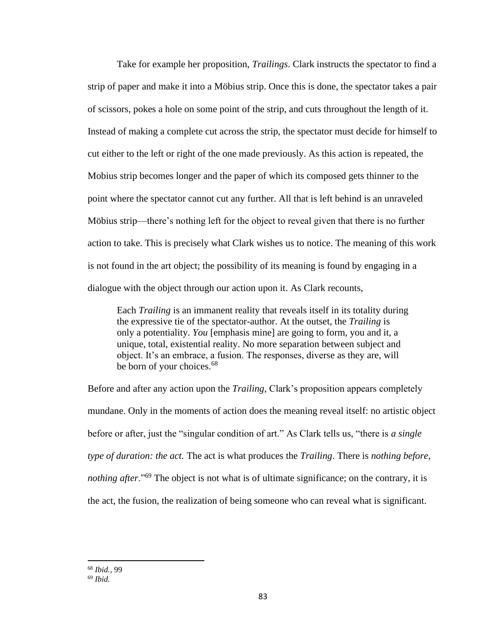Take for example her proposition, *Trailings*. Clark instructs the spectator to find a strip of paper and make it into a Möbius strip. Once this is done, the spectator takes a pair of scissors, pokes a hole on some point of the strip, and cuts throughout the length of it. Instead of making a complete cut across the strip, the spectator must decide for himself to cut either to the left or right of the one made previously. As this action is repeated, the Mobius strip becomes longer and the paper of which its composed gets thinner to the point where the spectator cannot cut any further. All that is left behind is an unraveled Möbius strip—there's nothing left for the object to reveal given that there is no further action to take. This is precisely what Clark wishes us to notice. The meaning of this work is not found in the art object; the possibility of its meaning is found by engaging in a dialogue with the object through our action upon it. As Clark recounts,

Each *Trailing* is an immanent reality that reveals itself in its totality during the expressive tie of the spectator-author. At the outset, the *Trailing* is only a potentiality. *You* [emphasis mine] are going to form, you and it, a unique, total, existential reality. No more separation between subject and object. It's an embrace, a fusion. The responses, diverse as they are, will be born of your choices.<sup>68</sup>

Before and after any action upon the *Trailing*, Clark's proposition appears completely mundane. Only in the moments of action does the meaning reveal itself: no artistic object before or after, just the "singular condition of art." As Clark tells us, "there is *a single type of duration: the act.* The act is what produces the *Trailing*. There is *nothing before, nothing after*."<sup>69</sup> The object is not what is of ultimate significance; on the contrary, it is the act, the fusion, the realization of being someone who can reveal what is significant.

<sup>68</sup> *Ibid.*, 99

<sup>69</sup> *Ibid.*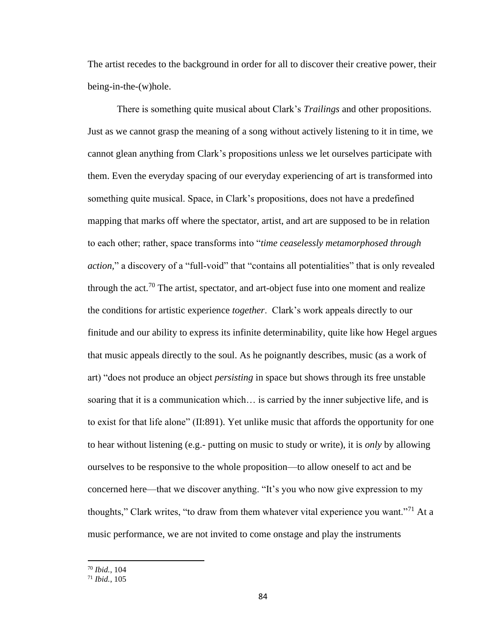The artist recedes to the background in order for all to discover their creative power, their being-in-the-(w)hole.

There is something quite musical about Clark's *Trailings* and other propositions. Just as we cannot grasp the meaning of a song without actively listening to it in time, we cannot glean anything from Clark's propositions unless we let ourselves participate with them. Even the everyday spacing of our everyday experiencing of art is transformed into something quite musical. Space, in Clark's propositions, does not have a predefined mapping that marks off where the spectator, artist, and art are supposed to be in relation to each other; rather, space transforms into "*time ceaselessly metamorphosed through action,*" a discovery of a "full-void" that "contains all potentialities" that is only revealed through the act.<sup>70</sup> The artist, spectator, and art-object fuse into one moment and realize the conditions for artistic experience *together*. Clark's work appeals directly to our finitude and our ability to express its infinite determinability, quite like how Hegel argues that music appeals directly to the soul. As he poignantly describes, music (as a work of art) "does not produce an object *persisting* in space but shows through its free unstable soaring that it is a communication which… is carried by the inner subjective life, and is to exist for that life alone" (II:891). Yet unlike music that affords the opportunity for one to hear without listening (e.g.- putting on music to study or write), it is *only* by allowing ourselves to be responsive to the whole proposition—to allow oneself to act and be concerned here—that we discover anything. "It's you who now give expression to my thoughts," Clark writes, "to draw from them whatever vital experience you want."<sup>71</sup> At a music performance, we are not invited to come onstage and play the instruments

<sup>70</sup> *Ibid.*, 104

<sup>71</sup> *Ibid.*, 105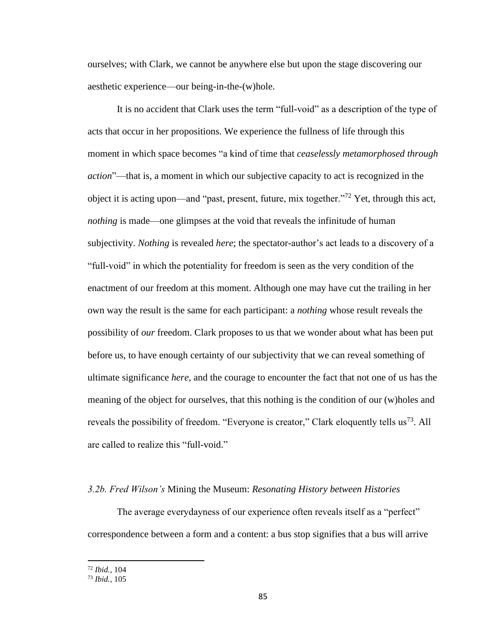ourselves; with Clark, we cannot be anywhere else but upon the stage discovering our aesthetic experience—our being-in-the-(w)hole.

It is no accident that Clark uses the term "full-void" as a description of the type of acts that occur in her propositions. We experience the fullness of life through this moment in which space becomes "a kind of time that *ceaselessly metamorphosed through action*"—that is, a moment in which our subjective capacity to act is recognized in the object it is acting upon—and "past, present, future, mix together."<sup>72</sup> Yet, through this act, *nothing* is made—one glimpses at the void that reveals the infinitude of human subjectivity. *Nothing* is revealed *here*; the spectator-author's act leads to a discovery of a "full-void" in which the potentiality for freedom is seen as the very condition of the enactment of our freedom at this moment. Although one may have cut the trailing in her own way the result is the same for each participant: a *nothing* whose result reveals the possibility of *our* freedom. Clark proposes to us that we wonder about what has been put before us, to have enough certainty of our subjectivity that we can reveal something of ultimate significance *here*, and the courage to encounter the fact that not one of us has the meaning of the object for ourselves, that this nothing is the condition of our (w)holes and reveals the possibility of freedom. "Everyone is creator," Clark eloquently tells  $us^{73}$ . All are called to realize this "full-void."

#### *3.2b. Fred Wilson's* Mining the Museum: *Resonating History between Histories*

The average everydayness of our experience often reveals itself as a "perfect" correspondence between a form and a content: a bus stop signifies that a bus will arrive

<sup>72</sup> *Ibid.*, 104

<sup>73</sup> *Ibid.*, 105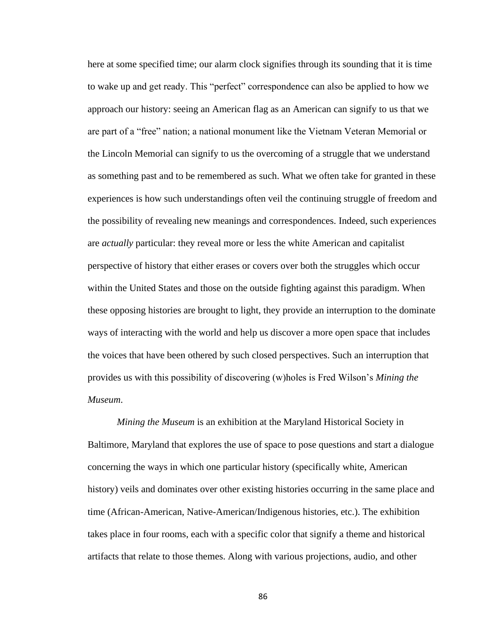here at some specified time; our alarm clock signifies through its sounding that it is time to wake up and get ready. This "perfect" correspondence can also be applied to how we approach our history: seeing an American flag as an American can signify to us that we are part of a "free" nation; a national monument like the Vietnam Veteran Memorial or the Lincoln Memorial can signify to us the overcoming of a struggle that we understand as something past and to be remembered as such. What we often take for granted in these experiences is how such understandings often veil the continuing struggle of freedom and the possibility of revealing new meanings and correspondences. Indeed, such experiences are *actually* particular: they reveal more or less the white American and capitalist perspective of history that either erases or covers over both the struggles which occur within the United States and those on the outside fighting against this paradigm. When these opposing histories are brought to light, they provide an interruption to the dominate ways of interacting with the world and help us discover a more open space that includes the voices that have been othered by such closed perspectives. Such an interruption that provides us with this possibility of discovering (w)holes is Fred Wilson's *Mining the Museum*.

*Mining the Museum* is an exhibition at the Maryland Historical Society in Baltimore, Maryland that explores the use of space to pose questions and start a dialogue concerning the ways in which one particular history (specifically white, American history) veils and dominates over other existing histories occurring in the same place and time (African-American, Native-American/Indigenous histories, etc.). The exhibition takes place in four rooms, each with a specific color that signify a theme and historical artifacts that relate to those themes. Along with various projections, audio, and other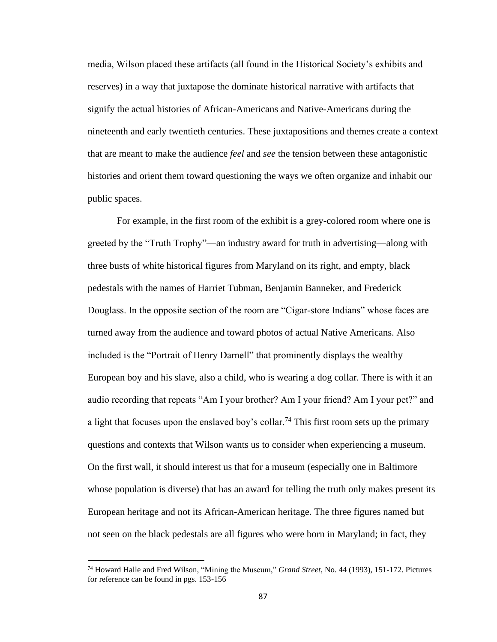media, Wilson placed these artifacts (all found in the Historical Society's exhibits and reserves) in a way that juxtapose the dominate historical narrative with artifacts that signify the actual histories of African-Americans and Native-Americans during the nineteenth and early twentieth centuries. These juxtapositions and themes create a context that are meant to make the audience *feel* and *see* the tension between these antagonistic histories and orient them toward questioning the ways we often organize and inhabit our public spaces.

For example, in the first room of the exhibit is a grey-colored room where one is greeted by the "Truth Trophy"—an industry award for truth in advertising—along with three busts of white historical figures from Maryland on its right, and empty, black pedestals with the names of Harriet Tubman, Benjamin Banneker, and Frederick Douglass. In the opposite section of the room are "Cigar-store Indians" whose faces are turned away from the audience and toward photos of actual Native Americans. Also included is the "Portrait of Henry Darnell" that prominently displays the wealthy European boy and his slave, also a child, who is wearing a dog collar. There is with it an audio recording that repeats "Am I your brother? Am I your friend? Am I your pet?" and a light that focuses upon the enslaved boy's collar.<sup>74</sup> This first room sets up the primary questions and contexts that Wilson wants us to consider when experiencing a museum. On the first wall, it should interest us that for a museum (especially one in Baltimore whose population is diverse) that has an award for telling the truth only makes present its European heritage and not its African-American heritage. The three figures named but not seen on the black pedestals are all figures who were born in Maryland; in fact, they

<sup>74</sup> Howard Halle and Fred Wilson, "Mining the Museum," *Grand Street*, No. 44 (1993), 151-172. Pictures for reference can be found in pgs. 153-156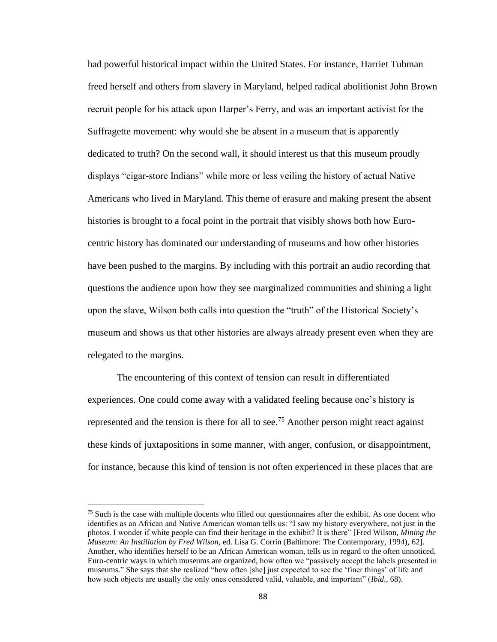had powerful historical impact within the United States. For instance, Harriet Tubman freed herself and others from slavery in Maryland, helped radical abolitionist John Brown recruit people for his attack upon Harper's Ferry, and was an important activist for the Suffragette movement: why would she be absent in a museum that is apparently dedicated to truth? On the second wall, it should interest us that this museum proudly displays "cigar-store Indians" while more or less veiling the history of actual Native Americans who lived in Maryland. This theme of erasure and making present the absent histories is brought to a focal point in the portrait that visibly shows both how Eurocentric history has dominated our understanding of museums and how other histories have been pushed to the margins. By including with this portrait an audio recording that questions the audience upon how they see marginalized communities and shining a light upon the slave, Wilson both calls into question the "truth" of the Historical Society's museum and shows us that other histories are always already present even when they are relegated to the margins.

The encountering of this context of tension can result in differentiated experiences. One could come away with a validated feeling because one's history is represented and the tension is there for all to see.<sup>75</sup> Another person might react against these kinds of juxtapositions in some manner, with anger, confusion, or disappointment, for instance, because this kind of tension is not often experienced in these places that are

<sup>&</sup>lt;sup>75</sup> Such is the case with multiple docents who filled out questionnaires after the exhibit. As one docent who identifies as an African and Native American woman tells us: "I saw my history everywhere, not just in the photos. I wonder if white people can find their heritage in the exhibit? It is there" [Fred Wilson, *Mining the Museum: An Instillation by Fred Wilson,* ed. Lisa G. Corrin (Baltimore: The Contemporary, 1994), 62]. Another, who identifies herself to be an African American woman, tells us in regard to the often unnoticed, Euro-centric ways in which museums are organized, how often we "passively accept the labels presented in museums." She says that she realized "how often [she] just expected to see the 'finer things' of life and how such objects are usually the only ones considered valid, valuable, and important" (*Ibid.,* 68).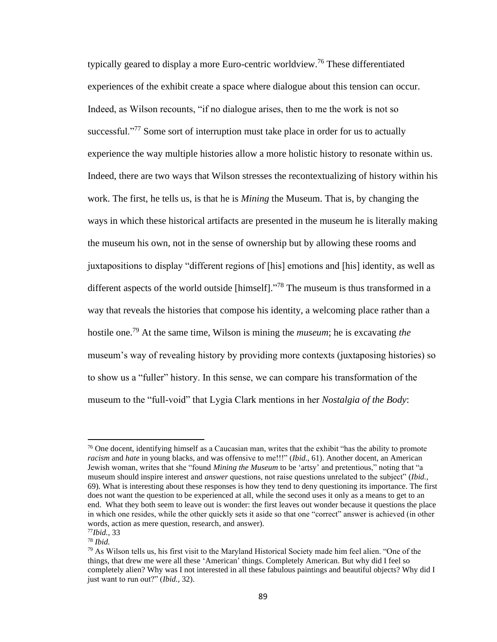typically geared to display a more Euro-centric worldview. <sup>76</sup> These differentiated experiences of the exhibit create a space where dialogue about this tension can occur. Indeed, as Wilson recounts, "if no dialogue arises, then to me the work is not so successful."<sup>77</sup> Some sort of interruption must take place in order for us to actually experience the way multiple histories allow a more holistic history to resonate within us. Indeed, there are two ways that Wilson stresses the recontextualizing of history within his work. The first, he tells us, is that he is *Mining* the Museum. That is, by changing the ways in which these historical artifacts are presented in the museum he is literally making the museum his own, not in the sense of ownership but by allowing these rooms and juxtapositions to display "different regions of [his] emotions and [his] identity, as well as different aspects of the world outside [himself]." <sup>78</sup> The museum is thus transformed in a way that reveals the histories that compose his identity, a welcoming place rather than a hostile one. <sup>79</sup> At the same time, Wilson is mining the *museum*; he is excavating *the* museum's way of revealing history by providing more contexts (juxtaposing histories) so to show us a "fuller" history. In this sense, we can compare his transformation of the museum to the "full-void" that Lygia Clark mentions in her *Nostalgia of the Body*:

 $76$  One docent, identifying himself as a Caucasian man, writes that the exhibit "has the ability to promote" *racism* and *hate* in young blacks, and was offensive to me!!!" (*Ibid.*, 61). Another docent, an American Jewish woman, writes that she "found *Mining the Museum* to be 'artsy' and pretentious," noting that "a museum should inspire interest and *answer* questions, not raise questions unrelated to the subject" (*Ibid.,*  69). What is interesting about these responses is how they tend to deny questioning its importance. The first does not want the question to be experienced at all, while the second uses it only as a means to get to an end. What they both seem to leave out is wonder: the first leaves out wonder because it questions the place in which one resides, while the other quickly sets it aside so that one "correct" answer is achieved (in other words, action as mere question, research, and answer).

<sup>77</sup>*Ibid.,* 33

<sup>78</sup> *Ibid.*

 $79$  As Wilson tells us, his first visit to the Maryland Historical Society made him feel alien. "One of the things, that drew me were all these 'American' things. Completely American. But why did I feel so completely alien? Why was I not interested in all these fabulous paintings and beautiful objects? Why did I just want to run out?" (*Ibid.,* 32).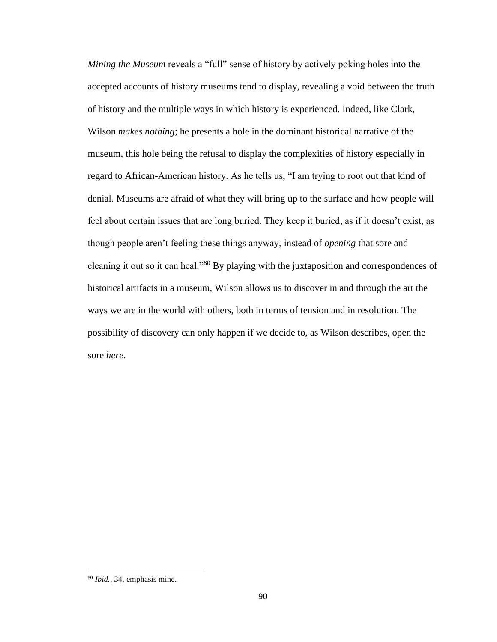*Mining the Museum* reveals a "full" sense of history by actively poking holes into the accepted accounts of history museums tend to display, revealing a void between the truth of history and the multiple ways in which history is experienced. Indeed, like Clark, Wilson *makes nothing*; he presents a hole in the dominant historical narrative of the museum, this hole being the refusal to display the complexities of history especially in regard to African-American history. As he tells us, "I am trying to root out that kind of denial. Museums are afraid of what they will bring up to the surface and how people will feel about certain issues that are long buried. They keep it buried, as if it doesn't exist, as though people aren't feeling these things anyway, instead of *opening* that sore and cleaning it out so it can heal."<sup>80</sup> By playing with the juxtaposition and correspondences of historical artifacts in a museum, Wilson allows us to discover in and through the art the ways we are in the world with others, both in terms of tension and in resolution. The possibility of discovery can only happen if we decide to, as Wilson describes, open the sore *here*.

<sup>80</sup> *Ibid.,* 34*,* emphasis mine.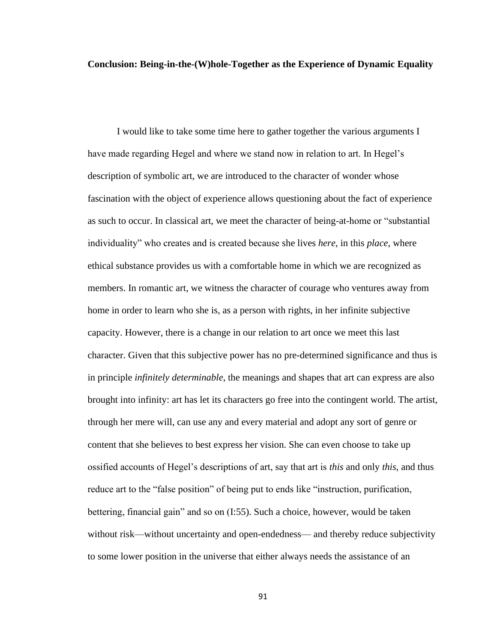## **Conclusion: Being-in-the-(W)hole-Together as the Experience of Dynamic Equality**

I would like to take some time here to gather together the various arguments I have made regarding Hegel and where we stand now in relation to art. In Hegel's description of symbolic art, we are introduced to the character of wonder whose fascination with the object of experience allows questioning about the fact of experience as such to occur. In classical art, we meet the character of being-at-home or "substantial individuality" who creates and is created because she lives *here*, in this *place*, where ethical substance provides us with a comfortable home in which we are recognized as members. In romantic art, we witness the character of courage who ventures away from home in order to learn who she is, as a person with rights, in her infinite subjective capacity. However, there is a change in our relation to art once we meet this last character. Given that this subjective power has no pre-determined significance and thus is in principle *infinitely determinable*, the meanings and shapes that art can express are also brought into infinity: art has let its characters go free into the contingent world. The artist, through her mere will, can use any and every material and adopt any sort of genre or content that she believes to best express her vision. She can even choose to take up ossified accounts of Hegel's descriptions of art, say that art is *this* and only *this*, and thus reduce art to the "false position" of being put to ends like "instruction, purification, bettering, financial gain" and so on (I:55). Such a choice, however, would be taken without risk—without uncertainty and open-endedness— and thereby reduce subjectivity to some lower position in the universe that either always needs the assistance of an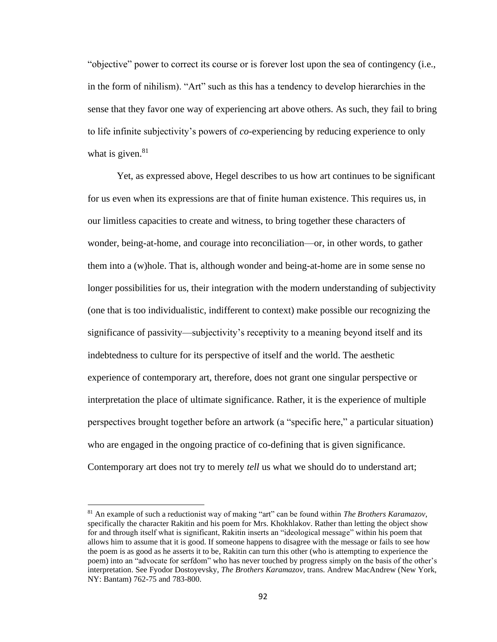"objective" power to correct its course or is forever lost upon the sea of contingency (i.e., in the form of nihilism). "Art" such as this has a tendency to develop hierarchies in the sense that they favor one way of experiencing art above others. As such, they fail to bring to life infinite subjectivity's powers of *co*-experiencing by reducing experience to only what is given. $81$ 

Yet, as expressed above, Hegel describes to us how art continues to be significant for us even when its expressions are that of finite human existence. This requires us, in our limitless capacities to create and witness, to bring together these characters of wonder, being-at-home, and courage into reconciliation—or, in other words, to gather them into a (w)hole. That is, although wonder and being-at-home are in some sense no longer possibilities for us, their integration with the modern understanding of subjectivity (one that is too individualistic, indifferent to context) make possible our recognizing the significance of passivity—subjectivity's receptivity to a meaning beyond itself and its indebtedness to culture for its perspective of itself and the world. The aesthetic experience of contemporary art, therefore, does not grant one singular perspective or interpretation the place of ultimate significance. Rather, it is the experience of multiple perspectives brought together before an artwork (a "specific here," a particular situation) who are engaged in the ongoing practice of co-defining that is given significance. Contemporary art does not try to merely *tell* us what we should do to understand art;

<sup>81</sup> An example of such a reductionist way of making "art" can be found within *The Brothers Karamazov*, specifically the character Rakitin and his poem for Mrs. Khokhlakov. Rather than letting the object show for and through itself what is significant, Rakitin inserts an "ideological message" within his poem that allows him to assume that it is good. If someone happens to disagree with the message or fails to see how the poem is as good as he asserts it to be, Rakitin can turn this other (who is attempting to experience the poem) into an "advocate for serfdom" who has never touched by progress simply on the basis of the other's interpretation. See Fyodor Dostoyevsky, *The Brothers Karamazov*, trans. Andrew MacAndrew (New York, NY: Bantam) 762-75 and 783-800.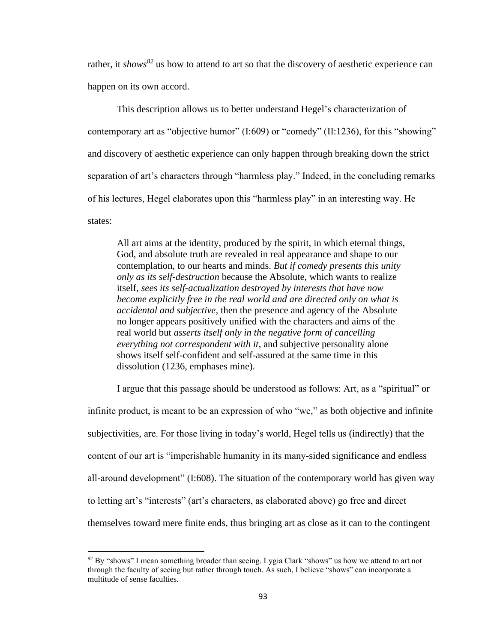rather, it *shows*<sup>82</sup> us how to attend to art so that the discovery of aesthetic experience can happen on its own accord.

This description allows us to better understand Hegel's characterization of contemporary art as "objective humor" (I:609) or "comedy" (II:1236), for this "showing" and discovery of aesthetic experience can only happen through breaking down the strict separation of art's characters through "harmless play." Indeed, in the concluding remarks of his lectures, Hegel elaborates upon this "harmless play" in an interesting way. He states:

All art aims at the identity, produced by the spirit, in which eternal things, God, and absolute truth are revealed in real appearance and shape to our contemplation, to our hearts and minds. *But if comedy presents this unity only as its self-destruction* because the Absolute, which wants to realize itself, *sees its self-actualization destroyed by interests that have now become explicitly free in the real world and are directed only on what is accidental and subjective,* then the presence and agency of the Absolute no longer appears positively unified with the characters and aims of the real world but *asserts itself only in the negative form of cancelling everything not correspondent with it*, and subjective personality alone shows itself self-confident and self-assured at the same time in this dissolution (1236, emphases mine).

I argue that this passage should be understood as follows: Art, as a "spiritual" or infinite product, is meant to be an expression of who "we," as both objective and infinite subjectivities, are. For those living in today's world, Hegel tells us (indirectly) that the content of our art is "imperishable humanity in its many-sided significance and endless all-around development" (I:608). The situation of the contemporary world has given way to letting art's "interests" (art's characters, as elaborated above) go free and direct themselves toward mere finite ends, thus bringing art as close as it can to the contingent

 $82$  By "shows" I mean something broader than seeing. Lygia Clark "shows" us how we attend to art not through the faculty of seeing but rather through touch. As such, I believe "shows" can incorporate a multitude of sense faculties.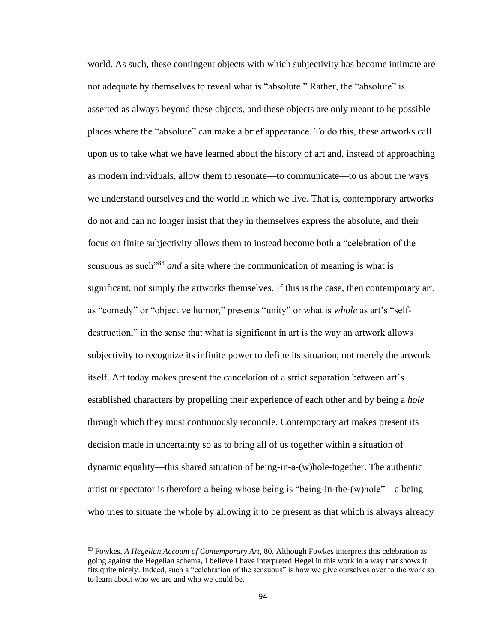world. As such, these contingent objects with which subjectivity has become intimate are not adequate by themselves to reveal what is "absolute." Rather, the "absolute" is asserted as always beyond these objects, and these objects are only meant to be possible places where the "absolute" can make a brief appearance. To do this, these artworks call upon us to take what we have learned about the history of art and, instead of approaching as modern individuals, allow them to resonate—to communicate—to us about the ways we understand ourselves and the world in which we live. That is, contemporary artworks do not and can no longer insist that they in themselves express the absolute, and their focus on finite subjectivity allows them to instead become both a "celebration of the sensuous as such"<sup>83</sup> *and* a site where the communication of meaning is what is significant, not simply the artworks themselves. If this is the case, then contemporary art, as "comedy" or "objective humor," presents "unity" or what is *whole* as art's "selfdestruction," in the sense that what is significant in art is the way an artwork allows subjectivity to recognize its infinite power to define its situation, not merely the artwork itself. Art today makes present the cancelation of a strict separation between art's established characters by propelling their experience of each other and by being a *hole* through which they must continuously reconcile. Contemporary art makes present its decision made in uncertainty so as to bring all of us together within a situation of dynamic equality—this shared situation of being-in-a-(w)hole-together. The authentic artist or spectator is therefore a being whose being is "being-in-the-(w)hole"—a being who tries to situate the whole by allowing it to be present as that which is always already

<sup>83</sup> Fowkes, *A Hegelian Account of Contemporary Art*, 80. Although Fowkes interprets this celebration as going against the Hegelian schema, I believe I have interpreted Hegel in this work in a way that shows it fits quite nicely. Indeed, such a "celebration of the sensuous" is how we give ourselves over to the work so to learn about who we are and who we could be.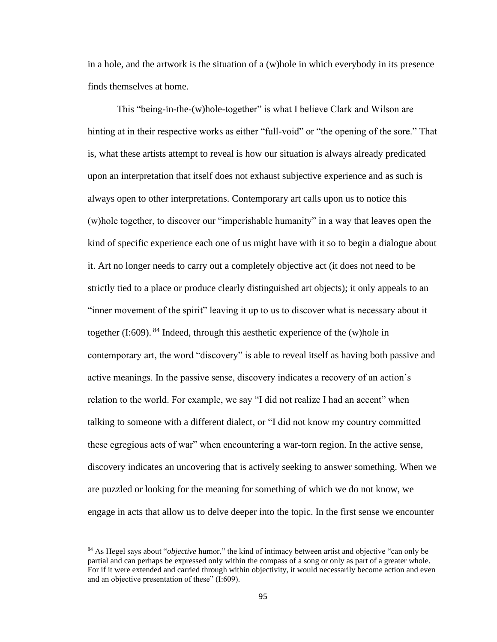in a hole, and the artwork is the situation of a (w)hole in which everybody in its presence finds themselves at home.

This "being-in-the-(w)hole-together" is what I believe Clark and Wilson are hinting at in their respective works as either "full-void" or "the opening of the sore." That is, what these artists attempt to reveal is how our situation is always already predicated upon an interpretation that itself does not exhaust subjective experience and as such is always open to other interpretations. Contemporary art calls upon us to notice this (w)hole together, to discover our "imperishable humanity" in a way that leaves open the kind of specific experience each one of us might have with it so to begin a dialogue about it. Art no longer needs to carry out a completely objective act (it does not need to be strictly tied to a place or produce clearly distinguished art objects); it only appeals to an "inner movement of the spirit" leaving it up to us to discover what is necessary about it together  $(I:609)$ . <sup>84</sup> Indeed, through this aesthetic experience of the (w)hole in contemporary art, the word "discovery" is able to reveal itself as having both passive and active meanings. In the passive sense, discovery indicates a recovery of an action's relation to the world. For example, we say "I did not realize I had an accent" when talking to someone with a different dialect, or "I did not know my country committed these egregious acts of war" when encountering a war-torn region. In the active sense, discovery indicates an uncovering that is actively seeking to answer something. When we are puzzled or looking for the meaning for something of which we do not know, we engage in acts that allow us to delve deeper into the topic. In the first sense we encounter

<sup>84</sup> As Hegel says about "*objective* humor," the kind of intimacy between artist and objective "can only be partial and can perhaps be expressed only within the compass of a song or only as part of a greater whole. For if it were extended and carried through within objectivity, it would necessarily become action and even and an objective presentation of these" (I:609).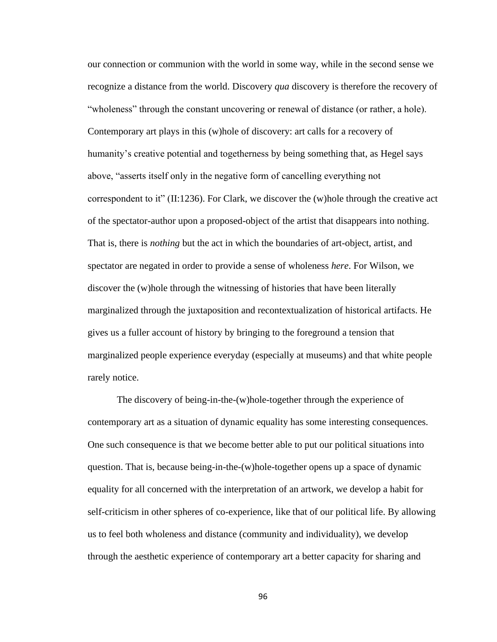our connection or communion with the world in some way, while in the second sense we recognize a distance from the world. Discovery *qua* discovery is therefore the recovery of "wholeness" through the constant uncovering or renewal of distance (or rather, a hole). Contemporary art plays in this (w)hole of discovery: art calls for a recovery of humanity's creative potential and togetherness by being something that, as Hegel says above, "asserts itself only in the negative form of cancelling everything not correspondent to it" (II:1236). For Clark, we discover the (w)hole through the creative act of the spectator-author upon a proposed-object of the artist that disappears into nothing. That is, there is *nothing* but the act in which the boundaries of art-object, artist, and spectator are negated in order to provide a sense of wholeness *here*. For Wilson, we discover the (w)hole through the witnessing of histories that have been literally marginalized through the juxtaposition and recontextualization of historical artifacts. He gives us a fuller account of history by bringing to the foreground a tension that marginalized people experience everyday (especially at museums) and that white people rarely notice.

The discovery of being-in-the-(w)hole-together through the experience of contemporary art as a situation of dynamic equality has some interesting consequences. One such consequence is that we become better able to put our political situations into question. That is, because being-in-the-(w)hole-together opens up a space of dynamic equality for all concerned with the interpretation of an artwork, we develop a habit for self-criticism in other spheres of co-experience, like that of our political life. By allowing us to feel both wholeness and distance (community and individuality), we develop through the aesthetic experience of contemporary art a better capacity for sharing and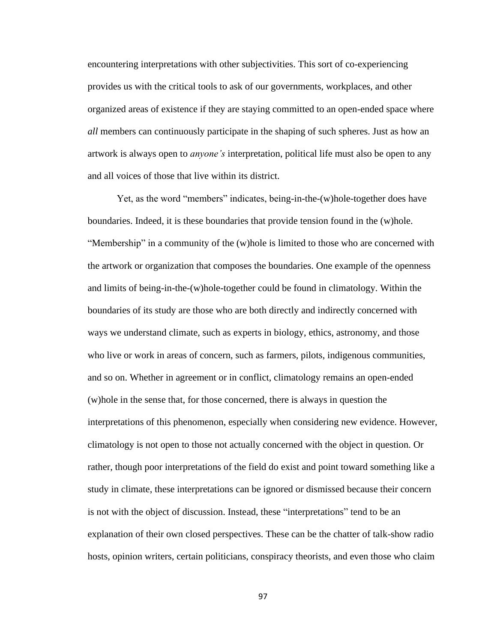encountering interpretations with other subjectivities. This sort of co-experiencing provides us with the critical tools to ask of our governments, workplaces, and other organized areas of existence if they are staying committed to an open-ended space where *all* members can continuously participate in the shaping of such spheres. Just as how an artwork is always open to *anyone's* interpretation, political life must also be open to any and all voices of those that live within its district.

Yet, as the word "members" indicates, being-in-the-(w)hole-together does have boundaries. Indeed, it is these boundaries that provide tension found in the (w)hole. "Membership" in a community of the (w)hole is limited to those who are concerned with the artwork or organization that composes the boundaries. One example of the openness and limits of being-in-the-(w)hole-together could be found in climatology. Within the boundaries of its study are those who are both directly and indirectly concerned with ways we understand climate, such as experts in biology, ethics, astronomy, and those who live or work in areas of concern, such as farmers, pilots, indigenous communities, and so on. Whether in agreement or in conflict, climatology remains an open-ended (w)hole in the sense that, for those concerned, there is always in question the interpretations of this phenomenon, especially when considering new evidence. However, climatology is not open to those not actually concerned with the object in question. Or rather, though poor interpretations of the field do exist and point toward something like a study in climate, these interpretations can be ignored or dismissed because their concern is not with the object of discussion. Instead, these "interpretations" tend to be an explanation of their own closed perspectives. These can be the chatter of talk-show radio hosts, opinion writers, certain politicians, conspiracy theorists, and even those who claim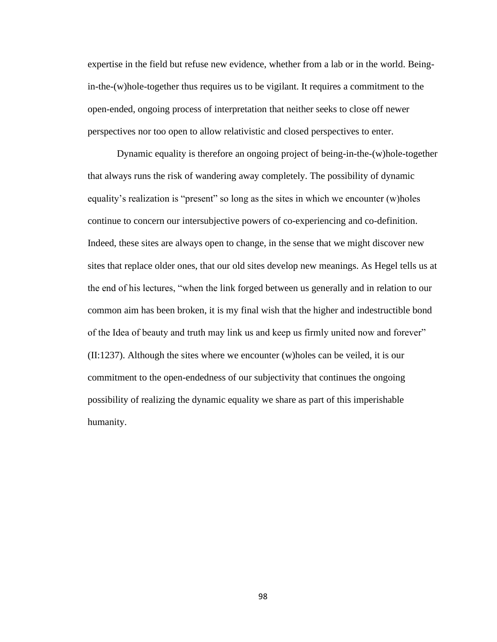expertise in the field but refuse new evidence, whether from a lab or in the world. Beingin-the-(w)hole-together thus requires us to be vigilant. It requires a commitment to the open-ended, ongoing process of interpretation that neither seeks to close off newer perspectives nor too open to allow relativistic and closed perspectives to enter.

Dynamic equality is therefore an ongoing project of being-in-the-(w)hole-together that always runs the risk of wandering away completely. The possibility of dynamic equality's realization is "present" so long as the sites in which we encounter (w)holes continue to concern our intersubjective powers of co-experiencing and co-definition. Indeed, these sites are always open to change, in the sense that we might discover new sites that replace older ones, that our old sites develop new meanings. As Hegel tells us at the end of his lectures, "when the link forged between us generally and in relation to our common aim has been broken, it is my final wish that the higher and indestructible bond of the Idea of beauty and truth may link us and keep us firmly united now and forever" (II:1237). Although the sites where we encounter (w)holes can be veiled, it is our commitment to the open-endedness of our subjectivity that continues the ongoing possibility of realizing the dynamic equality we share as part of this imperishable humanity.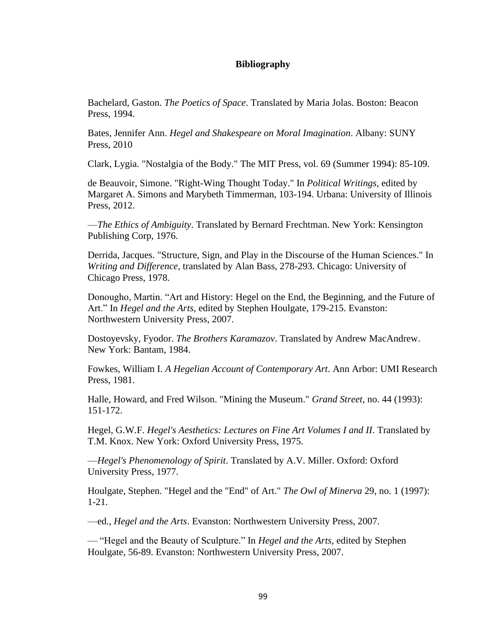### **Bibliography**

Bachelard, Gaston. *The Poetics of Space*. Translated by Maria Jolas. Boston: Beacon Press, 1994.

Bates, Jennifer Ann. *Hegel and Shakespeare on Moral Imagination*. Albany: SUNY Press, 2010

Clark, Lygia. "Nostalgia of the Body." The MIT Press, vol. 69 (Summer 1994): 85-109.

de Beauvoir, Simone. "Right-Wing Thought Today." In *Political Writings*, edited by Margaret A. Simons and Marybeth Timmerman, 103-194. Urbana: University of Illinois Press, 2012.

—*The Ethics of Ambiguity*. Translated by Bernard Frechtman. New York: Kensington Publishing Corp, 1976.

Derrida, Jacques. "Structure, Sign, and Play in the Discourse of the Human Sciences." In *Writing and Difference*, translated by Alan Bass, 278-293. Chicago: University of Chicago Press, 1978.

Donougho, Martin. "Art and History: Hegel on the End, the Beginning, and the Future of Art." In *Hegel and the Arts,* edited by Stephen Houlgate, 179-215. Evanston: Northwestern University Press, 2007.

Dostoyevsky, Fyodor. *The Brothers Karamazov*. Translated by Andrew MacAndrew. New York: Bantam, 1984.

Fowkes, William I. *A Hegelian Account of Contemporary Art*. Ann Arbor: UMI Research Press, 1981.

Halle, Howard, and Fred Wilson. "Mining the Museum." *Grand Street*, no. 44 (1993): 151-172.

Hegel, G.W.F. *Hegel's Aesthetics: Lectures on Fine Art Volumes I and II*. Translated by T.M. Knox. New York: Oxford University Press, 1975.

—*Hegel's Phenomenology of Spirit*. Translated by A.V. Miller. Oxford: Oxford University Press, 1977.

Houlgate, Stephen. "Hegel and the "End" of Art." *The Owl of Minerva* 29, no. 1 (1997): 1-21.

—ed., *Hegel and the Arts*. Evanston: Northwestern University Press, 2007.

— "Hegel and the Beauty of Sculpture." In *Hegel and the Arts,* edited by Stephen Houlgate, 56-89. Evanston: Northwestern University Press, 2007.